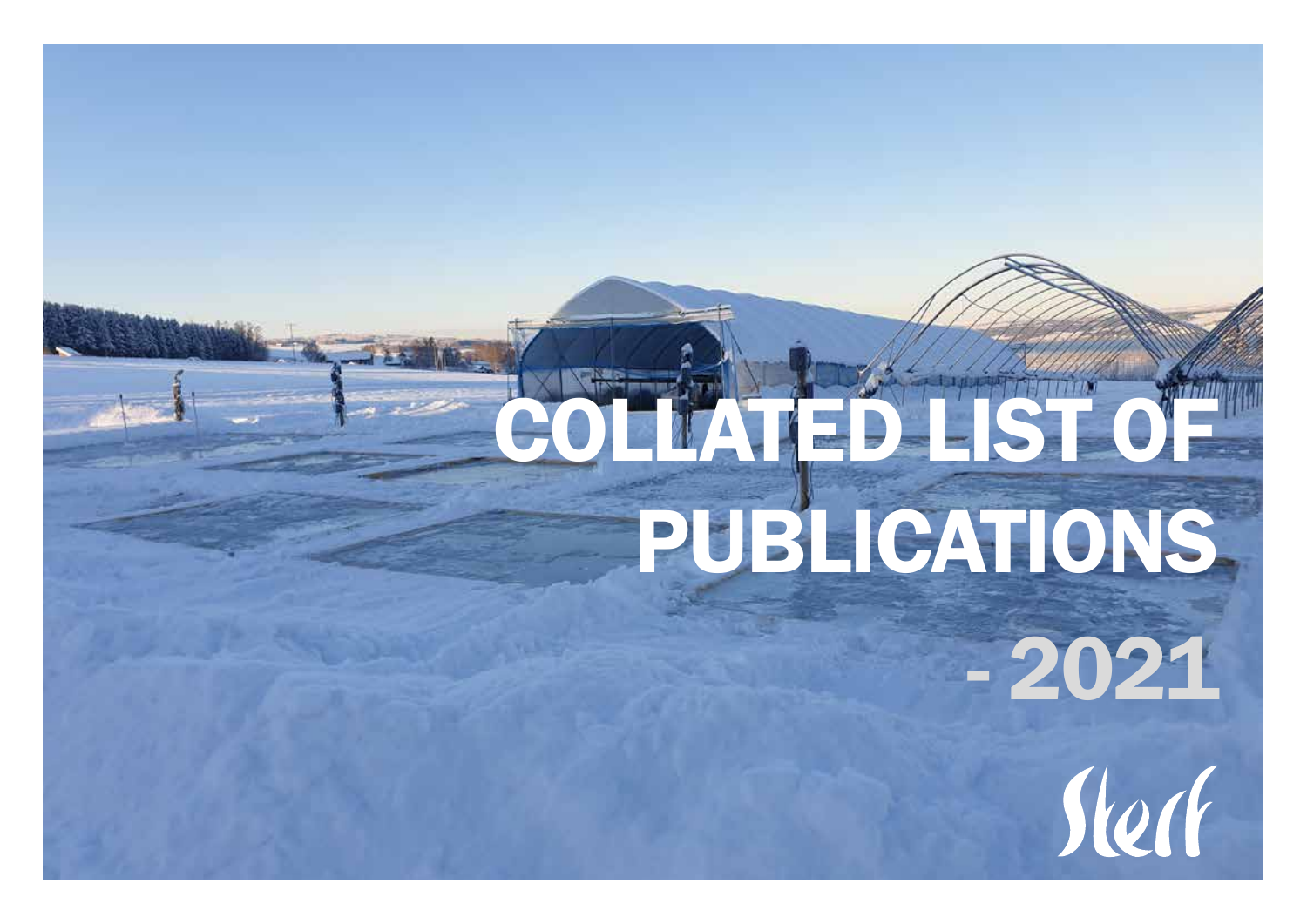## COLLATED LIST OF PUBLICATIONS

- 2021

Stech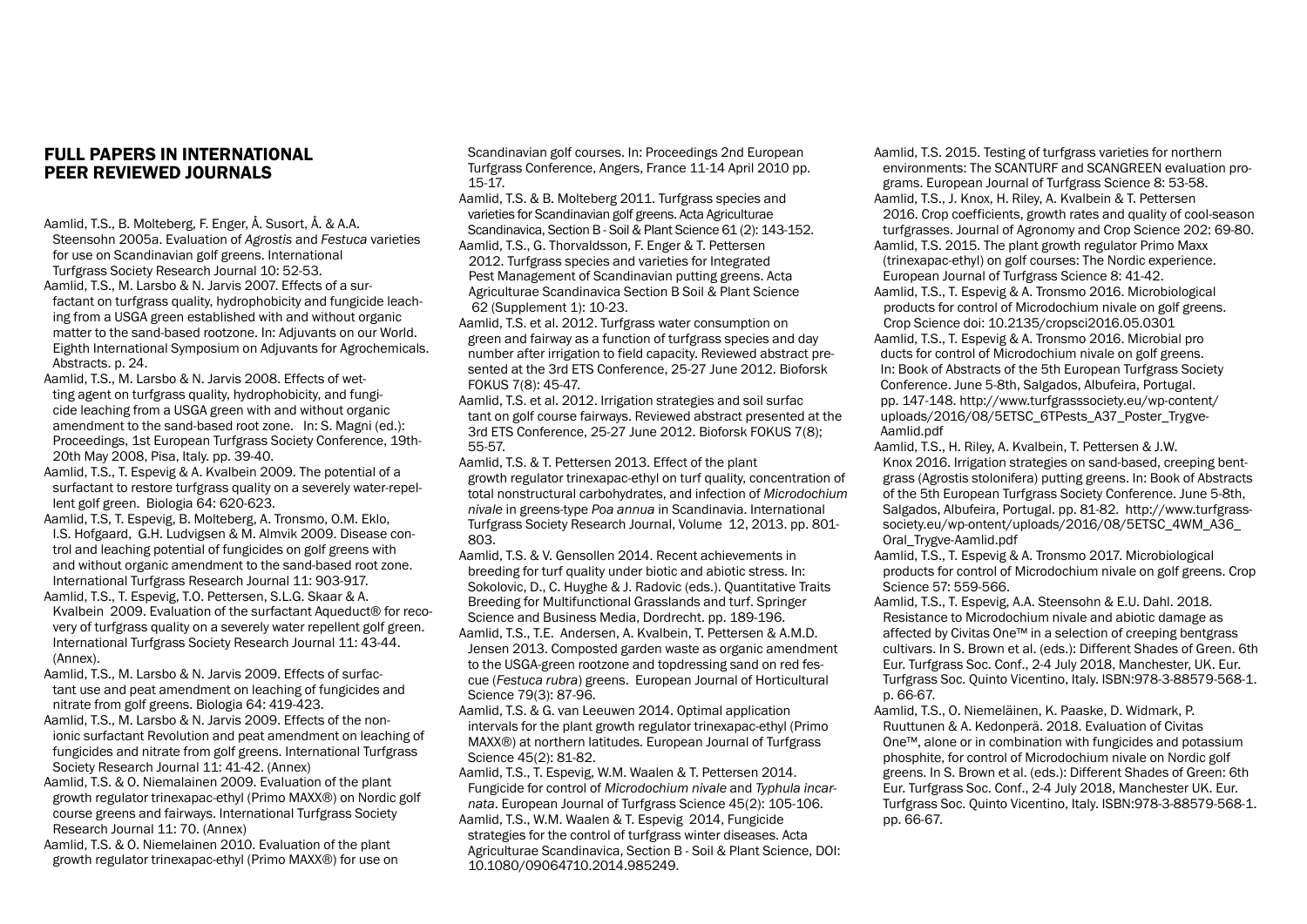## FULL PAPERS IN INTERNATIONAL PEER REVIEWED JOURNALS

- Aamlid, T.S., B. Molteberg, F. Enger, Å. Susort, Å. & A.A. Steensohn 2005a. Evaluation of *Agrostis* and *Festuca* varieties for use on Scandinavian golf greens. International Turfgrass Society Research Journal 10: 52-53.
- Aamlid, T.S., M. Larsbo & N. Jarvis 2007. Effects of a surfactant on turfgrass quality, hydrophobicity and fungicide leaching from a USGA green established with and without organic matter to the sand-based rootzone. In: Adjuvants on our World. Eighth International Symposium on Adjuvants for Agrochemicals. Abstracts. p. 24.
- Aamlid, T.S., M. Larsbo & N. Jarvis 2008. Effects of wetting agent on turfgrass quality, hydrophobicity, and fungicide leaching from a USGA green with and without organic amendment to the sand-based root zone. In: S. Magni (ed.): Proceedings, 1st European Turfgrass Society Conference, 19th-20th May 2008, Pisa, Italy. pp. 39-40.
- Aamlid, T.S., T. Espevig & A. Kvalbein 2009. The potential of a surfactant to restore turfgrass quality on a severely water-repellent golf green. Biologia 64: 620-623.
- Aamlid, T.S, T. Espevig, B. Molteberg, A. Tronsmo, O.M. Eklo, I.S. Hofgaard, G.H. Ludvigsen & M. Almvik 2009. Disease control and leaching potential of fungicides on golf greens with and without organic amendment to the sand-based root zone. International Turfgrass Research Journal 11: 903-917.
- Aamlid, T.S., T. Espevig, T.O. Pettersen, S.L.G. Skaar & A. Kvalbein 2009. Evaluation of the surfactant Aqueduct® for recovery of turfgrass quality on a severely water repellent golf green. International Turfgrass Society Research Journal 11: 43-44. (Annex).
- Aamlid, T.S., M. Larsbo & N. Jarvis 2009. Effects of surfactant use and peat amendment on leaching of fungicides and nitrate from golf greens. Biologia 64: 419-423.
- Aamlid, T.S., M. Larsbo & N. Jarvis 2009. Effects of the nonionic surfactant Revolution and peat amendment on leaching of fungicides and nitrate from golf greens. International Turfgrass Society Research Journal 11: 41-42. (Annex)
- Aamlid, T.S. & O. Niemalainen 2009. Evaluation of the plant growth regulator trinexapac-ethyl (Primo MAXX®) on Nordic golf course greens and fairways. International Turfgrass Society Research Journal 11: 70. (Annex)
- Aamlid, T.S. & O. Niemelainen 2010. Evaluation of the plant growth regulator trinexapac-ethyl (Primo MAXX®) for use on

Scandinavian golf courses. In: Proceedings 2nd European Turfgrass Conference, Angers, France 11-14 April 2010 pp. 15-17.

- Aamlid, T.S. & B. Molteberg 2011. Turfgrass species and varieties for Scandinavian golf greens. Acta Agriculturae Scandinavica, Section B - Soil & Plant Science 61 (2): 143-152. Aamlid, T.S., G. Thorvaldsson, F. Enger & T. Pettersen 2012. Turfgrass species and varieties for Integrated Pest Management of Scandinavian putting greens. Acta Agriculturae Scandinavica Section B Soil & Plant Science 62 (Supplement 1): 10-23.
- Aamlid, T.S. et al. 2012. Turfgrass water consumption on green and fairway as a function of turfgrass species and day number after irrigation to field capacity. Reviewed abstract presented at the 3rd ETS Conference, 25-27 June 2012. Bioforsk FOKUS 7(8): 45-47.
- Aamlid, T.S. et al. 2012. Irrigation strategies and soil surfac tant on golf course fairways. Reviewed abstract presented at the 3rd ETS Conference, 25-27 June 2012. Bioforsk FOKUS 7(8); 55-57.
- Aamlid, T.S. & T. Pettersen 2013. Effect of the plant growth regulator trinexapac-ethyl on turf quality, concentration of total nonstructural carbohydrates, and infection of *Microdochium nivale* in greens-type *Poa annua* in Scandinavia. International Turfgrass Society Research Journal, Volume 12, 2013. pp. 801- 803.
- Aamlid, T.S. & V. Gensollen 2014. Recent achievements in breeding for turf quality under biotic and abiotic stress. In: Sokolovic, D., C. Huyghe & J. Radovic (eds.). Quantitative Traits Breeding for Multifunctional Grasslands and turf. Springer Science and Business Media, Dordrecht. pp. 189-196. Aamlid, T.S., T.E. Andersen, A. Kvalbein, T. Pettersen & A.M.D. Jensen 2013. Composted garden waste as organic amendment to the USGA-green rootzone and topdressing sand on red fescue (*Festuca rubra*) greens. European Journal of Horticultural Science 79(3): 87-96.
- Aamlid, T.S. & G. van Leeuwen 2014. Optimal application intervals for the plant growth regulator trinexapac-ethyl (Primo MAXX®) at northern latitudes. European Journal of Turfgrass Science 45(2): 81-82.
- Aamlid, T.S., T. Espevig, W.M. Waalen & T. Pettersen 2014. Fungicide for control of *Microdochium nivale* and *Typhula incarnata*. European Journal of Turfgrass Science 45(2): 105-106. Aamlid, T.S., W.M. Waalen & T. Espevig 2014, Fungicide strategies for the control of turfgrass winter diseases. Acta Agriculturae Scandinavica, Section B - Soil & Plant Science, DOI: 10.1080/09064710.2014.985249.
- Aamlid, T.S. 2015. Testing of turfgrass varieties for northern environments: The SCANTURF and SCANGREEN evaluation programs. European Journal of Turfgrass Science 8: 53-58.
- Aamlid, T.S., J. Knox, H. Riley, A. Kvalbein & T. Pettersen 2016. Crop coefficients, growth rates and quality of cool-season turfgrasses. Journal of Agronomy and Crop Science 202: 69-80.
- Aamlid, T.S. 2015. The plant growth regulator Primo Maxx (trinexapac-ethyl) on golf courses: The Nordic experience. European Journal of Turfgrass Science 8: 41-42.
- Aamlid, T.S., T. Espevig & A. Tronsmo 2016. Microbiological products for control of Microdochium nivale on golf greens. Crop Science doi: 10.2135/cropsci2016.05.0301
- Aamlid, T.S., T. Espevig & A. Tronsmo 2016. Microbial pro ducts for control of Microdochium nivale on golf greens. In: Book of Abstracts of the 5th European Turfgrass Society Conference. June 5-8th, Salgados, Albufeira, Portugal. pp. 147-148. http://www.turfgrasssociety.eu/wp-content/ uploads/2016/08/5ETSC\_6TPests\_A37\_Poster\_Trygve- Aamlid.pdf
- Aamlid, T.S., H. Riley, A. Kvalbein, T. Pettersen & J.W. Knox 2016. Irrigation strategies on sand-based, creeping bentgrass (Agrostis stolonifera) putting greens. In: Book of Abstracts of the 5th European Turfgrass Society Conference. June 5-8th, Salgados, Albufeira, Portugal. pp. 81-82. http://www.turfgrasssociety.eu/wp-ontent/uploads/2016/08/5ETSC\_4WM\_A36\_ Oral\_Trygve-Aamlid.pdf
- Aamlid, T.S., T. Espevig & A. Tronsmo 2017. Microbiological products for control of Microdochium nivale on golf greens. Crop Science 57: 559-566.
- Aamlid, T.S., T. Espevig, A.A. Steensohn & E.U. Dahl. 2018. Resistance to Microdochium nivale and abiotic damage as affected by Civitas One™ in a selection of creeping bentgrass cultivars. In S. Brown et al. (eds.): Different Shades of Green. 6th Eur. Turfgrass Soc. Conf., 2-4 July 2018, Manchester, UK. Eur. Turfgrass Soc. Quinto Vicentino, Italy. ISBN:978-3-88579-568-1. p. 66-67.
- Aamlid, T.S., O. Niemeläinen, K. Paaske, D. Widmark, P. Ruuttunen & A. Kedonperä. 2018. Evaluation of Civitas One™, alone or in combination with fungicides and potassium phosphite, for control of Microdochium nivale on Nordic golf greens. In S. Brown et al. (eds.): Different Shades of Green: 6th Eur. Turfgrass Soc. Conf., 2-4 July 2018, Manchester UK. Eur. Turfgrass Soc. Quinto Vicentino, Italy. ISBN:978-3-88579-568-1. pp. 66-67.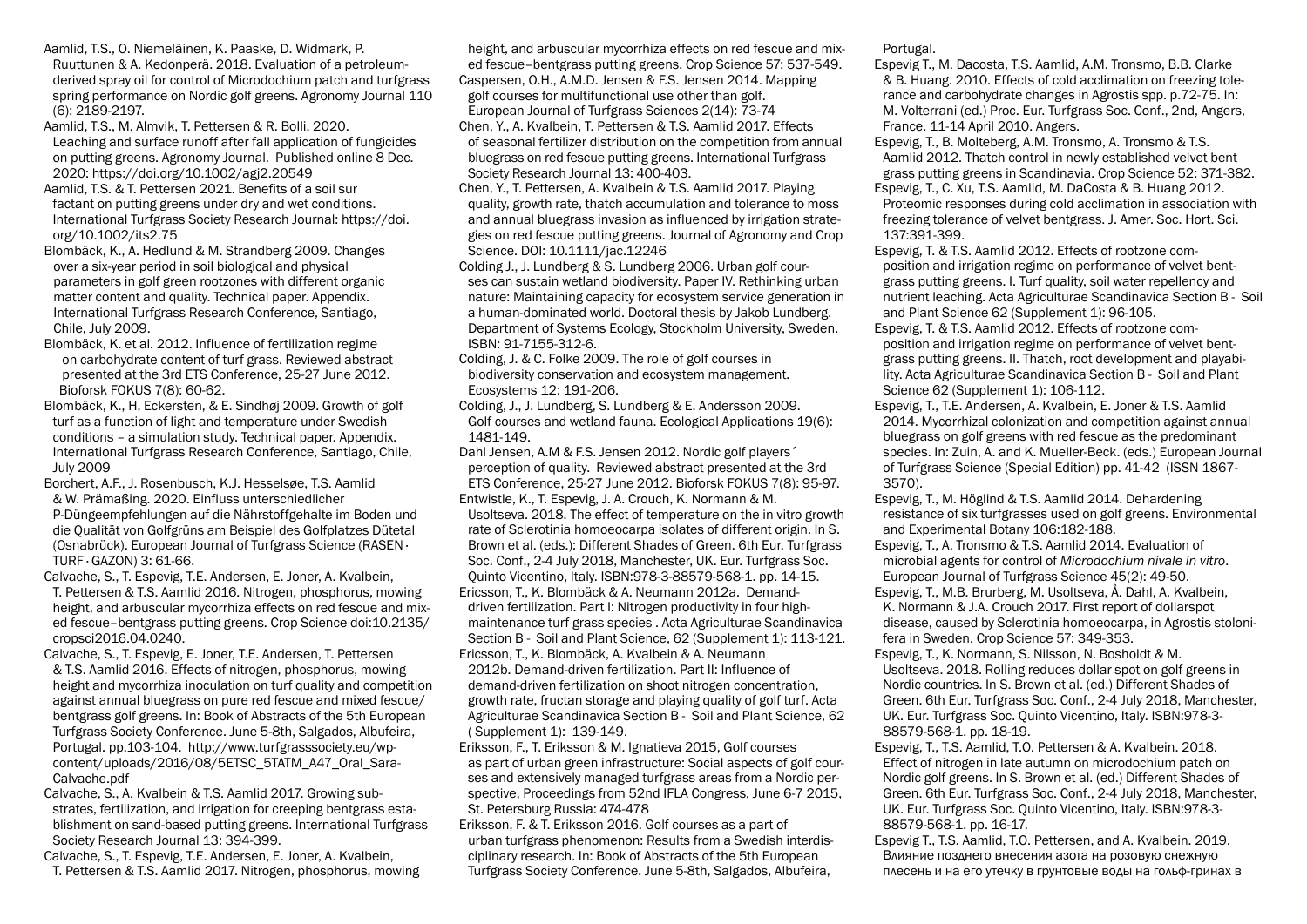- Aamlid, T.S., O. Niemeläinen, K. Paaske, D. Widmark, P. Ruuttunen & A. Kedonperä. 2018. Evaluation of a petroleumderived spray oil for control of Microdochium patch and turfgrass spring performance on Nordic golf greens. Agronomy Journal 110 (6): 2189-2197.
- Aamlid, T.S., M. Almvik, T. Pettersen & R. Bolli. 2020. Leaching and surface runoff after fall application of fungicides on putting greens. Agronomy Journal. Published online 8 Dec. 2020: https://doi.org/10.1002/agj2.20549
- Aamlid, T.S. & T. Pettersen 2021. Benefits of a soil sur factant on putting greens under dry and wet conditions. International Turfgrass Society Research Journal: https://doi. org/10.1002/its2.75
- Blombäck, K., A. Hedlund & M. Strandberg 2009. Changes over a six-year period in soil biological and physical parameters in golf green rootzones with different organic matter content and quality. Technical paper. Appendix. International Turfgrass Research Conference, Santiago, Chile, July 2009.
- Blombäck, K. et al. 2012. Influence of fertilization regime on carbohydrate content of turf grass. Reviewed abstract presented at the 3rd ETS Conference, 25-27 June 2012. Bioforsk FOKUS 7(8): 60-62.
- Blombäck, K., H. Eckersten, & E. Sindhøj 2009. Growth of golf turf as a function of light and temperature under Swedish conditions – a simulation study. Technical paper. Appendix. International Turfgrass Research Conference, Santiago, Chile, July 2009
- Borchert, A.F., J. Rosenbusch, K.J. Hesselsøe, T.S. Aamlid & W. Prämaßing. 2020. Einfluss unterschiedlicher P-Düngeempfehlungen auf die Nährstoffgehalte im Boden und die Qualität von Golfgrüns am Beispiel des Golfplatzes Dütetal (Osnabrück). European Journal of Turfgrass Science (RASEN · TURF · GAZON) 3: 61-66.
- Calvache, S., T. Espevig, T.E. Andersen, E. Joner, A. Kvalbein, T. Pettersen & T.S. Aamlid 2016. Nitrogen, phosphorus, mowing height, and arbuscular mycorrhiza effects on red fescue and mixed fescue–bentgrass putting greens. Crop Science doi:10.2135/ cropsci2016.04.0240.
- Calvache, S., T. Espevig, E. Joner, T.E. Andersen, T. Pettersen & T.S. Aamlid 2016. Effects of nitrogen, phosphorus, mowing height and mycorrhiza inoculation on turf quality and competition against annual bluegrass on pure red fescue and mixed fescue/ bentgrass golf greens. In: Book of Abstracts of the 5th European Turfgrass Society Conference. June 5-8th, Salgados, Albufeira, Portugal. pp.103-104. http://www.turfgrasssociety.eu/wpcontent/uploads/2016/08/5ETSC\_5TATM\_A47\_Oral\_Sara-Calvache.pdf
- Calvache, S., A. Kvalbein & T.S. Aamlid 2017. Growing substrates, fertilization, and irrigation for creeping bentgrass establishment on sand-based putting greens. International Turfgrass Society Research Journal 13: 394-399.
- Calvache, S., T. Espevig, T.E. Andersen, E. Joner, A. Kvalbein, T. Pettersen & T.S. Aamlid 2017. Nitrogen, phosphorus, mowing

height, and arbuscular mycorrhiza effects on red fescue and mixed fescue–bentgrass putting greens. Crop Science 57: 537-549. Caspersen, O.H., A.M.D. Jensen & F.S. Jensen 2014. Mapping golf courses for multifunctional use other than golf. European Journal of Turfgrass Sciences 2(14): 73-74 Chen, Y., A. Kvalbein, T. Pettersen & T.S. Aamlid 2017. Effects of seasonal fertilizer distribution on the competition from annual bluegrass on red fescue putting greens. International Turfgrass Society Research Journal 13: 400-403.

Chen, Y., T. Pettersen, A. Kvalbein & T.S. Aamlid 2017. Playing quality, growth rate, thatch accumulation and tolerance to moss and annual bluegrass invasion as influenced by irrigation strategies on red fescue putting greens. Journal of Agronomy and Crop Science. DOI: 10.1111/jac.12246

Colding J., J. Lundberg & S. Lundberg 2006. Urban golf courses can sustain wetland biodiversity. Paper IV. Rethinking urban nature: Maintaining capacity for ecosystem service generation in a human-dominated world. Doctoral thesis by Jakob Lundberg. Department of Systems Ecology, Stockholm University, Sweden. ISBN: 91-7155-312-6.

Colding, J. & C. Folke 2009. The role of golf courses in biodiversity conservation and ecosystem management. Ecosystems 12: 191-206.

Colding, J., J. Lundberg, S. Lundberg & E. Andersson 2009. Golf courses and wetland fauna. Ecological Applications 19(6): 1481-149.

- Dahl Jensen, A.M & F.S. Jensen 2012. Nordic golf players´ perception of quality. Reviewed abstract presented at the 3rd ETS Conference, 25-27 June 2012. Bioforsk FOKUS 7(8): 95-97. Entwistle, K., T. Espevig, J. A. Crouch, K. Normann & M. Usoltseva. 2018. The effect of temperature on the in vitro growth rate of Sclerotinia homoeocarpa isolates of different origin. In S. Brown et al. (eds.): Different Shades of Green. 6th Eur. Turfgrass Soc. Conf., 2-4 July 2018, Manchester, UK. Eur. Turfgrass Soc. Quinto Vicentino, Italy. ISBN:978-3-88579-568-1. pp. 14-15. Ericsson, T., K. Blombäck & A. Neumann 2012a. Demanddriven fertilization. Part I: Nitrogen productivity in four highmaintenance turf grass species . Acta Agriculturae Scandinavica Section B - Soil and Plant Science, 62 (Supplement 1): 113-121. Ericsson, T., K. Blombäck, A. Kvalbein & A. Neumann 2012b. Demand-driven fertilization. Part II: Influence of demand-driven fertilization on shoot nitrogen concentration, growth rate, fructan storage and playing quality of golf turf. Acta Agriculturae Scandinavica Section B - Soil and Plant Science, 62
- ( Supplement 1): 139-149. Eriksson, F., T. Eriksson & M. Ignatieva 2015, Golf courses as part of urban green infrastructure: Social aspects of golf courses and extensively managed turfgrass areas from a Nordic perspective, Proceedings from 52nd IFLA Congress, June 6-7 2015, St. Petersburg Russia: 474-478
- Eriksson, F. & T. Eriksson 2016. Golf courses as a part of urban turfgrass phenomenon: Results from a Swedish interdisciplinary research. In: Book of Abstracts of the 5th European Turfgrass Society Conference. June 5-8th, Salgados, Albufeira,

Portugal.

- Espevig T., M. Dacosta, T.S. Aamlid, A.M. Tronsmo, B.B. Clarke & B. Huang. 2010. Effects of cold acclimation on freezing tolerance and carbohydrate changes in Agrostis spp. p.72-75. In: M. Volterrani (ed.) Proc. Eur. Turfgrass Soc. Conf., 2nd, Angers, France. 11-14 April 2010. Angers.
- Espevig, T., B. Molteberg, A.M. Tronsmo, A. Tronsmo & T.S. Aamlid 2012. Thatch control in newly established velvet bent grass putting greens in Scandinavia. Crop Science 52: 371-382.
- Espevig, T., C. Xu, T.S. Aamlid, M. DaCosta & B. Huang 2012. Proteomic responses during cold acclimation in association with freezing tolerance of velvet bentgrass. J. Amer. Soc. Hort. Sci. 137:391-399.
- Espevig, T. & T.S. Aamlid 2012. Effects of rootzone composition and irrigation regime on performance of velvet bentgrass putting greens. I. Turf quality, soil water repellency and nutrient leaching. Acta Agriculturae Scandinavica Section B - Soil and Plant Science 62 (Supplement 1): 96-105.
- Espevig, T. & T.S. Aamlid 2012. Effects of rootzone composition and irrigation regime on performance of velvet bentgrass putting greens. II. Thatch, root development and playability. Acta Agriculturae Scandinavica Section B - Soil and Plant Science 62 (Supplement 1): 106-112.
- Espevig, T., T.E. Andersen, A. Kvalbein, E. Joner & T.S. Aamlid 2014. Mycorrhizal colonization and competition against annual bluegrass on golf greens with red fescue as the predominant species. In: Zuin, A. and K. Mueller-Beck. (eds.) European Journal of Turfgrass Science (Special Edition) pp. 41-42 (ISSN 1867- 3570).
- Espevig, T., M. Höglind & T.S. Aamlid 2014. Dehardening resistance of six turfgrasses used on golf greens. Environmental and Experimental Botany 106:182-188.
- Espevig, T., A. Tronsmo & T.S. Aamlid 2014. Evaluation of microbial agents for control of *Microdochium nivale in vitro*. European Journal of Turfgrass Science 45(2): 49-50.
- Espevig, T., M.B. Brurberg, M. Usoltseva, Å. Dahl, A. Kvalbein, K. Normann & J.A. Crouch 2017. First report of dollarspot disease, caused by Sclerotinia homoeocarpa, in Agrostis stolonifera in Sweden. Crop Science 57: 349-353.
- Espevig, T., K. Normann, S. Nilsson, N. Bosholdt & M. Usoltseva. 2018. Rolling reduces dollar spot on golf greens in Nordic countries. In S. Brown et al. (ed.) Different Shades of Green. 6th Eur. Turfgrass Soc. Conf., 2-4 July 2018, Manchester, UK. Eur. Turfgrass Soc. Quinto Vicentino, Italy. ISBN:978-3- 88579-568-1. pp. 18-19.
- Espevig, T., T.S. Aamlid, T.O. Pettersen & A. Kvalbein. 2018. Effect of nitrogen in late autumn on microdochium patch on Nordic golf greens. In S. Brown et al. (ed.) Different Shades of Green. 6th Eur. Turfgrass Soc. Conf., 2-4 July 2018, Manchester, UK. Eur. Turfgrass Soc. Quinto Vicentino, Italy. ISBN:978-3- 88579-568-1. pp. 16-17.
- Espevig T., T.S. Aamlid, T.O. Pettersen, and A. Kvalbein. 2019. Влияние позднего внесения азота на розовую снежную плесень и на его утечку в грунтовые воды на гольф-гринах в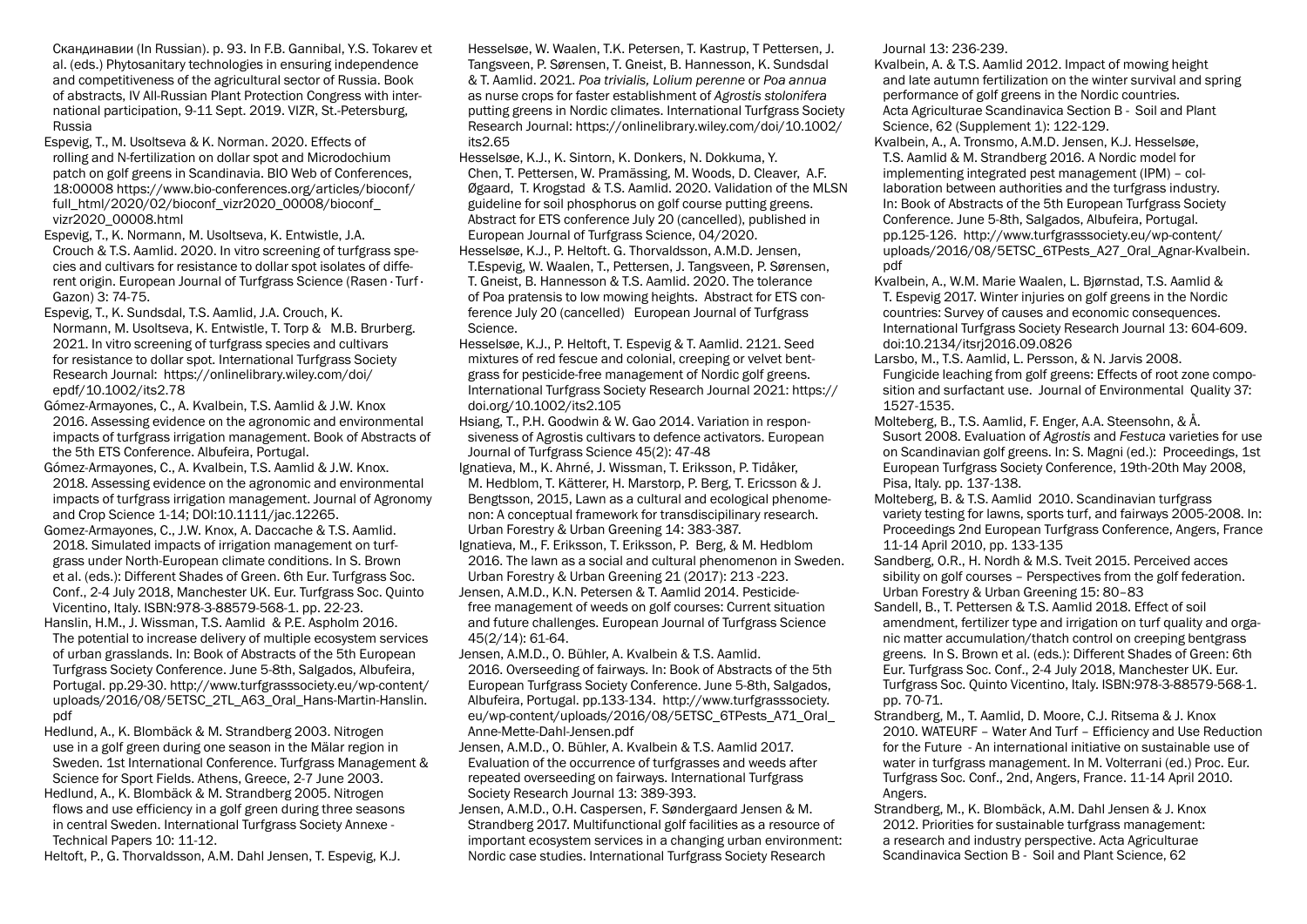- Cкандинавии (In Russian). p. 93. In F.B. Gannibal, Y.S. Tokarev et al. (eds.) Phytosanitary technologies in ensuring independence and competitiveness of the agricultural sector of Russia. Book of abstracts, IV All-Russian Plant Protection Congress with international participation, 9-11 Sept. 2019. VIZR, St.-Petersburg, Russia
- Espevig, T., M. Usoltseva & K. Norman. 2020. Effects of rolling and N-fertilization on dollar spot and Microdochium patch on golf greens in Scandinavia. BIO Web of Conferences, 18:00008 https://www.bio-conferences.org/articles/bioconf/ full\_html/2020/02/bioconf\_vizr2020\_00008/bioconf\_ vizr2020\_00008.html
- Espevig, T., K. Normann, M. Usoltseva, K. Entwistle, J.A. Crouch & T.S. Aamlid. 2020. In vitro screening of turfgrass species and cultivars for resistance to dollar spot isolates of different origin. European Journal of Turfgrass Science (Rasen · Turf · Gazon) 3: 74-75.
- Espevig, T., K. Sundsdal, T.S. Aamlid, J.A. Crouch, K. Normann, M. Usoltseva, K. Entwistle, T. Torp & M.B. Brurberg. 2021. In vitro screening of turfgrass species and cultivars for resistance to dollar spot. International Turfgrass Society Research Journal: https://onlinelibrary.wiley.com/doi/ epdf/10.1002/its2.78
- Gómez-Armayones, C., A. Kvalbein, T.S. Aamlid & J.W. Knox 2016. Assessing evidence on the agronomic and environmental impacts of turfgrass irrigation management. Book of Abstracts of the 5th ETS Conference. Albufeira, Portugal.
- Gómez-Armayones, C., A. Kvalbein, T.S. Aamlid & J.W. Knox. 2018. Assessing evidence on the agronomic and environmental impacts of turfgrass irrigation management. Journal of Agronomy and Crop Science 1-14; DOI:10.1111/jac.12265.
- Gomez-Armayones, C., J.W. Knox, A. Daccache & T.S. Aamlid. 2018. Simulated impacts of irrigation management on turfgrass under North-European climate conditions. In S. Brown et al. (eds.): Different Shades of Green. 6th Eur. Turfgrass Soc. Conf., 2-4 July 2018, Manchester UK. Eur. Turfgrass Soc. Quinto Vicentino, Italy. ISBN:978-3-88579-568-1. pp. 22-23.
- Hanslin, H.M., J. Wissman, T.S. Aamlid & P.E. Aspholm 2016. The potential to increase delivery of multiple ecosystem services of urban grasslands. In: Book of Abstracts of the 5th European Turfgrass Society Conference. June 5-8th, Salgados, Albufeira, Portugal. pp.29-30. http://www.turfgrasssociety.eu/wp-content/ uploads/2016/08/5ETSC\_2TL\_A63\_Oral\_Hans-Martin-Hanslin. pdf
- Hedlund, A., K. Blombäck & M. Strandberg 2003. Nitrogen use in a golf green during one season in the Mälar region in Sweden. 1st International Conference. Turfgrass Management & Science for Sport Fields. Athens, Greece, 2-7 June 2003.
- Hedlund, A., K. Blombäck & M. Strandberg 2005. Nitrogen flows and use efficiency in a golf green during three seasons in central Sweden. International Turfgrass Society Annexe - Technical Papers 10: 11-12.
- Heltoft, P., G. Thorvaldsson, A.M. Dahl Jensen, T. Espevig, K.J.

Hesselsøe, W. Waalen, T.K. Petersen, T. Kastrup, T Pettersen, J. Tangsveen, P. Sørensen, T. Gneist, B. Hannesson, K. Sundsdal & T. Aamlid. 2021. *Poa trivialis, Lolium perenne* or *Poa annua* as nurse crops for faster establishment of *Agrostis stolonifera* putting greens in Nordic climates. International Turfgrass Society Research Journal: https://onlinelibrary.wiley.com/doi/10.1002/ its2.65

- Hesselsøe, K.J., K. Sintorn, K. Donkers, N. Dokkuma, Y. Chen, T. Pettersen, W. Pramässing, M. Woods, D. Cleaver, A.F. Øgaard, T. Krogstad & T.S. Aamlid. 2020. Validation of the MLSN guideline for soil phosphorus on golf course putting greens. Abstract for ETS conference July 20 (cancelled), published in European Journal of Turfgrass Science, 04/2020.
- Hesselsøe, K.J., P. Heltoft. G. Thorvaldsson, A.M.D. Jensen, T.Espevig, W. Waalen, T., Pettersen, J. Tangsveen, P. Sørensen, T. Gneist, B. Hannesson & T.S. Aamlid. 2020. The tolerance of Poa pratensis to low mowing heights. Abstract for ETS conference July 20 (cancelled) European Journal of Turfgrass Science.
- Hesselsøe, K.J., P. Heltoft, T. Espevig & T. Aamlid. 2121. Seed mixtures of red fescue and colonial, creeping or velvet bentgrass for pesticide-free management of Nordic golf greens. International Turfgrass Society Research Journal 2021: https:// doi.org/10.1002/its2.105
- Hsiang, T., P.H. Goodwin & W. Gao 2014. Variation in responsiveness of Agrostis cultivars to defence activators. European Journal of Turfgrass Science 45(2): 47-48
- Ignatieva, M., K. Ahrné, J. Wissman, T. Eriksson, P. Tidåker, M. Hedblom, T. Kätterer, H. Marstorp, P. Berg, T. Ericsson & J. Bengtsson, 2015, Lawn as a cultural and ecological phenomenon: A conceptual framework for transdiscipilinary research. Urban Forestry & Urban Greening 14: 383-387.
- Ignatieva, M., F. Eriksson, T. Eriksson, P. Berg, & M. Hedblom 2016. The lawn as a social and cultural phenomenon in Sweden. Urban Forestry & Urban Greening 21 (2017): 213 -223. Jensen, A.M.D., K.N. Petersen & T. Aamlid 2014. Pesticidefree management of weeds on golf courses: Current situation and future challenges. European Journal of Turfgrass Science 45(2/14): 61-64.
- Jensen, A.M.D., O. Bühler, A. Kvalbein & T.S. Aamlid. 2016. Overseeding of fairways. In: Book of Abstracts of the 5th European Turfgrass Society Conference. June 5-8th, Salgados, Albufeira, Portugal. pp.133-134. http://www.turfgrasssociety. eu/wp-content/uploads/2016/08/5ETSC\_6TPests\_A71\_Oral\_ Anne-Mette-Dahl-Jensen.pdf
- Jensen, A.M.D., O. Bühler, A. Kvalbein & T.S. Aamlid 2017. Evaluation of the occurrence of turfgrasses and weeds after repeated overseeding on fairways. International Turfgrass Society Research Journal 13: 389-393.
- Jensen, A.M.D., O.H. Caspersen, F. Søndergaard Jensen & M. Strandberg 2017. Multifunctional golf facilities as a resource of important ecosystem services in a changing urban environment: Nordic case studies. International Turfgrass Society Research

Journal 13: 236-239.

- Kvalbein, A. & T.S. Aamlid 2012. Impact of mowing height and late autumn fertilization on the winter survival and spring performance of golf greens in the Nordic countries. Acta Agriculturae Scandinavica Section B - Soil and Plant Science, 62 (Supplement 1): 122-129.
- Kvalbein, A., A. Tronsmo, A.M.D. Jensen, K.J. Hesselsøe, T.S. Aamlid & M. Strandberg 2016. A Nordic model for implementing integrated pest management (IPM) – collaboration between authorities and the turfgrass industry. In: Book of Abstracts of the 5th European Turfgrass Society Conference. June 5-8th, Salgados, Albufeira, Portugal. pp.125-126. http://www.turfgrasssociety.eu/wp-content/ uploads/2016/08/5ETSC\_6TPests\_A27\_Oral\_Agnar-Kvalbein. pdf
- Kvalbein, A., W.M. Marie Waalen, L. Bjørnstad, T.S. Aamlid & T. Espevig 2017. Winter injuries on golf greens in the Nordic countries: Survey of causes and economic consequences. International Turfgrass Society Research Journal 13: 604-609. doi:10.2134/itsrj2016.09.0826
- Larsbo, M., T.S. Aamlid, L. Persson, & N. Jarvis 2008. Fungicide leaching from golf greens: Effects of root zone composition and surfactant use. Journal of Environmental Quality 37: 1527-1535.
- Molteberg, B., T.S. Aamlid, F. Enger, A.A. Steensohn, & Å. Susort 2008. Evaluation of *Agrostis* and *Festuca* varieties for use on Scandinavian golf greens. In: S. Magni (ed.): Proceedings, 1st European Turfgrass Society Conference, 19th-20th May 2008, Pisa, Italy. pp. 137-138.
- Molteberg, B. & T.S. Aamlid 2010. Scandinavian turfgrass variety testing for lawns, sports turf, and fairways 2005-2008. In: Proceedings 2nd European Turfgrass Conference, Angers, France 11-14 April 2010, pp. 133-135
- Sandberg, O.R., H. Nordh & M.S. Tveit 2015. Perceived acces sibility on golf courses – Perspectives from the golf federation. Urban Forestry & Urban Greening 15: 80–83
- Sandell, B., T. Pettersen & T.S. Aamlid 2018. Effect of soil amendment, fertilizer type and irrigation on turf quality and organic matter accumulation/thatch control on creeping bentgrass greens. In S. Brown et al. (eds.): Different Shades of Green: 6th Eur. Turfgrass Soc. Conf., 2-4 July 2018, Manchester UK. Eur. Turfgrass Soc. Quinto Vicentino, Italy. ISBN:978-3-88579-568-1. pp. 70-71.
- Strandberg, M., T. Aamlid, D. Moore, C.J. Ritsema & J. Knox 2010. WATEURF – Water And Turf – Efficiency and Use Reduction for the Future - An international initiative on sustainable use of water in turfgrass management. In M. Volterrani (ed.) Proc. Eur. Turfgrass Soc. Conf., 2nd, Angers, France. 11-14 April 2010. Angers.
- Strandberg, M., K. Blombäck, A.M. Dahl Jensen & J. Knox 2012. Priorities for sustainable turfgrass management: a research and industry perspective. Acta Agriculturae Scandinavica Section B - Soil and Plant Science, 62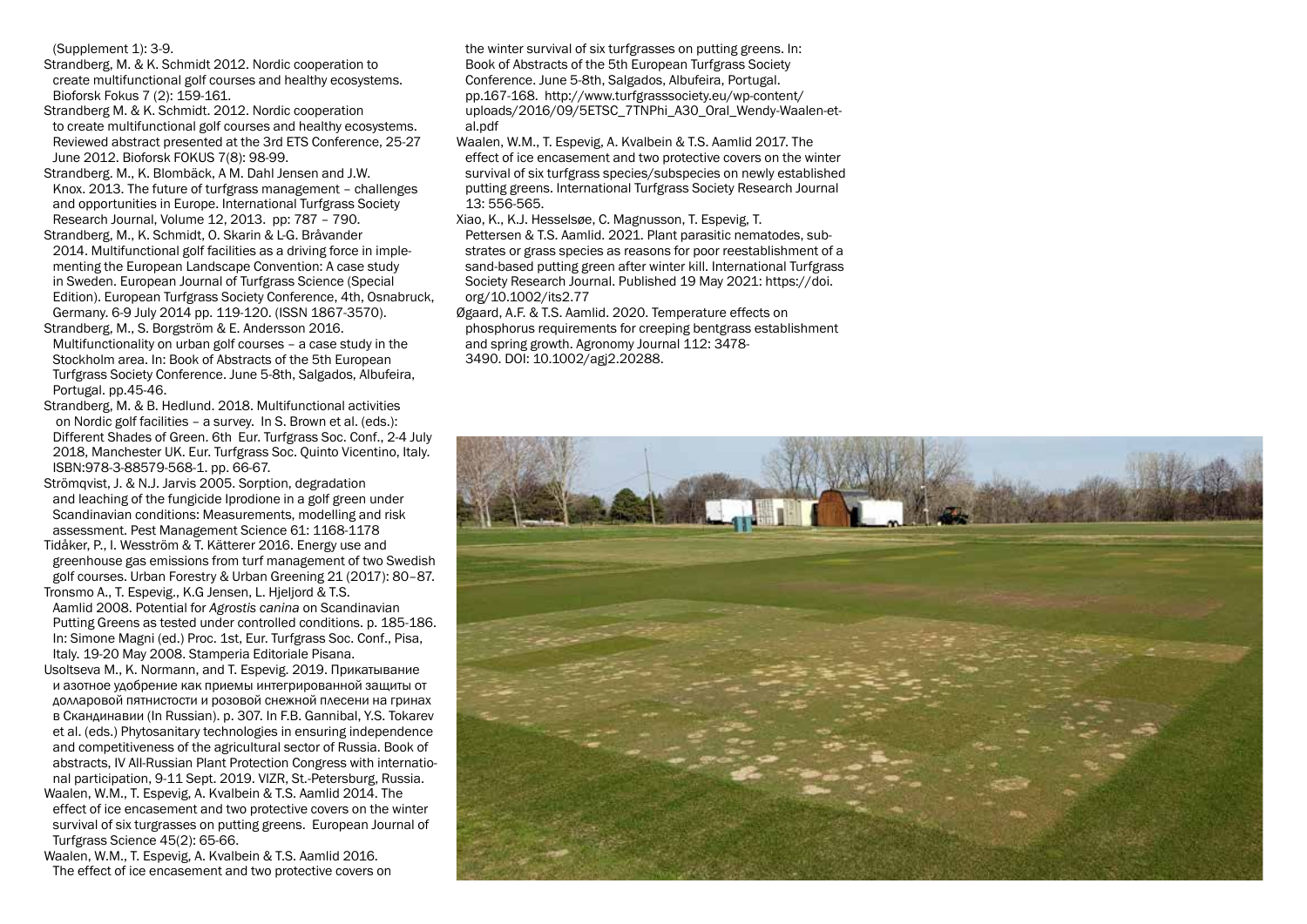(Supplement 1): 3-9.

Strandberg, M. & K. Schmidt 2012. Nordic cooperation to create multifunctional golf courses and healthy ecosystems. Bioforsk Fokus 7 (2): 159-161.

Strandberg M. & K. Schmidt. 2012. Nordic cooperation to create multifunctional golf courses and healthy ecosystems. Reviewed abstract presented at the 3rd ETS Conference, 25-27 June 2012. Bioforsk FOKUS 7(8): 98-99.

Strandberg. M., K. Blombäck, A M. Dahl Jensen and J.W. Knox. 2013. The future of turfgrass management – challenges and opportunities in Europe. International Turfgrass Society Research Journal, Volume 12, 2013. pp: 787 – 790.

Strandberg, M., K. Schmidt, O. Skarin & L-G. Bråvander 2014. Multifunctional golf facilities as a driving force in implementing the European Landscape Convention: A case study in Sweden. European Journal of Turfgrass Science (Special Edition). European Turfgrass Society Conference, 4th, Osnabruck, Germany. 6-9 July 2014 pp. 119-120. (ISSN 1867-3570).

Strandberg, M., S. Borgström & E. Andersson 2016. Multifunctionality on urban golf courses – a case study in the Stockholm area. In: Book of Abstracts of the 5th European Turfgrass Society Conference. June 5-8th, Salgados, Albufeira, Portugal. pp.45-46.

Strandberg, M. & B. Hedlund. 2018. Multifunctional activities on Nordic golf facilities – a survey. In S. Brown et al. (eds.): Different Shades of Green. 6th Eur. Turfgrass Soc. Conf., 2-4 July 2018, Manchester UK. Eur. Turfgrass Soc. Quinto Vicentino, Italy. ISBN:978-3-88579-568-1. pp. 66-67.

Strömqvist, J. & N.J. Jarvis 2005. Sorption, degradation and leaching of the fungicide Iprodione in a golf green under Scandinavian conditions: Measurements, modelling and risk assessment. Pest Management Science 61: 1168-1178

Tidåker, P., I. Wesström & T. Kätterer 2016. Energy use and greenhouse gas emissions from turf management of two Swedish golf courses. Urban Forestry & Urban Greening 21 (2017): 80–87. Tronsmo A., T. Espevig., K.G Jensen, L. Hjeljord & T.S.

Aamlid 2008. Potential for *Agrostis canina* on Scandinavian Putting Greens as tested under controlled conditions. p. 185-186. In: Simone Magni (ed.) Proc. 1st, Eur. Turfgrass Soc. Conf., Pisa, Italy. 19-20 May 2008. Stamperia Editoriale Pisana.

Usoltseva M., K. Normann, and T. Espevig. 2019. Прикатывание и азотное удобрение как приемы интегрированной защиты от долларовой пятнистости и розовой снежной плесени на гринах в Cкандинавии (In Russian). p. 307. In F.B. Gannibal, Y.S. Tokarev et al. (eds.) Phytosanitary technologies in ensuring independence and competitiveness of the agricultural sector of Russia. Book of abstracts, IV All-Russian Plant Protection Congress with international participation, 9-11 Sept. 2019. VIZR, St.-Petersburg, Russia.

Waalen, W.M., T. Espevig, A. Kvalbein & T.S. Aamlid 2014. The effect of ice encasement and two protective covers on the winter survival of six turgrasses on putting greens. European Journal of Turfgrass Science 45(2): 65-66.

Waalen, W.M., T. Espevig, A. Kvalbein & T.S. Aamlid 2016. The effect of ice encasement and two protective covers on

the winter survival of six turfgrasses on putting greens. In: Book of Abstracts of the 5th European Turfgrass Society Conference. June 5-8th, Salgados, Albufeira, Portugal. pp.167-168. http://www.turfgrasssociety.eu/wp-content/ uploads/2016/09/5ETSC\_7TNPhi\_A30\_Oral\_Wendy-Waalen-etal.pdf

Waalen, W.M., T. Espevig, A. Kvalbein & T.S. Aamlid 2017. The effect of ice encasement and two protective covers on the winter survival of six turfgrass species/subspecies on newly established putting greens. International Turfgrass Society Research Journal 13: 556-565.

Xiao, K., K.J. Hesselsøe, C. Magnusson, T. Espevig, T. Pettersen & T.S. Aamlid. 2021. Plant parasitic nematodes, substrates or grass species as reasons for poor reestablishment of a sand-based putting green after winter kill. International Turfgrass Society Research Journal. Published 19 May 2021: https://doi. org/10.1002/its2.77

Øgaard, A.F. & T.S. Aamlid. 2020. Temperature effects on phosphorus requirements for creeping bentgrass establishment and spring growth. Agronomy Journal 112: 3478- 3490. DOI: 10.1002/agj2.20288.

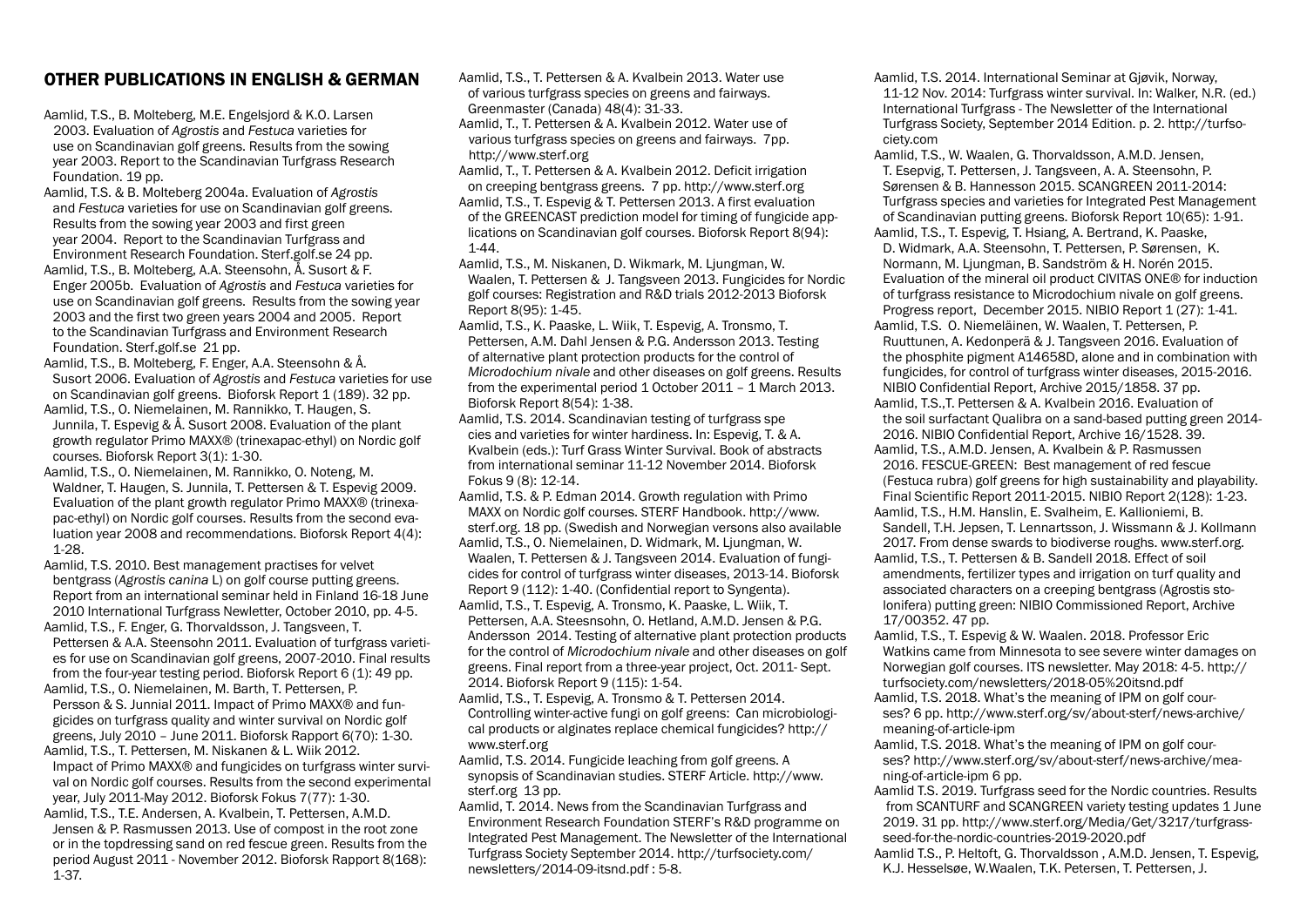## OTHER PUBLICATIONS IN ENGLISH & GERMAN

Aamlid, T.S., B. Molteberg, M.E. Engelsjord & K.O. Larsen 2003. Evaluation of *Agrostis* and *Festuca* varieties for use on Scandinavian golf greens. Results from the sowing year 2003. Report to the Scandinavian Turfgrass Research Foundation. 19 pp.

Aamlid, T.S. & B. Molteberg 2004a. Evaluation of *Agrostis* and *Festuca* varieties for use on Scandinavian golf greens. Results from the sowing year 2003 and first green year 2004. Report to the Scandinavian Turfgrass and Environment Research Foundation. Sterf.golf.se 24 pp.

Aamlid, T.S., B. Molteberg, A.A. Steensohn, Å. Susort & F. Enger 2005b. Evaluation of *Agrostis* and *Festuca* varieties for use on Scandinavian golf greens. Results from the sowing year 2003 and the first two green years 2004 and 2005. Report to the Scandinavian Turfgrass and Environment Research Foundation. Sterf.golf.se 21 pp.

Aamlid, T.S., B. Molteberg, F. Enger, A.A. Steensohn & Å. Susort 2006. Evaluation of *Agrostis* and *Festuca* varieties for use on Scandinavian golf greens. Bioforsk Report 1 (189). 32 pp.

Aamlid, T.S., O. Niemelainen, M. Rannikko, T. Haugen, S. Junnila, T. Espevig & Å. Susort 2008. Evaluation of the plant growth regulator Primo MAXX® (trinexapac-ethyl) on Nordic golf courses. Bioforsk Report 3(1): 1-30.

Aamlid, T.S., O. Niemelainen, M. Rannikko, O. Noteng, M. Waldner, T. Haugen, S. Junnila, T. Pettersen & T. Espevig 2009. Evaluation of the plant growth regulator Primo MAXX® (trinexapac-ethyl) on Nordic golf courses. Results from the second evaluation year 2008 and recommendations. Bioforsk Report 4(4): 1-28.

Aamlid, T.S. 2010. Best management practises for velvet bentgrass (*Agrostis canina* L) on golf course putting greens. Report from an international seminar held in Finland 16-18 June 2010 International Turfgrass Newletter, October 2010, pp. 4-5. Aamlid, T.S., F. Enger, G. Thorvaldsson, J. Tangsveen, T.

Pettersen & A.A. Steensohn 2011. Evaluation of turfgrass varieties for use on Scandinavian golf greens, 2007-2010. Final results from the four-year testing period. Bioforsk Report 6 (1): 49 pp.

Aamlid, T.S., O. Niemelainen, M. Barth, T. Pettersen, P. Persson & S. Junnial 2011. Impact of Primo MAXX® and fungicides on turfgrass quality and winter survival on Nordic golf greens, July 2010 – June 2011. Bioforsk Rapport 6(70): 1-30.

Aamlid, T.S., T. Pettersen, M. Niskanen & L. Wiik 2012. Impact of Primo MAXX® and fungicides on turfgrass winter survival on Nordic golf courses. Results from the second experimental year, July 2011-May 2012. Bioforsk Fokus 7(77): 1-30.

Aamlid, T.S., T.E. Andersen, A. Kvalbein, T. Pettersen, A.M.D. Jensen & P. Rasmussen 2013. Use of compost in the root zone or in the topdressing sand on red fescue green. Results from the period August 2011 - November 2012. Bioforsk Rapport 8(168): 1-37.

Aamlid, T.S., T. Pettersen & A. Kvalbein 2013. Water use of various turfgrass species on greens and fairways. Greenmaster (Canada) 48(4): 31-33.

Aamlid, T., T. Pettersen & A. Kvalbein 2012. Water use of various turfgrass species on greens and fairways. 7pp. http://www.sterf.org

Aamlid, T., T. Pettersen & A. Kvalbein 2012. Deficit irrigation on creeping bentgrass greens. 7 pp. http://www.sterf.org Aamlid, T.S., T. Espevig & T. Pettersen 2013. A first evaluation of the GREENCAST prediction model for timing of fungicide applications on Scandinavian golf courses. Bioforsk Report 8(94): 1-44.

Aamlid, T.S., M. Niskanen, D. Wikmark, M. Ljungman, W. Waalen, T. Pettersen & J. Tangsveen 2013. Fungicides for Nordic golf courses: Registration and R&D trials 2012-2013 Bioforsk Report 8(95): 1-45.

Aamlid, T.S., K. Paaske, L. Wiik, T. Espevig, A. Tronsmo, T. Pettersen, A.M. Dahl Jensen & P.G. Andersson 2013. Testing of alternative plant protection products for the control of *Microdochium nivale* and other diseases on golf greens. Results from the experimental period 1 October 2011 – 1 March 2013. Bioforsk Report 8(54): 1-38.

Aamlid, T.S. 2014. Scandinavian testing of turfgrass spe cies and varieties for winter hardiness. In: Espevig, T. & A. Kvalbein (eds.): Turf Grass Winter Survival. Book of abstracts from international seminar 11-12 November 2014. Bioforsk Fokus 9 (8): 12-14.

Aamlid, T.S. & P. Edman 2014. Growth regulation with Primo MAXX on Nordic golf courses. STERF Handbook. http://www. sterf.org. 18 pp. (Swedish and Norwegian versons also available Aamlid, T.S., O. Niemelainen, D. Widmark, M. Ljungman, W. Waalen, T. Pettersen & J. Tangsveen 2014. Evaluation of fungicides for control of turfgrass winter diseases, 2013-14. Bioforsk Report 9 (112): 1-40. (Confidential report to Syngenta). Aamlid, T.S., T. Espevig, A. Tronsmo, K. Paaske, L. Wiik, T.

Pettersen, A.A. Steesnsohn, O. Hetland, A.M.D. Jensen & P.G. Andersson 2014. Testing of alternative plant protection products for the control of *Microdochium nivale* and other diseases on golf greens. Final report from a three-year project, Oct. 2011- Sept. 2014. Bioforsk Report 9 (115): 1-54.

Aamlid, T.S., T. Espevig, A. Tronsmo & T. Pettersen 2014. Controlling winter-active fungi on golf greens: Can microbiological products or alginates replace chemical fungicides? http:// www.sterf.org

Aamlid, T.S. 2014. Fungicide leaching from golf greens. A synopsis of Scandinavian studies. STERF Article. http://www. sterf.org 13 pp.

Aamlid, T. 2014. News from the Scandinavian Turfgrass and Environment Research Foundation STERF's R&D programme on Integrated Pest Management. The Newsletter of the International Turfgrass Society September 2014. http://turfsociety.com/ newsletters/2014-09-itsnd.pdf : 5-8.

Aamlid, T.S. 2014. International Seminar at Gjøvik, Norway, 11-12 Nov. 2014: Turfgrass winter survival. In: Walker, N.R. (ed.) International Turfgrass - The Newsletter of the International Turfgrass Society, September 2014 Edition. p. 2. http://turfsociety.com

Aamlid, T.S., W. Waalen, G. Thorvaldsson, A.M.D. Jensen, T. Esepvig, T. Pettersen, J. Tangsveen, A. A. Steensohn, P. Sørensen & B. Hannesson 2015. SCANGREEN 2011-2014: Turfgrass species and varieties for Integrated Pest Management of Scandinavian putting greens. Bioforsk Report 10(65): 1-91.

Aamlid, T.S., T. Espevig, T. Hsiang, A. Bertrand, K. Paaske, D. Widmark, A.A. Steensohn, T. Pettersen, P. Sørensen, K. Normann, M. Ljungman, B. Sandström & H. Norén 2015. Evaluation of the mineral oil product CIVITAS ONE® for induction of turfgrass resistance to Microdochium nivale on golf greens. Progress report, December 2015. NIBIO Report 1 (27): 1-41.

Aamlid, T.S. O. Niemeläinen, W. Waalen, T. Pettersen, P. Ruuttunen, A. Kedonperä & J. Tangsveen 2016. Evaluation of the phosphite pigment A14658D, alone and in combination with fungicides, for control of turfgrass winter diseases, 2015-2016. NIBIO Confidential Report, Archive 2015/1858. 37 pp.

Aamlid, T.S.,T. Pettersen & A. Kvalbein 2016. Evaluation of the soil surfactant Qualibra on a sand-based putting green 2014- 2016. NIBIO Confidential Report, Archive 16/1528. 39.

Aamlid, T.S., A.M.D. Jensen, A. Kvalbein & P. Rasmussen 2016. FESCUE-GREEN: Best management of red fescue (Festuca rubra) golf greens for high sustainability and playability. Final Scientific Report 2011-2015. NIBIO Report 2(128): 1-23.

Aamlid, T.S., H.M. Hanslin, E. Svalheim, E. Kallioniemi, B. Sandell, T.H. Jepsen, T. Lennartsson, J. Wissmann & J. Kollmann 2017. From dense swards to biodiverse roughs. www.sterf.org.

Aamlid, T.S., T. Pettersen & B. Sandell 2018. Effect of soil amendments, fertilizer types and irrigation on turf quality and associated characters on a creeping bentgrass (Agrostis stolonifera) putting green: NIBIO Commissioned Report, Archive 17/00352. 47 pp.

Aamlid, T.S., T. Espevig & W. Waalen. 2018. Professor Eric Watkins came from Minnesota to see severe winter damages on Norwegian golf courses. ITS newsletter. May 2018: 4-5. http:// turfsociety.com/newsletters/2018-05%20itsnd.pdf

Aamlid, T.S. 2018. What's the meaning of IPM on golf courses? 6 pp. http://www.sterf.org/sv/about-sterf/news-archive/ meaning-of-article-ipm

Aamlid, T.S. 2018. What's the meaning of IPM on golf courses? http://www.sterf.org/sv/about-sterf/news-archive/meaning-of-article-ipm 6 pp.

Aamlid T.S. 2019. Turfgrass seed for the Nordic countries. Results from SCANTURF and SCANGREEN variety testing updates 1 June 2019. 31 pp. http://www.sterf.org/Media/Get/3217/turfgrassseed-for-the-nordic-countries-2019-2020.pdf

Aamlid T.S., P. Heltoft, G. Thorvaldsson , A.M.D. Jensen, T. Espevig, K.J. Hesselsøe, W.Waalen, T.K. Petersen, T. Pettersen, J.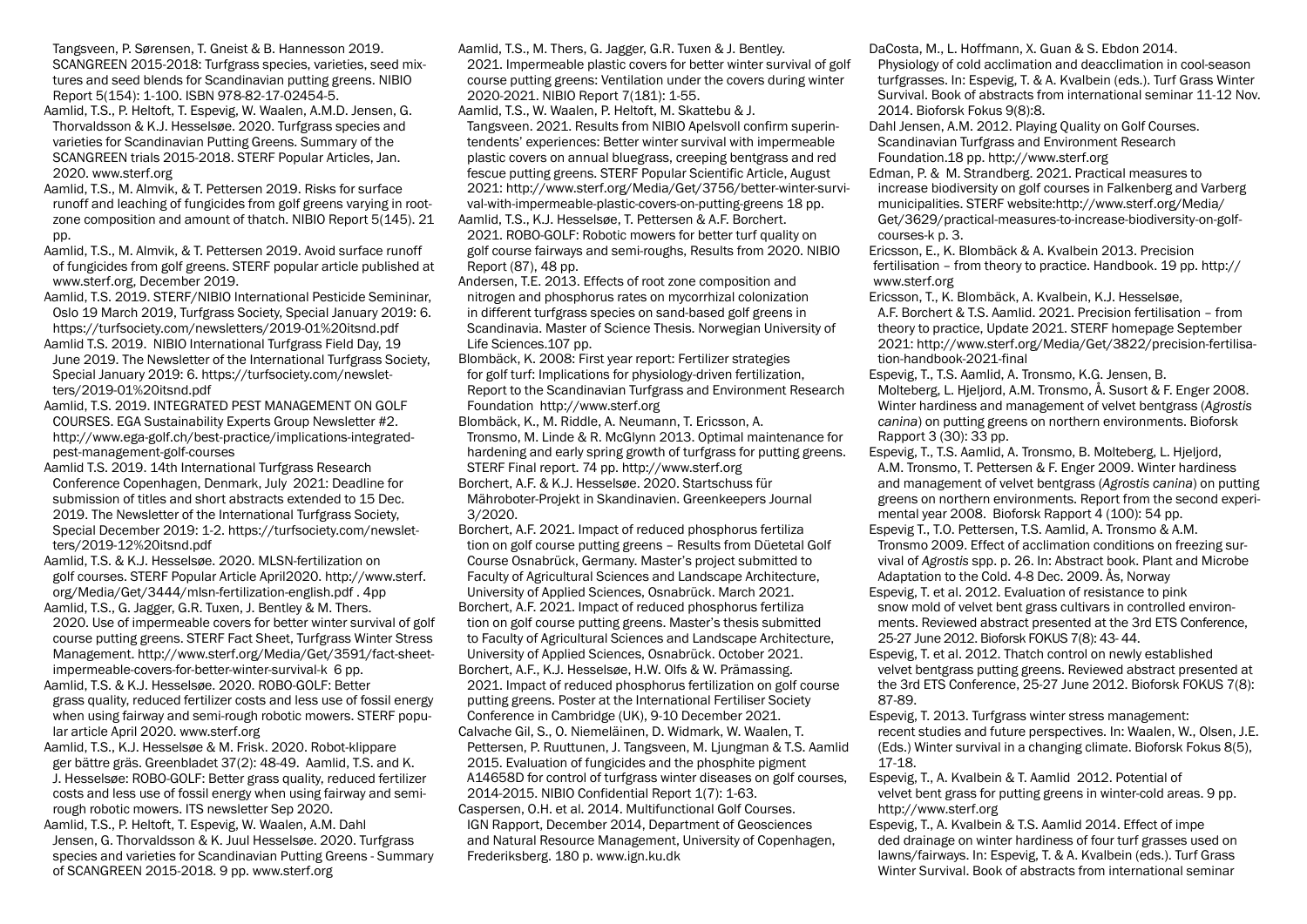Tangsveen, P. Sørensen, T. Gneist & B. Hannesson 2019. SCANGREEN 2015-2018: Turfgrass species, varieties, seed mixtures and seed blends for Scandinavian putting greens. NIBIO Report 5(154): 1-100. ISBN 978-82-17-02454-5.

Aamlid, T.S., P. Heltoft, T. Espevig, W. Waalen, A.M.D. Jensen, G. Thorvaldsson & K.J. Hesselsøe. 2020. Turfgrass species and varieties for Scandinavian Putting Greens. Summary of the SCANGREEN trials 2015-2018. STERF Popular Articles, Jan. 2020. www.sterf.org

Aamlid, T.S., M. Almvik, & T. Pettersen 2019. Risks for surface runoff and leaching of fungicides from golf greens varying in rootzone composition and amount of thatch. NIBIO Report 5(145). 21 pp.

Aamlid, T.S., M. Almvik, & T. Pettersen 2019. Avoid surface runoff of fungicides from golf greens. STERF popular article published at www.sterf.org, December 2019.

Aamlid, T.S. 2019. STERF/NIBIO International Pesticide Semininar, Oslo 19 March 2019, Turfgrass Society, Special January 2019: 6. https://turfsociety.com/newsletters/2019-01%20itsnd.pdf

Aamlid T.S. 2019. NIBIO International Turfgrass Field Day, 19 June 2019. The Newsletter of the International Turfgrass Society, Special January 2019: 6. https://turfsociety.com/newsletters/2019-01%20itsnd.pdf

Aamlid, T.S. 2019. INTEGRATED PEST MANAGEMENT ON GOLF COURSES. EGA Sustainability Experts Group Newsletter #2. http://www.ega-golf.ch/best-practice/implications-integratedpest-management-golf-courses

Aamlid T.S. 2019. 14th International Turfgrass Research Conference Copenhagen, Denmark, July 2021: Deadline for submission of titles and short abstracts extended to 15 Dec. 2019. The Newsletter of the International Turfgrass Society, Special December 2019: 1-2. https://turfsociety.com/newsletters/2019-12%20itsnd.pdf

Aamlid, T.S. & K.J. Hesselsøe. 2020. MLSN-fertilization on golf courses. STERF Popular Article April2020. http://www.sterf. org/Media/Get/3444/mlsn-fertilization-english.pdf . 4pp

Aamlid, T.S., G. Jagger, G.R. Tuxen, J. Bentley & M. Thers. 2020. Use of impermeable covers for better winter survival of golf course putting greens. STERF Fact Sheet, Turfgrass Winter Stress Management. http://www.sterf.org/Media/Get/3591/fact-sheetimpermeable-covers-for-better-winter-survival-k 6 pp.

Aamlid, T.S. & K.J. Hesselsøe. 2020. ROBO-GOLF: Better grass quality, reduced fertilizer costs and less use of fossil energy when using fairway and semi-rough robotic mowers. STERF popular article April 2020. www.sterf.org

Aamlid, T.S., K.J. Hesselsøe & M. Frisk. 2020. Robot-klippare ger bättre gräs. Greenbladet 37(2): 48-49. Aamlid, T.S. and K. J. Hesselsøe: ROBO-GOLF: Better grass quality, reduced fertilizer costs and less use of fossil energy when using fairway and semirough robotic mowers. ITS newsletter Sep 2020.

Aamlid, T.S., P. Heltoft, T. Espevig, W. Waalen, A.M. Dahl Jensen, G. Thorvaldsson & K. Juul Hesselsøe. 2020. Turfgrass species and varieties for Scandinavian Putting Greens - Summary of SCANGREEN 2015-2018. 9 pp. www.sterf.org

Aamlid, T.S., M. Thers, G. Jagger, G.R. Tuxen & J. Bentley.

2021. Impermeable plastic covers for better winter survival of golf course putting greens: Ventilation under the covers during winter 2020-2021. NIBIO Report 7(181): 1-55.

Aamlid, T.S., W. Waalen, P. Heltoft, M. Skattebu & J. Tangsveen. 2021. Results from NIBIO Apelsvoll confirm superintendents' experiences: Better winter survival with impermeable plastic covers on annual bluegrass, creeping bentgrass and red fescue putting greens. STERF Popular Scientific Article, August 2021: http://www.sterf.org/Media/Get/3756/better-winter-survival-with-impermeable-plastic-covers-on-putting-greens 18 pp. Aamlid, T.S., K.J. Hesselsøe, T. Pettersen & A.F. Borchert.

2021. ROBO-GOLF: Robotic mowers for better turf quality on golf course fairways and semi-roughs, Results from 2020. NIBIO Report (87), 48 pp.

Andersen, T.E. 2013. Effects of root zone composition and nitrogen and phosphorus rates on mycorrhizal colonization in different turfgrass species on sand-based golf greens in Scandinavia. Master of Science Thesis. Norwegian University of Life Sciences.107 pp.

Blombäck, K. 2008: First year report: Fertilizer strategies for golf turf: Implications for physiology-driven fertilization, Report to the Scandinavian Turfgrass and Environment Research Foundation http://www.sterf.org

Blombäck, K., M. Riddle, A. Neumann, T. Ericsson, A. Tronsmo, M. Linde & R. McGlynn 2013. Optimal maintenance for hardening and early spring growth of turfgrass for putting greens. STERF Final report. 74 pp. http://www.sterf.org

Borchert, A.F. & K.J. Hesselsøe. 2020. Startschuss für Mähroboter-Projekt in Skandinavien. Greenkeepers Journal 3/2020.

Borchert, A.F. 2021. Impact of reduced phosphorus fertiliza tion on golf course putting greens – Results from Düetetal Golf Course Osnabrück, Germany. Master's project submitted to Faculty of Agricultural Sciences and Landscape Architecture, University of Applied Sciences, Osnabrück. March 2021. Borchert, A.F. 2021. Impact of reduced phosphorus fertiliza tion on golf course putting greens. Master's thesis submitted to Faculty of Agricultural Sciences and Landscape Architecture, University of Applied Sciences, Osnabrück. October 2021. Borchert, A.F., K.J. Hesselsøe, H.W. Olfs & W. Prämassing. 2021. Impact of reduced phosphorus fertilization on golf course putting greens. Poster at the International Fertiliser Society Conference in Cambridge (UK), 9-10 December 2021. Calvache Gil, S., O. Niemeläinen, D. Widmark, W. Waalen, T. Pettersen, P. Ruuttunen, J. Tangsveen, M. Ljungman & T.S. Aamlid 2015. Evaluation of fungicides and the phosphite pigment A14658D for control of turfgrass winter diseases on golf courses, 2014-2015. NIBIO Confidential Report 1(7): 1-63. Caspersen, O.H. et al. 2014. Multifunctional Golf Courses. IGN Rapport, December 2014, Department of Geosciences and Natural Resource Management, University of Copenhagen, Frederiksberg. 180 p. www.ign.ku.dk

DaCosta, M., L. Hoffmann, X. Guan & S. Ebdon 2014.

Physiology of cold acclimation and deacclimation in cool-season turfgrasses. In: Espevig, T. & A. Kvalbein (eds.). Turf Grass Winter Survival. Book of abstracts from international seminar 11-12 Nov. 2014. Bioforsk Fokus 9(8):8.

Dahl Jensen, A.M. 2012. Playing Quality on Golf Courses. Scandinavian Turfgrass and Environment Research Foundation.18 pp. http://www.sterf.org

Edman, P. & M. Strandberg. 2021. Practical measures to increase biodiversity on golf courses in Falkenberg and Varberg municipalities. STERF website:http://www.sterf.org/Media/ Get/3629/practical-measures-to-increase-biodiversity-on-golfcourses-k p. 3.

Ericsson, E., K. Blombäck & A. Kvalbein 2013. Precision fertilisation – from theory to practice. Handbook. 19 pp. http:// www.sterf.org

Ericsson, T., K. Blombäck, A. Kvalbein, K.J. Hesselsøe, A.F. Borchert & T.S. Aamlid. 2021. Precision fertilisation – from theory to practice, Update 2021. STERF homepage September 2021: http://www.sterf.org/Media/Get/3822/precision-fertilisation-handbook-2021-final

Espevig, T., T.S. Aamlid, A. Tronsmo, K.G. Jensen, B. Molteberg, L. Hjeljord, A.M. Tronsmo, Å. Susort & F. Enger 2008. Winter hardiness and management of velvet bentgrass (*Agrostis canina*) on putting greens on northern environments. Bioforsk Rapport 3 (30): 33 pp.

Espevig, T., T.S. Aamlid, A. Tronsmo, B. Molteberg, L. Hjeljord, A.M. Tronsmo, T. Pettersen & F. Enger 2009. Winter hardiness and management of velvet bentgrass (*Agrostis canina*) on putting greens on northern environments. Report from the second experimental year 2008. Bioforsk Rapport 4 (100): 54 pp.

Espevig T., T.O. Pettersen, T.S. Aamlid, A. Tronsmo & A.M. Tronsmo 2009. Effect of acclimation conditions on freezing survival of *Agrostis* spp. p. 26. In: Abstract book. Plant and Microbe Adaptation to the Cold. 4-8 Dec. 2009. Ås, Norway

Espevig, T. et al. 2012. Evaluation of resistance to pink snow mold of velvet bent grass cultivars in controlled environments. Reviewed abstract presented at the 3rd ETS Conference, 25-27 June 2012. Bioforsk FOKUS 7(8): 43- 44.

Espevig, T. et al. 2012. Thatch control on newly established velvet bentgrass putting greens. Reviewed abstract presented at the 3rd ETS Conference, 25-27 June 2012. Bioforsk FOKUS 7(8): 87-89.

Espevig, T. 2013. Turfgrass winter stress management: recent studies and future perspectives. In: Waalen, W., Olsen, J.E. (Eds.) Winter survival in a changing climate. Bioforsk Fokus 8(5), 17-18.

Espevig, T., A. Kvalbein & T. Aamlid 2012. Potential of velvet bent grass for putting greens in winter-cold areas. 9 pp. http://www.sterf.org

Espevig, T., A. Kvalbein & T.S. Aamlid 2014. Effect of impe ded drainage on winter hardiness of four turf grasses used on lawns/fairways. In: Espevig, T. & A. Kvalbein (eds.). Turf Grass Winter Survival. Book of abstracts from international seminar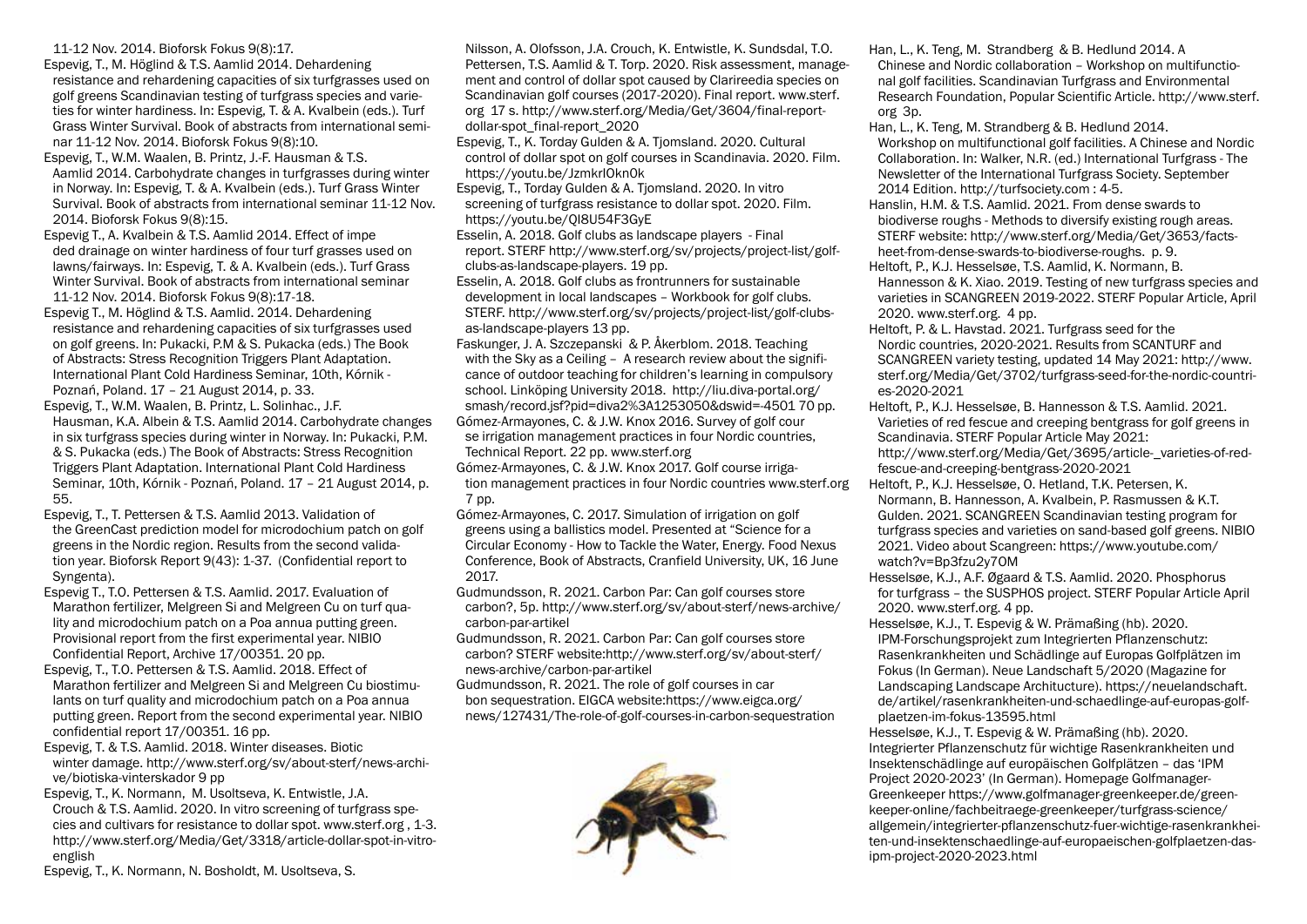11-12 Nov. 2014. Bioforsk Fokus 9(8):17.

Espevig, T., M. Höglind & T.S. Aamlid 2014. Dehardening resistance and rehardening capacities of six turfgrasses used on golf greens Scandinavian testing of turfgrass species and varieties for winter hardiness. In: Espevig, T. & A. Kvalbein (eds.). Turf Grass Winter Survival. Book of abstracts from international seminar 11-12 Nov. 2014. Bioforsk Fokus 9(8):10.

Espevig, T., W.M. Waalen, B. Printz, J.-F. Hausman & T.S. Aamlid 2014. Carbohydrate changes in turfgrasses during winter in Norway. In: Espevig, T. & A. Kvalbein (eds.). Turf Grass Winter Survival. Book of abstracts from international seminar 11-12 Nov. 2014. Bioforsk Fokus 9(8):15.

Espevig T., A. Kvalbein & T.S. Aamlid 2014. Effect of impe ded drainage on winter hardiness of four turf grasses used on lawns/fairways. In: Espevig, T. & A. Kvalbein (eds.). Turf Grass Winter Survival. Book of abstracts from international seminar 11-12 Nov. 2014. Bioforsk Fokus 9(8):17-18.

Espevig T., M. Höglind & T.S. Aamlid. 2014. Dehardening resistance and rehardening capacities of six turfgrasses used on golf greens. In: Pukacki, P.M & S. Pukacka (eds.) The Book of Abstracts: Stress Recognition Triggers Plant Adaptation. International Plant Cold Hardiness Seminar, 10th, Kórnik - Poznań, Poland. 17 – 21 August 2014, p. 33.

Espevig, T., W.M. Waalen, B. Printz, L. Solinhac., J.F. Hausman, K.A. Albein & T.S. Aamlid 2014. Carbohydrate changes in six turfgrass species during winter in Norway. In: Pukacki, P.M. & S. Pukacka (eds.) The Book of Abstracts: Stress Recognition Triggers Plant Adaptation. International Plant Cold Hardiness Seminar, 10th, Kórnik - Poznań, Poland. 17 – 21 August 2014, p. 55.

Espevig, T., T. Pettersen & T.S. Aamlid 2013. Validation of the GreenCast prediction model for microdochium patch on golf greens in the Nordic region. Results from the second validation year. Bioforsk Report 9(43): 1-37. (Confidential report to Syngenta).

Espevig T., T.O. Pettersen & T.S. Aamlid. 2017. Evaluation of Marathon fertilizer, Melgreen Si and Melgreen Cu on turf quality and microdochium patch on a Poa annua putting green. Provisional report from the first experimental year. NIBIO Confidential Report, Archive 17/00351. 20 pp.

Espevig, T., T.O. Pettersen & T.S. Aamlid. 2018. Effect of Marathon fertilizer and Melgreen Si and Melgreen Cu biostimulants on turf quality and microdochium patch on a Poa annua putting green. Report from the second experimental year. NIBIO confidential report 17/00351. 16 pp.

Espevig, T. & T.S. Aamlid. 2018. Winter diseases. Biotic winter damage. http://www.sterf.org/sv/about-sterf/news-archive/biotiska-vinterskador 9 pp

Espevig, T., K. Normann, M. Usoltseva, K. Entwistle, J.A. Crouch & T.S. Aamlid. 2020. In vitro screening of turfgrass species and cultivars for resistance to dollar spot. www.sterf.org , 1-3. http://www.sterf.org/Media/Get/3318/article-dollar-spot-in-vitroenglish

Espevig, T., K. Normann, N. Bosholdt, M. Usoltseva, S.

Nilsson, A. Olofsson, J.A. Crouch, K. Entwistle, K. Sundsdal, T.O. Pettersen, T.S. Aamlid & T. Torp. 2020. Risk assessment, management and control of dollar spot caused by Clarireedia species on Scandinavian golf courses (2017-2020). Final report. www.sterf. org 17 s. http://www.sterf.org/Media/Get/3604/final-reportdollar-spot\_final-report\_2020

Espevig, T., K. Torday Gulden & A. Tjomsland. 2020. Cultural control of dollar spot on golf courses in Scandinavia. 2020. Film. https://youtu.be/JzmkrIOkn0k

Espevig, T., Torday Gulden & A. Tjomsland. 2020. In vitro screening of turfgrass resistance to dollar spot. 2020. Film. https://youtu.be/QI8U54F3GyE

Esselin, A. 2018. Golf clubs as landscape players - Final report. STERF http://www.sterf.org/sv/projects/project-list/golfclubs-as-landscape-players. 19 pp.

Esselin, A. 2018. Golf clubs as frontrunners for sustainable development in local landscapes – Workbook for golf clubs. STERF. http://www.sterf.org/sv/projects/project-list/golf-clubsas-landscape-players 13 pp.

Faskunger, J. A. Szczepanski & P. Åkerblom. 2018. Teaching with the Sky as a Ceiling - A research review about the significance of outdoor teaching for children's learning in compulsory school. Linköping University 2018. http://liu.diva-portal.org/ smash/record.jsf?pid=diva2%3A1253050&dswid=-4501 70 pp. Gómez-Armayones, C. & J.W. Knox 2016. Survey of golf cour se irrigation management practices in four Nordic countries, Technical Report. 22 pp. www.sterf.org

Gómez-Armayones, C. & J.W. Knox 2017. Golf course irrigation management practices in four Nordic countries www.sterf.org 7 pp.

Gómez-Armayones, C. 2017. Simulation of irrigation on golf greens using a ballistics model. Presented at "Science for a Circular Economy - How to Tackle the Water, Energy. Food Nexus Conference, Book of Abstracts, Cranfield University, UK, 16 June 2017.

Gudmundsson, R. 2021. Carbon Par: Can golf courses store carbon?, 5p. http://www.sterf.org/sv/about-sterf/news-archive/ carbon-par-artikel

Gudmundsson, R. 2021. Carbon Par: Can golf courses store carbon? STERF website:http://www.sterf.org/sv/about-sterf/ news-archive/carbon-par-artikel

Gudmundsson, R. 2021. The role of golf courses in car bon sequestration. EIGCA website:https://www.eigca.org/ news/127431/The-role-of-golf-courses-in-carbon-sequestration



Han, L., K. Teng, M. Strandberg & B. Hedlund 2014. A Chinese and Nordic collaboration – Workshop on multifunctional golf facilities. Scandinavian Turfgrass and Environmental Research Foundation, Popular Scientific Article. http://www.sterf. org 3p.

Han, L., K. Teng, M. Strandberg & B. Hedlund 2014. Workshop on multifunctional golf facilities. A Chinese and Nordic Collaboration. In: Walker, N.R. (ed.) International Turfgrass - The Newsletter of the International Turfgrass Society. September 2014 Edition. http://turfsociety.com : 4-5.

Hanslin, H.M. & T.S. Aamlid. 2021. From dense swards to biodiverse roughs - Methods to diversify existing rough areas. STERF website: http://www.sterf.org/Media/Get/3653/factsheet-from-dense-swards-to-biodiverse-roughs. p. 9.

Heltoft, P., K.J. Hesselsøe, T.S. Aamlid, K. Normann, B. Hannesson & K. Xiao. 2019. Testing of new turfgrass species and varieties in SCANGREEN 2019-2022. STERF Popular Article, April 2020. www.sterf.org. 4 pp.

Heltoft, P. & L. Havstad. 2021. Turfgrass seed for the Nordic countries, 2020-2021. Results from SCANTURF and SCANGREEN variety testing, updated 14 May 2021: http://www. sterf.org/Media/Get/3702/turfgrass-seed-for-the-nordic-countries-2020-2021

Heltoft, P., K.J. Hesselsøe, B. Hannesson & T.S. Aamlid. 2021. Varieties of red fescue and creeping bentgrass for golf greens in Scandinavia. STERF Popular Article May 2021:

http://www.sterf.org/Media/Get/3695/article-\_varieties-of-redfescue-and-creeping-bentgrass-2020-2021

Heltoft, P., K.J. Hesselsøe, O. Hetland, T.K. Petersen, K. Normann, B. Hannesson, A. Kvalbein, P. Rasmussen & K.T. Gulden. 2021. SCANGREEN Scandinavian testing program for turfgrass species and varieties on sand-based golf greens. NIBIO 2021. Video about Scangreen: https://www.youtube.com/ watch?v=Bp3fzu2y7OM

Hesselsøe, K.J., A.F. Øgaard & T.S. Aamlid. 2020. Phosphorus for turfgrass – the SUSPHOS project. STERF Popular Article April 2020. www.sterf.org. 4 pp.

Hesselsøe, K.J., T. Espevig & W. Prämaßing (hb). 2020. IPM-Forschungsprojekt zum Integrierten Pflanzenschutz: Rasenkrankheiten und Schädlinge auf Europas Golfplätzen im Fokus (In German). Neue Landschaft 5/2020 (Magazine for Landscaping Landscape Architucture). https://neuelandschaft. de/artikel/rasenkrankheiten-und-schaedlinge-auf-europas-golfplaetzen-im-fokus-13595.html

Hesselsøe, K.J., T. Espevig & W. Prämaßing (hb). 2020. Integrierter Pflanzenschutz für wichtige Rasenkrankheiten und Insektenschädlinge auf europäischen Golfplätzen – das 'IPM Project 2020-2023' (In German). Homepage Golfmanager-Greenkeeper https://www.golfmanager-greenkeeper.de/greenkeeper-online/fachbeitraege-greenkeeper/turfgrass-science/ allgemein/integrierter-pflanzenschutz-fuer-wichtige-rasenkrankheiten-und-insektenschaedlinge-auf-europaeischen-golfplaetzen-dasipm-project-2020-2023.html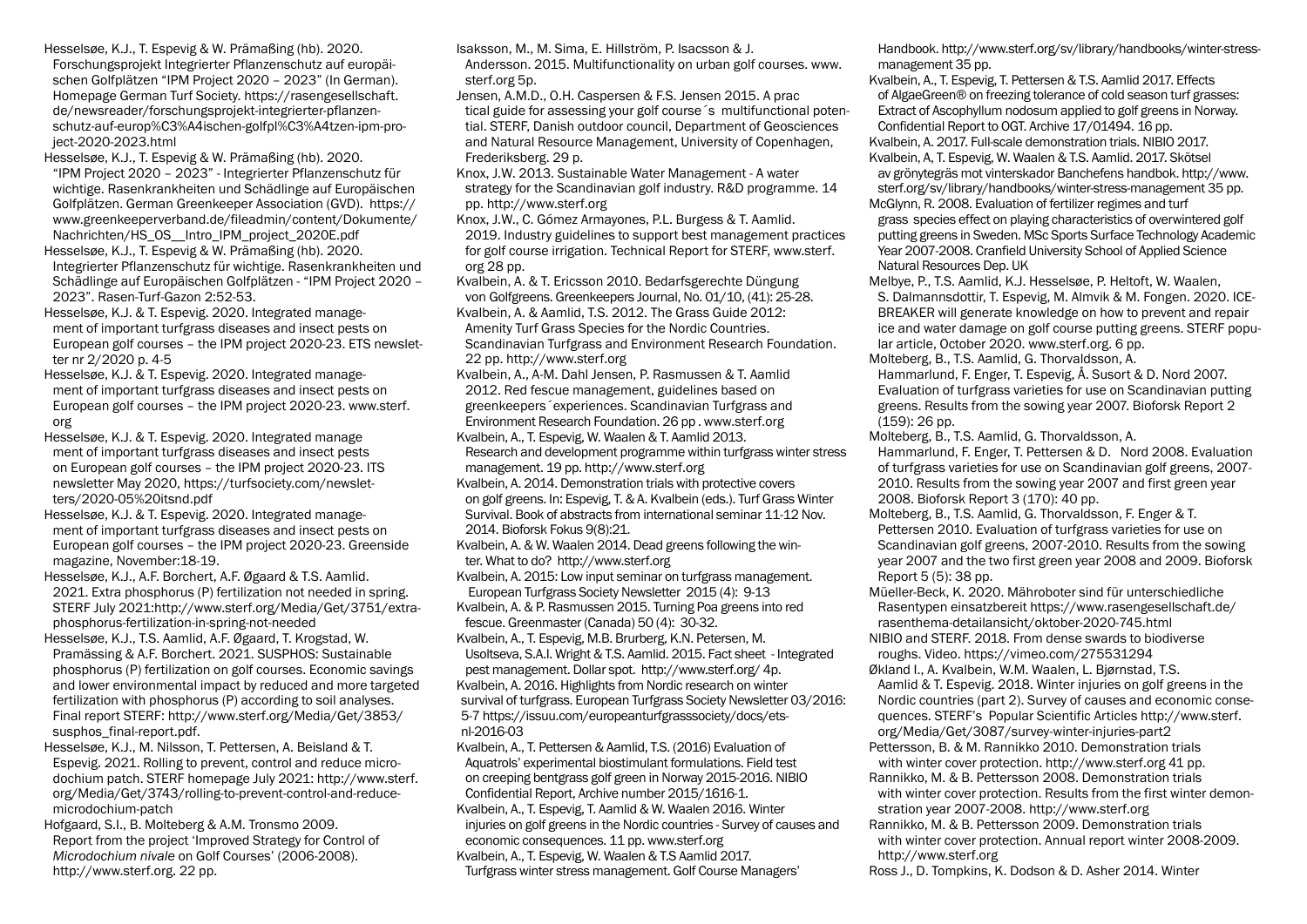Hesselsøe, K.J., T. Espevig & W. Prämaßing (hb). 2020. Forschungsprojekt Integrierter Pflanzenschutz auf europäischen Golfplätzen "IPM Project 2020 – 2023" (In German). Homepage German Turf Society. https://rasengesellschaft. de/newsreader/forschungsprojekt-integrierter-pflanzenschutz-auf-europ%C3%A4ischen-golfpl%C3%A4tzen-ipm-project-2020-2023.html

Hesselsøe, K.J., T. Espevig & W. Prämaßing (hb). 2020. "IPM Project 2020 – 2023" - Integrierter Pflanzenschutz für wichtige. Rasenkrankheiten und Schädlinge auf Europäischen Golfplätzen. German Greenkeeper Association (GVD). https:// www.greenkeeperverband.de/fileadmin/content/Dokumente/ Nachrichten/HS\_OS\_\_Intro\_IPM\_project\_2020E.pdf

Hesselsøe, K.J., T. Espevig & W. Prämaßing (hb). 2020. Integrierter Pflanzenschutz für wichtige. Rasenkrankheiten und Schädlinge auf Europäischen Golfplätzen - "IPM Project 2020 – 2023". Rasen-Turf-Gazon 2:52-53.

Hesselsøe, K.J. & T. Espevig. 2020. Integrated management of important turfgrass diseases and insect pests on European golf courses – the IPM project 2020-23. ETS newsletter nr 2/2020 p. 4-5

Hesselsøe, K.J. & T. Espevig. 2020. Integrated management of important turfgrass diseases and insect pests on European golf courses – the IPM project 2020-23. www.sterf. org

Hesselsøe, K.J. & T. Espevig. 2020. Integrated manage ment of important turfgrass diseases and insect pests on European golf courses – the IPM project 2020-23. ITS newsletter May 2020, https://turfsociety.com/newsletters/2020-05%20itsnd.pdf

Hesselsøe, K.J. & T. Espevig. 2020. Integrated management of important turfgrass diseases and insect pests on European golf courses – the IPM project 2020-23. Greenside magazine, November:18-19.

Hesselsøe, K.J., A.F. Borchert, A.F. Øgaard & T.S. Aamlid. 2021. Extra phosphorus (P) fertilization not needed in spring. STERF July 2021:http://www.sterf.org/Media/Get/3751/extraphosphorus-fertilization-in-spring-not-needed

Hesselsøe, K.J., T.S. Aamlid, A.F. Øgaard, T. Krogstad, W. Pramässing & A.F. Borchert. 2021. SUSPHOS: Sustainable phosphorus (P) fertilization on golf courses. Economic savings and lower environmental impact by reduced and more targeted fertilization with phosphorus (P) according to soil analyses. Final report STERF: http://www.sterf.org/Media/Get/3853/ susphos\_final-report.pdf.

Hesselsøe, K.J., M. Nilsson, T. Pettersen, A. Beisland & T. Espevig. 2021. Rolling to prevent, control and reduce microdochium patch. STERF homepage July 2021: http://www.sterf. org/Media/Get/3743/rolling-to-prevent-control-and-reducemicrodochium-patch

Hofgaard, S.I., B. Molteberg & A.M. Tronsmo 2009. Report from the project 'Improved Strategy for Control of *Microdochium nivale* on Golf Courses' (2006-2008). http://www.sterf.org. 22 pp.

Isaksson, M., M. Sima, E. Hillström, P. Isacsson & J.

Andersson. 2015. Multifunctionality on urban golf courses. www. sterf.org 5p.

Jensen, A.M.D., O.H. Caspersen & F.S. Jensen 2015. A prac tical guide for assessing your golf course´s multifunctional potential. STERF, Danish outdoor council, Department of Geosciences and Natural Resource Management, University of Copenhagen, Frederiksberg. 29 p.

Knox, J.W. 2013. Sustainable Water Management - A water strategy for the Scandinavian golf industry. R&D programme. 14 pp. http://www.sterf.org

Knox, J.W., C. Gómez Armayones, P.L. Burgess & T. Aamlid. 2019. Industry guidelines to support best management practices for golf course irrigation. Technical Report for STERF, www.sterf. org 28 pp.

Kvalbein, A. & T. Ericsson 2010. Bedarfsgerechte Düngung von Golfgreens. Greenkeepers Journal, No. 01/10, (41): 25-28. Kvalbein, A. & Aamlid, T.S. 2012. The Grass Guide 2012: Amenity Turf Grass Species for the Nordic Countries. Scandinavian Turfgrass and Environment Research Foundation. 22 pp. http://www.sterf.org

Kvalbein, A., A-M. Dahl Jensen, P. Rasmussen & T. Aamlid 2012. Red fescue management, guidelines based on greenkeepers´experiences. Scandinavian Turfgrass and Environment Research Foundation. 26 pp . www.sterf.org

Kvalbein, A., T. Espevig, W. Waalen & T. Aamlid 2013. Research and development programme within turfgrass winter stress management. 19 pp. http://www.sterf.org

Kvalbein, A. 2014. Demonstration trials with protective covers on golf greens. In: Espevig, T. & A. Kvalbein (eds.). Turf Grass Winter Survival. Book of abstracts from international seminar 11-12 Nov. 2014. Bioforsk Fokus 9(8):21.

Kvalbein, A. & W. Waalen 2014. Dead greens following the winter. What to do? http://www.sterf.org

Kvalbein, A. 2015: Low input seminar on turfgrass management. European Turfgrass Society Newsletter 2015 (4): 9-13 Kvalbein, A. & P. Rasmussen 2015. Turning Poa greens into red fescue. Greenmaster (Canada) 50 (4): 30-32.

Kvalbein, A., T. Espevig, M.B. Brurberg, K.N. Petersen, M. Usoltseva, S.A.I. Wright & T.S. Aamlid. 2015. Fact sheet - Integrated pest management. Dollar spot. http://www.sterf.org/ 4p. Kvalbein, A. 2016. Highlights from Nordic research on winter survival of turfgrass. European Turfgrass Society Newsletter 03/2016: 5-7 https://issuu.com/europeanturfgrasssociety/docs/etsnl-2016-03

Kvalbein, A., T. Pettersen & Aamlid, T.S. (2016) Evaluation of Aquatrols' experimental biostimulant formulations. Field test on creeping bentgrass golf green in Norway 2015-2016. NIBIO Confidential Report, Archive number 2015/1616-1.

Kvalbein, A., T. Espevig, T. Aamlid & W. Waalen 2016. Winter injuries on golf greens in the Nordic countries - Survey of causes and economic consequences. 11 pp. www.sterf.org Kvalbein, A., T. Espevig, W. Waalen & T.S Aamlid 2017.

Turfgrass winter stress management. Golf Course Managers'

Handbook. http://www.sterf.org/sv/library/handbooks/winter-stressmanagement 35 pp.

Kvalbein, A., T. Espevig, T. Pettersen & T.S. Aamlid 2017. Effects of AlgaeGreen® on freezing tolerance of cold season turf grasses: Extract of Ascophyllum nodosum applied to golf greens in Norway. Confidential Report to OGT. Archive 17/01494. 16 pp. Kvalbein, A. 2017. Full-scale demonstration trials. NIBIO 2017. Kvalbein, A, T. Espevig, W. Waalen & T.S. Aamlid. 2017. Skötsel

av grönytegräs mot vinterskador Banchefens handbok. http://www. sterf.org/sv/library/handbooks/winter-stress-management 35 pp.

McGlynn, R. 2008. Evaluation of fertilizer regimes and turf grass species effect on playing characteristics of overwintered golf putting greens in Sweden. MSc Sports Surface Technology Academic Year 2007-2008. Cranfield University School of Applied Science Natural Resources Dep. UK

Melbye, P., T.S. Aamlid, K.J. Hesselsøe, P. Heltoft, W. Waalen, S. Dalmannsdottir, T. Espevig, M. Almvik & M. Fongen. 2020. ICE-BREAKER will generate knowledge on how to prevent and repair ice and water damage on golf course putting greens. STERF popular article, October 2020. www.sterf.org. 6 pp.

Molteberg, B., T.S. Aamlid, G. Thorvaldsson, A. Hammarlund, F. Enger, T. Espevig, Å. Susort & D. Nord 2007. Evaluation of turfgrass varieties for use on Scandinavian putting greens. Results from the sowing year 2007. Bioforsk Report 2 (159): 26 pp.

Molteberg, B., T.S. Aamlid, G. Thorvaldsson, A. Hammarlund, F. Enger, T. Pettersen & D. Nord 2008. Evaluation of turfgrass varieties for use on Scandinavian golf greens, 2007- 2010. Results from the sowing year 2007 and first green year 2008. Bioforsk Report 3 (170): 40 pp.

Molteberg, B., T.S. Aamlid, G. Thorvaldsson, F. Enger & T. Pettersen 2010. Evaluation of turfgrass varieties for use on Scandinavian golf greens, 2007-2010. Results from the sowing year 2007 and the two first green year 2008 and 2009. Bioforsk Report 5 (5): 38 pp.

Müeller-Beck, K. 2020. Mähroboter sind für unterschiedliche Rasentypen einsatzbereit https://www.rasengesellschaft.de/ rasenthema-detailansicht/oktober-2020-745.html NIBIO and STERF. 2018. From dense swards to biodiverse roughs. Video. https://vimeo.com/275531294

Økland I., A. Kvalbein, W.M. Waalen, L. Bjørnstad, T.S. Aamlid & T. Espevig. 2018. Winter injuries on golf greens in the Nordic countries (part 2). Survey of causes and economic consequences. STERF's Popular Scientific Articles http://www.sterf. org/Media/Get/3087/survey-winter-injuries-part2

Pettersson, B. & M. Rannikko 2010. Demonstration trials with winter cover protection. http://www.sterf.org 41 pp.

Rannikko, M. & B. Pettersson 2008. Demonstration trials with winter cover protection. Results from the first winter demonstration year 2007-2008. http://www.sterf.org

Rannikko, M. & B. Pettersson 2009. Demonstration trials with winter cover protection. Annual report winter 2008-2009. http://www.sterf.org

Ross J., D. Tompkins, K. Dodson & D. Asher 2014. Winter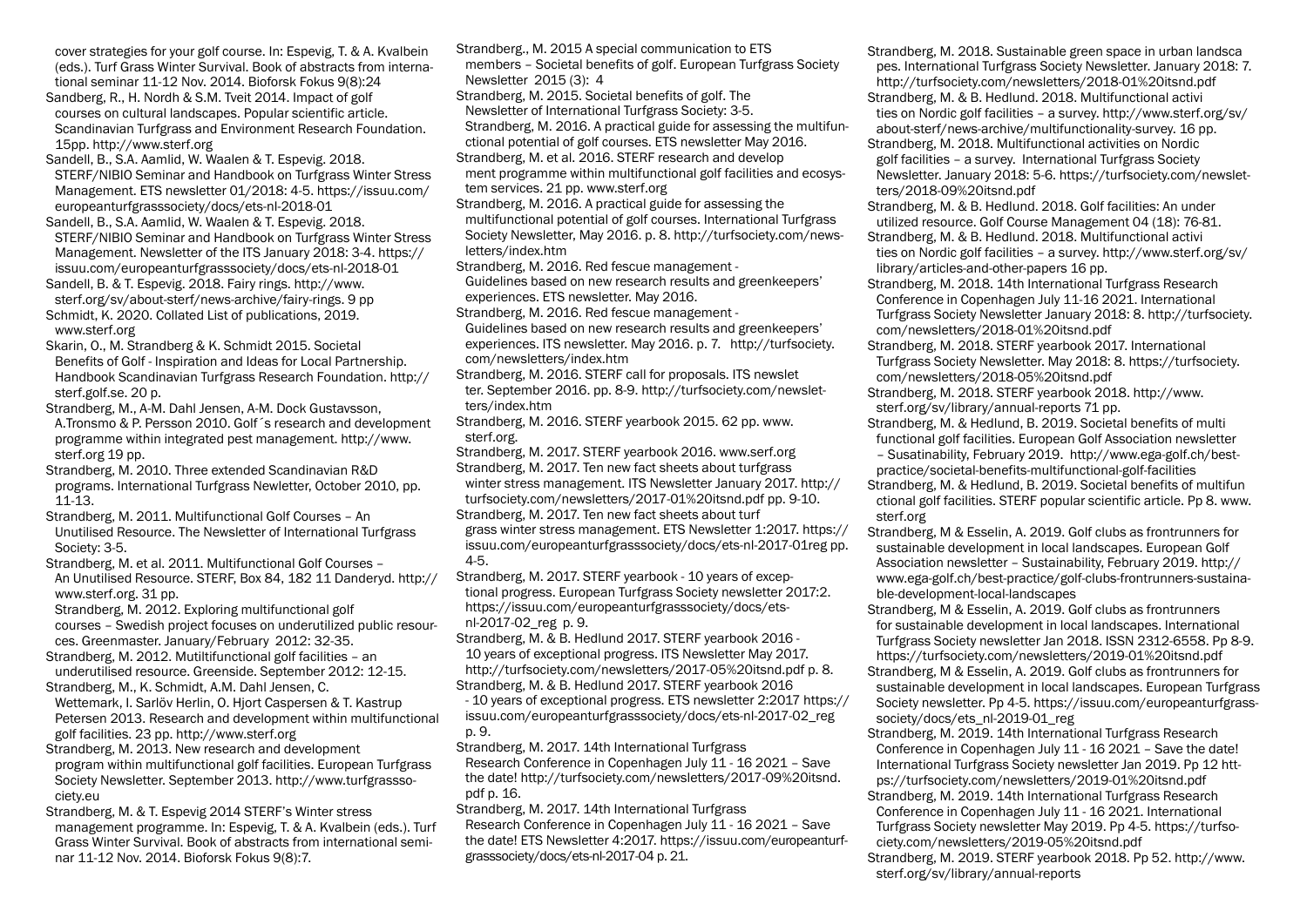cover strategies for your golf course. In: Espevig, T. & A. Kvalbein (eds.). Turf Grass Winter Survival. Book of abstracts from international seminar 11-12 Nov. 2014. Bioforsk Fokus 9(8):24

Sandberg, R., H. Nordh & S.M. Tveit 2014. Impact of golf courses on cultural landscapes. Popular scientific article. Scandinavian Turfgrass and Environment Research Foundation. 15pp. http://www.sterf.org

Sandell, B., S.A. Aamlid, W. Waalen & T. Espevig. 2018. STERF/NIBIO Seminar and Handbook on Turfgrass Winter Stress Management. ETS newsletter 01/2018: 4-5. https://issuu.com/ europeanturfgrasssociety/docs/ets-nl-2018-01

Sandell, B., S.A. Aamlid, W. Waalen & T. Espevig. 2018. STERF/NIBIO Seminar and Handbook on Turfgrass Winter Stress Management. Newsletter of the ITS January 2018: 3-4. https:// issuu.com/europeanturfgrasssociety/docs/ets-nl-2018-01

Sandell, B. & T. Espevig. 2018. Fairy rings. http://www. sterf.org/sv/about-sterf/news-archive/fairy-rings. 9 pp Schmidt, K. 2020. Collated List of publications, 2019. www.sterf.org

Skarin, O., M. Strandberg & K. Schmidt 2015. Societal Benefits of Golf - Inspiration and Ideas for Local Partnership. Handbook Scandinavian Turfgrass Research Foundation. http:// sterf.golf.se. 20 p.

Strandberg, M., A-M. Dahl Jensen, A-M. Dock Gustavsson, A.Tronsmo & P. Persson 2010. Golf´s research and development programme within integrated pest management. http://www. sterf.org 19 pp.

Strandberg, M. 2010. Three extended Scandinavian R&D programs. International Turfgrass Newletter, October 2010, pp. 11-13.

Strandberg, M. 2011. Multifunctional Golf Courses – An Unutilised Resource. The Newsletter of International Turfgrass Society: 3-5.

Strandberg, M. et al. 2011. Multifunctional Golf Courses – An Unutilised Resource. STERF, Box 84, 182 11 Danderyd. http:// www.sterf.org. 31 pp.

Strandberg, M. 2012. Exploring multifunctional golf courses – Swedish project focuses on underutilized public resources. Greenmaster. January/February 2012: 32-35.

Strandberg, M. 2012. Mutiltifunctional golf facilities – an underutilised resource. Greenside. September 2012: 12-15.

Strandberg, M., K. Schmidt, A.M. Dahl Jensen, C. Wettemark, I. Sarlöv Herlin, O. Hjort Caspersen & T. Kastrup Petersen 2013. Research and development within multifunctional golf facilities. 23 pp. http://www.sterf.org

Strandberg, M. 2013. New research and development program within multifunctional golf facilities. European Turfgrass Society Newsletter. September 2013. http://www.turfgrasssociety.eu

Strandberg, M. & T. Espevig 2014 STERF's Winter stress management programme. In: Espevig, T. & A. Kvalbein (eds.). Turf Grass Winter Survival. Book of abstracts from international seminar 11-12 Nov. 2014. Bioforsk Fokus 9(8):7.

Strandberg., M. 2015 A special communication to ETS members – Societal benefits of golf. European Turfgrass Society Newsletter 2015 (3): 4

Strandberg, M. 2015. Societal benefits of golf. The

Newsletter of International Turfgrass Society: 3-5.

Strandberg, M. 2016. A practical guide for assessing the multifunctional potential of golf courses. ETS newsletter May 2016.

Strandberg, M. et al. 2016. STERF research and develop ment programme within multifunctional golf facilities and ecosystem services. 21 pp. www.sterf.org

Strandberg, M. 2016. A practical guide for assessing the multifunctional potential of golf courses. International Turfgrass Society Newsletter, May 2016. p. 8. http://turfsociety.com/newsletters/index.htm

Strandberg, M. 2016. Red fescue management -

Guidelines based on new research results and greenkeepers' experiences. ETS newsletter. May 2016.

Strandberg, M. 2016. Red fescue management -

Guidelines based on new research results and greenkeepers' experiences. ITS newsletter. May 2016. p. 7. http://turfsociety. com/newsletters/index.htm

Strandberg, M. 2016. STERF call for proposals. ITS newslet ter. September 2016. pp. 8-9. http://turfsociety.com/newsletters/index.htm

Strandberg, M. 2016. STERF yearbook 2015. 62 pp. www. sterf.org.

Strandberg, M. 2017. STERF yearbook 2016. www.serf.org Strandberg, M. 2017. Ten new fact sheets about turfgrass winter stress management. ITS Newsletter January 2017. http:// turfsociety.com/newsletters/2017-01%20itsnd.pdf pp. 9-10. Strandberg, M. 2017. Ten new fact sheets about turf grass winter stress management. ETS Newsletter 1:2017. https:// issuu.com/europeanturfgrasssociety/docs/ets-nl-2017-01reg pp. 4-5.

Strandberg, M. 2017. STERF yearbook - 10 years of exceptional progress. European Turfgrass Society newsletter 2017:2. https://issuu.com/europeanturfgrasssociety/docs/etsnl-2017-02\_reg p. 9.

Strandberg, M. & B. Hedlund 2017. STERF yearbook 2016 - 10 years of exceptional progress. ITS Newsletter May 2017. http://turfsociety.com/newsletters/2017-05%20itsnd.pdf p. 8. Strandberg, M. & B. Hedlund 2017. STERF yearbook 2016 - 10 years of exceptional progress. ETS newsletter 2:2017 https://

issuu.com/europeanturfgrasssociety/docs/ets-nl-2017-02\_reg p. 9.

Strandberg, M. 2017. 14th International Turfgrass Research Conference in Copenhagen July 11 - 16 2021 – Save the date! http://turfsociety.com/newsletters/2017-09%20itsnd. pdf p. 16.

Strandberg, M. 2017. 14th International Turfgrass Research Conference in Copenhagen July 11 - 16 2021 – Save the date! ETS Newsletter 4:2017. https://issuu.com/europeanturfgrasssociety/docs/ets-nl-2017-04 p. 21.

Strandberg, M. 2018. Sustainable green space in urban landsca pes. International Turfgrass Society Newsletter. January 2018: 7. http://turfsociety.com/newsletters/2018-01%20itsnd.pdf Strandberg, M. & B. Hedlund. 2018. Multifunctional activi ties on Nordic golf facilities – a survey. http://www.sterf.org/sv/ about-sterf/news-archive/multifunctionality-survey. 16 pp. Strandberg, M. 2018. Multifunctional activities on Nordic golf facilities – a survey. International Turfgrass Society Newsletter. January 2018: 5-6. https://turfsociety.com/newsletters/2018-09%20itsnd.pdf

Strandberg, M. & B. Hedlund. 2018. Golf facilities: An under utilized resource. Golf Course Management 04 (18): 76-81. Strandberg, M. & B. Hedlund. 2018. Multifunctional activi ties on Nordic golf facilities – a survey. http://www.sterf.org/sv/

library/articles-and-other-papers 16 pp.

Strandberg, M. 2018. 14th International Turfgrass Research Conference in Copenhagen July 11-16 2021. International Turfgrass Society Newsletter January 2018: 8. http://turfsociety. com/newsletters/2018-01%20itsnd.pdf

Strandberg, M. 2018. STERF yearbook 2017. International Turfgrass Society Newsletter. May 2018: 8. https://turfsociety. com/newsletters/2018-05%20itsnd.pdf

Strandberg, M. 2018. STERF yearbook 2018. http://www. sterf.org/sv/library/annual-reports 71 pp.

Strandberg, M. & Hedlund, B. 2019. Societal benefits of multi functional golf facilities. European Golf Association newsletter

– Susatinability, February 2019. http://www.ega-golf.ch/bestpractice/societal-benefits-multifunctional-golf-facilities

Strandberg, M. & Hedlund, B. 2019. Societal benefits of multifun ctional golf facilities. STERF popular scientific article. Pp 8. www. sterf.org

Strandberg, M & Esselin, A. 2019. Golf clubs as frontrunners for sustainable development in local landscapes. European Golf Association newsletter – Sustainability, February 2019. http:// www.ega-golf.ch/best-practice/golf-clubs-frontrunners-sustainable-development-local-landscapes

Strandberg, M & Esselin, A. 2019. Golf clubs as frontrunners for sustainable development in local landscapes. International Turfgrass Society newsletter Jan 2018. ISSN 2312-6558. Pp 8-9. https://turfsociety.com/newsletters/2019-01%20itsnd.pdf

Strandberg, M & Esselin, A. 2019. Golf clubs as frontrunners for sustainable development in local landscapes. European Turfgrass Society newsletter. Pp 4-5. https://issuu.com/europeanturfgrasssociety/docs/ets\_nl-2019-01\_reg

Strandberg, M. 2019. 14th International Turfgrass Research Conference in Copenhagen July 11 - 16 2021 – Save the date! International Turfgrass Society newsletter Jan 2019. Pp 12 https://turfsociety.com/newsletters/2019-01%20itsnd.pdf Strandberg, M. 2019. 14th International Turfgrass Research Conference in Copenhagen July 11 - 16 2021. International

Turfgrass Society newsletter May 2019. Pp 4-5. https://turfsociety.com/newsletters/2019-05%20itsnd.pdf

Strandberg, M. 2019. STERF yearbook 2018. Pp 52. http://www. sterf.org/sv/library/annual-reports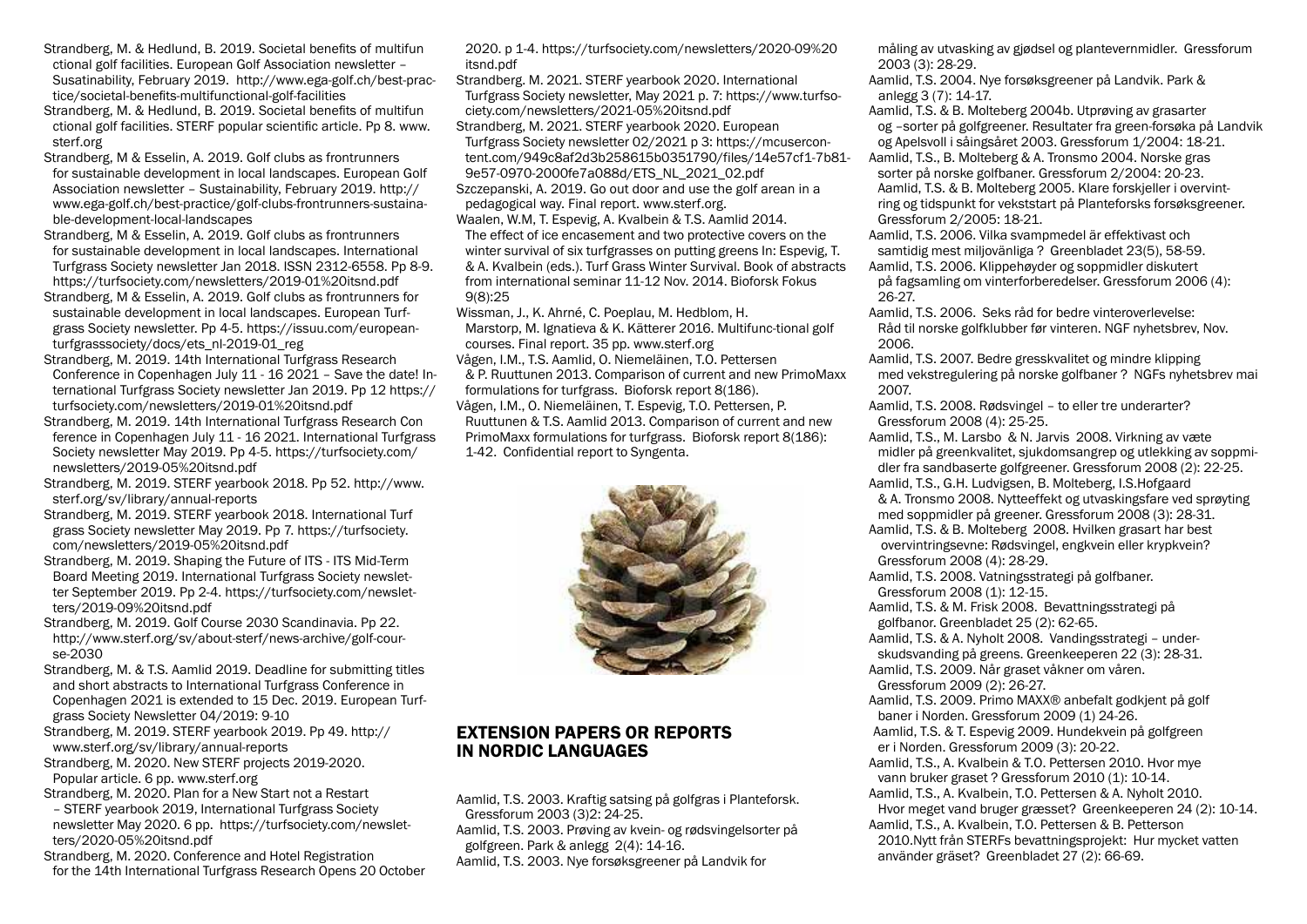- Strandberg, M. & Hedlund, B. 2019. Societal benefits of multifun ctional golf facilities. European Golf Association newsletter – Susatinability, February 2019. http://www.ega-golf.ch/best-practice/societal-benefits-multifunctional-golf-facilities
- Strandberg, M. & Hedlund, B. 2019. Societal benefits of multifun ctional golf facilities. STERF popular scientific article. Pp 8. www. sterf.org
- Strandberg, M & Esselin, A. 2019. Golf clubs as frontrunners for sustainable development in local landscapes. European Golf Association newsletter – Sustainability, February 2019. http:// www.ega-golf.ch/best-practice/golf-clubs-frontrunners-sustainable-development-local-landscapes
- Strandberg, M & Esselin, A. 2019. Golf clubs as frontrunners for sustainable development in local landscapes. International Turfgrass Society newsletter Jan 2018. ISSN 2312-6558. Pp 8-9. https://turfsociety.com/newsletters/2019-01%20itsnd.pdf
- Strandberg, M & Esselin, A. 2019. Golf clubs as frontrunners for sustainable development in local landscapes. European Turfgrass Society newsletter. Pp 4-5. https://issuu.com/europeanturfgrasssociety/docs/ets\_nl-2019-01\_reg
- Strandberg, M. 2019. 14th International Turfgrass Research Conference in Copenhagen July 11 - 16 2021 – Save the date! International Turfgrass Society newsletter Jan 2019. Pp 12 https:// turfsociety.com/newsletters/2019-01%20itsnd.pdf
- Strandberg, M. 2019. 14th International Turfgrass Research Con ference in Copenhagen July 11 - 16 2021. International Turfgrass Society newsletter May 2019. Pp 4-5. https://turfsociety.com/ newsletters/2019-05%20itsnd.pdf
- Strandberg, M. 2019. STERF yearbook 2018. Pp 52. http://www. sterf.org/sv/library/annual-reports
- Strandberg, M. 2019. STERF yearbook 2018. International Turf grass Society newsletter May 2019. Pp 7. https://turfsociety. com/newsletters/2019-05%20itsnd.pdf
- Strandberg, M. 2019. Shaping the Future of ITS ITS Mid-Term Board Meeting 2019. International Turfgrass Society newsletter September 2019. Pp 2-4. https://turfsociety.com/newsletters/2019-09%20itsnd.pdf
- Strandberg, M. 2019. Golf Course 2030 Scandinavia. Pp 22. http://www.sterf.org/sv/about-sterf/news-archive/golf-course-2030
- Strandberg, M. & T.S. Aamlid 2019. Deadline for submitting titles and short abstracts to International Turfgrass Conference in Copenhagen 2021 is extended to 15 Dec. 2019. European Turfgrass Society Newsletter 04/2019: 9-10
- Strandberg, M. 2019. STERF yearbook 2019. Pp 49. http:// www.sterf.org/sv/library/annual-reports
- Strandberg, M. 2020. New STERF projects 2019-2020. Popular article. 6 pp. www.sterf.org
- Strandberg, M. 2020. Plan for a New Start not a Restart – STERF yearbook 2019, International Turfgrass Society newsletter May 2020. 6 pp. https://turfsociety.com/newsletters/2020-05%20itsnd.pdf
- Strandberg, M. 2020. Conference and Hotel Registration for the 14th International Turfgrass Research Opens 20 October

2020. p 1-4. https://turfsociety.com/newsletters/2020-09%20 itsnd.pdf

Strandberg. M. 2021. STERF yearbook 2020. International Turfgrass Society newsletter, May 2021 p. 7: https://www.turfsociety.com/newsletters/2021-05%20itsnd.pdf Strandberg, M. 2021. STERF yearbook 2020. European Turfgrass Society newsletter 02/2021 p 3: https://mcusercontent.com/949c8af2d3b258615b0351790/files/14e57cf1-7b81- 9e57-0970-2000fe7a088d/ETS\_NL\_2021\_02.pdf Szczepanski, A. 2019. Go out door and use the golf arean in a pedagogical way. Final report. www.sterf.org. Waalen, W.M, T. Espevig, A. Kvalbein & T.S. Aamlid 2014. The effect of ice encasement and two protective covers on the

winter survival of six turfgrasses on putting greens In: Espevig, T. & A. Kvalbein (eds.). Turf Grass Winter Survival. Book of abstracts from international seminar 11-12 Nov. 2014. Bioforsk Fokus 9(8):25

Wissman, J., K. Ahrné, C. Poeplau, M. Hedblom, H. Marstorp, M. Ignatieva & K. Kätterer 2016. Multifunc-tional golf courses. Final report. 35 pp. www.sterf.org Vågen, I.M., T.S. Aamlid, O. Niemeläinen, T.O. Pettersen & P. Ruuttunen 2013. Comparison of current and new PrimoMaxx formulations for turfgrass. Bioforsk report 8(186). Vågen, I.M., O. Niemeläinen, T. Espevig, T.O. Pettersen, P. Ruuttunen & T.S. Aamlid 2013. Comparison of current and new PrimoMaxx formulations for turfgrass. Bioforsk report 8(186): 1-42. Confidential report to Syngenta.



## EXTENSION PAPERS OR REPORTS IN NORDIC LANGUAGES

Aamlid, T.S. 2003. Kraftig satsing på golfgras i Planteforsk. Gressforum 2003 (3)2: 24-25.

Aamlid, T.S. 2003. Prøving av kvein- og rødsvingelsorter på golfgreen. Park & anlegg 2(4): 14-16. Aamlid, T.S. 2003. Nye forsøksgreener på Landvik for

måling av utvasking av gjødsel og plantevernmidler. Gressforum 2003 (3): 28-29.

Aamlid, T.S. 2004. Nye forsøksgreener på Landvik. Park & anlegg 3 (7): 14-17.

Aamlid, T.S. & B. Molteberg 2004b. Utprøving av grasarter og –sorter på golfgreener. Resultater fra green-forsøka på Landvik og Apelsvoll i såingsåret 2003. Gressforum 1/2004: 18-21.

Aamlid, T.S., B. Molteberg & A. Tronsmo 2004. Norske gras sorter på norske golfbaner. Gressforum 2/2004: 20-23. Aamlid, T.S. & B. Molteberg 2005. Klare forskjeller i overvintring og tidspunkt for vekststart på Planteforsks forsøksgreener. Gressforum 2/2005: 18-21.

Aamlid, T.S. 2006. Vilka svampmedel är effektivast och samtidig mest miljovänliga ? Greenbladet 23(5), 58-59. Aamlid, T.S. 2006. Klippehøyder og soppmidler diskutert på fagsamling om vinterforberedelser. Gressforum 2006 (4): 26-27.

Aamlid, T.S. 2006. Seks råd for bedre vinteroverlevelse: Råd til norske golfklubber før vinteren. NGF nyhetsbrev, Nov. 2006.

Aamlid, T.S. 2007. Bedre gresskvalitet og mindre klipping med vekstregulering på norske golfbaner ? NGFs nyhetsbrev mai 2007.

Aamlid, T.S. 2008. Rødsvingel – to eller tre underarter? Gressforum 2008 (4): 25-25.

Aamlid, T.S., M. Larsbo & N. Jarvis 2008. Virkning av væte midler på greenkvalitet, sjukdomsangrep og utlekking av soppmidler fra sandbaserte golfgreener. Gressforum 2008 (2): 22-25. Aamlid, T.S., G.H. Ludvigsen, B. Molteberg, I.S.Hofgaard

& A. Tronsmo 2008. Nytteeffekt og utvaskingsfare ved sprøyting med soppmidler på greener. Gressforum 2008 (3): 28-31.

Aamlid, T.S. & B. Molteberg 2008. Hvilken grasart har best overvintringsevne: Rødsvingel, engkvein eller krypkvein? Gressforum 2008 (4): 28-29.

Aamlid, T.S. 2008. Vatningsstrategi på golfbaner. Gressforum 2008 (1): 12-15.

Aamlid, T.S. & M. Frisk 2008. Bevattningsstrategi på golfbanor. Greenbladet 25 (2): 62-65.

Aamlid, T.S. & A. Nyholt 2008. Vandingsstrategi – underskudsvanding på greens. Greenkeeperen 22 (3): 28-31. Aamlid, T.S. 2009. Når graset våkner om våren. Gressforum 2009 (2): 26-27.

Aamlid, T.S. 2009. Primo MAXX® anbefalt godkjent på golf baner i Norden. Gressforum 2009 (1) 24-26. Aamlid, T.S. & T. Espevig 2009. Hundekvein på golfgreen

er i Norden. Gressforum 2009 (3): 20-22. Aamlid, T.S., A. Kvalbein & T.O. Pettersen 2010. Hvor mye

vann bruker graset ? Gressforum 2010 (1): 10-14.

Aamlid, T.S., A. Kvalbein, T.O. Pettersen & A. Nyholt 2010. Hvor meget vand bruger græsset? Greenkeeperen 24 (2): 10-14.

Aamlid, T.S., A. Kvalbein, T.O. Pettersen & B. Petterson 2010.Nytt från STERFs bevattningsprojekt: Hur mycket vatten använder gräset? Greenbladet 27 (2): 66-69.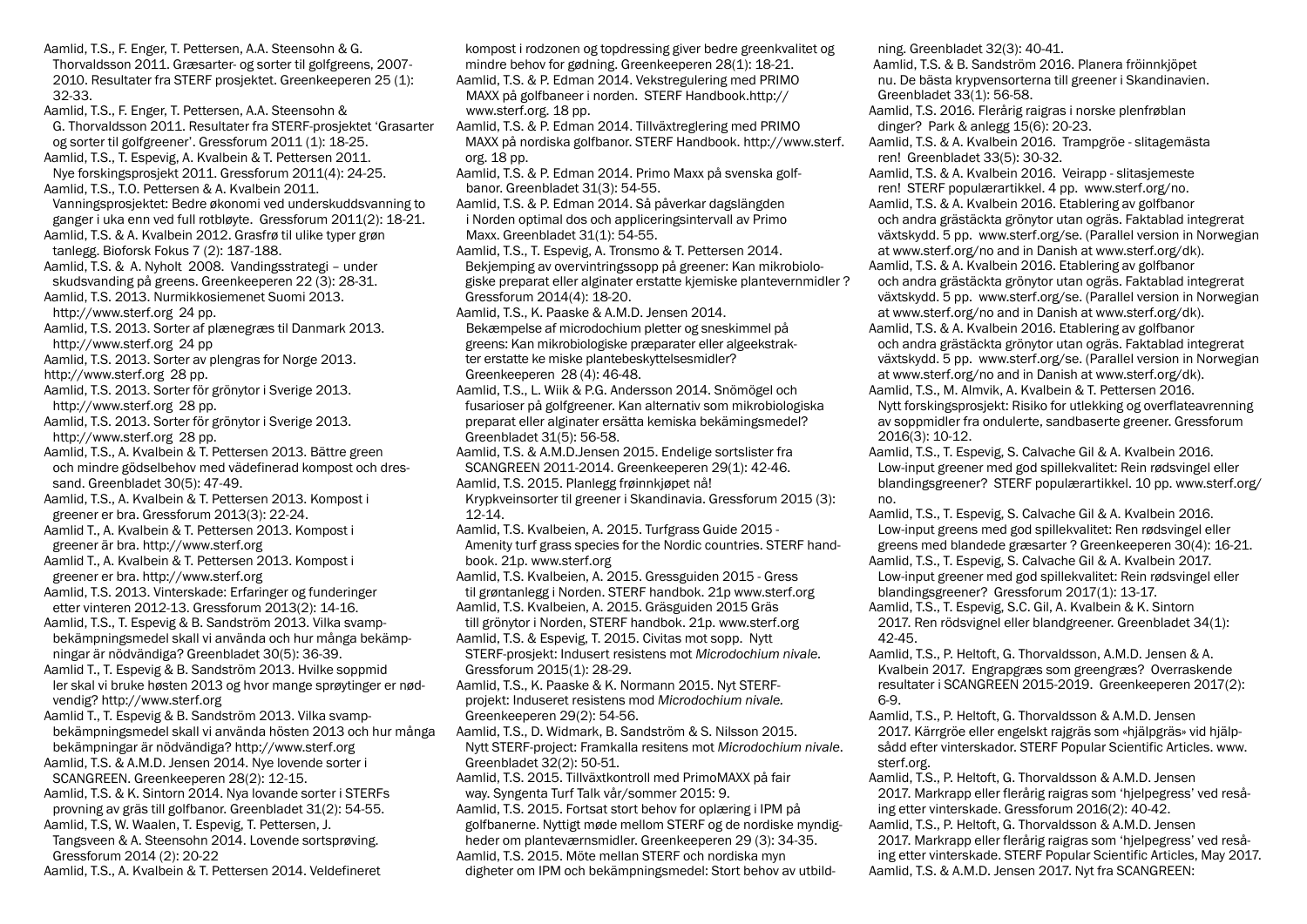Aamlid, T.S., F. Enger, T. Pettersen, A.A. Steensohn & G. Thorvaldsson 2011. Græsarter- og sorter til golfgreens, 2007- 2010. Resultater fra STERF prosjektet. Greenkeeperen 25 (1): 32-33. Aamlid, T.S., F. Enger, T. Pettersen, A.A. Steensohn & G. Thorvaldsson 2011. Resultater fra STERF-prosjektet 'Grasarter og sorter til golfgreener'. Gressforum 2011 (1): 18-25. Aamlid, T.S., T. Espevig, A. Kvalbein & T. Pettersen 2011. Nye forskingsprosjekt 2011. Gressforum 2011(4): 24-25. Aamlid, T.S., T.O. Pettersen & A. Kvalbein 2011. Vanningsprosjektet: Bedre økonomi ved underskuddsvanning to ganger i uka enn ved full rotbløyte. Gressforum 2011(2): 18-21. Aamlid, T.S. & A. Kvalbein 2012. Grasfrø til ulike typer grøn tanlegg. Bioforsk Fokus 7 (2): 187-188. Aamlid, T.S. & A. Nyholt 2008. Vandingsstrategi – under skudsvanding på greens. Greenkeeperen 22 (3): 28-31. Aamlid, T.S. 2013. Nurmikkosiemenet Suomi 2013. http://www.sterf.org 24 pp. Aamlid, T.S. 2013. Sorter af plænegræs til Danmark 2013. http://www.sterf.org 24 pp Aamlid, T.S. 2013. Sorter av plengras for Norge 2013. http://www.sterf.org 28 pp. Aamlid, T.S. 2013. Sorter för grönytor i Sverige 2013. http://www.sterf.org 28 pp. Aamlid, T.S. 2013. Sorter för grönytor i Sverige 2013. http://www.sterf.org 28 pp. Aamlid, T.S., A. Kvalbein & T. Pettersen 2013. Bättre green och mindre gödselbehov med vädefinerad kompost och dressand. Greenbladet 30(5): 47-49. Aamlid, T.S., A. Kvalbein & T. Pettersen 2013. Kompost i greener er bra. Gressforum 2013(3): 22-24. Aamlid T., A. Kvalbein & T. Pettersen 2013. Kompost i greener är bra. http://www.sterf.org Aamlid T., A. Kvalbein & T. Pettersen 2013. Kompost i greener er bra. http://www.sterf.org Aamlid, T.S. 2013. Vinterskade: Erfaringer og funderinger etter vinteren 2012-13. Gressforum 2013(2): 14-16. Aamlid, T.S., T. Espevig & B. Sandström 2013. Vilka svampbekämpningsmedel skall vi använda och hur många bekämpningar är nödvändiga? Greenbladet 30(5): 36-39. Aamlid T., T. Espevig & B. Sandström 2013. Hvilke soppmid ler skal vi bruke høsten 2013 og hvor mange sprøytinger er nødvendig? http://www.sterf.org Aamlid T., T. Espevig & B. Sandström 2013. Vilka svampbekämpningsmedel skall vi använda hösten 2013 och hur många bekämpningar är nödvändiga? http://www.sterf.org Aamlid, T.S. & A.M.D. Jensen 2014. Nye lovende sorter i SCANGREEN. Greenkeeperen 28(2): 12-15. Aamlid, T.S. & K. Sintorn 2014. Nya lovande sorter i STERFs provning av gräs till golfbanor. Greenbladet 31(2): 54-55. Aamlid, T.S, W. Waalen, T. Espevig, T. Pettersen, J. Tangsveen & A. Steensohn 2014. Lovende sortsprøving. Gressforum 2014 (2): 20-22 Aamlid, T.S., A. Kvalbein & T. Pettersen 2014. Veldefineret

kompost i rodzonen og topdressing giver bedre greenkvalitet og mindre behov for gødning. Greenkeeperen 28(1): 18-21. Aamlid, T.S. & P. Edman 2014. Vekstregulering med PRIMO MAXX på golfbaneer i norden. STERF Handbook.http:// www.sterf.org. 18 pp. Aamlid, T.S. & P. Edman 2014. Tillväxtreglering med PRIMO MAXX på nordiska golfbanor. STERF Handbook. http://www.sterf. org. 18 pp. Aamlid, T.S. & P. Edman 2014. Primo Maxx på svenska golf banor. Greenbladet 31(3): 54-55. Aamlid, T.S. & P. Edman 2014. Så påverkar dagslängden i Norden optimal dos och appliceringsintervall av Primo Maxx. Greenbladet 31(1): 54-55. Aamlid, T.S., T. Espevig, A. Tronsmo & T. Pettersen 2014. Bekjemping av overvintringssopp på greener: Kan mikrobiologiske preparat eller alginater erstatte kjemiske plantevernmidler ? Gressforum 2014(4): 18-20. Aamlid, T.S., K. Paaske & A.M.D. Jensen 2014. Bekæmpelse af microdochium pletter og sneskimmel på greens: Kan mikrobiologiske præparater eller algeekstrak ter erstatte ke miske plantebeskyttelsesmidler? Greenkeeperen 28 (4): 46-48. Aamlid, T.S., L. Wiik & P.G. Andersson 2014. Snömögel och fusarioser på golfgreener. Kan alternativ som mikrobiologiska preparat eller alginater ersätta kemiska bekämingsmedel? Greenbladet 31(5): 56-58. Aamlid, T.S. & A.M.D.Jensen 2015. Endelige sortslister fra SCANGREEN 2011-2014. Greenkeeperen 29(1): 42-46. Aamlid, T.S. 2015. Planlegg frøinnkjøpet nå! Krypkveinsorter til greener i Skandinavia. Gressforum 2015 (3):  $12 - 14$ Aamlid, T.S. Kvalbeien, A. 2015. Turfgrass Guide 2015 - Amenity turf grass species for the Nordic countries. STERF handbook. 21p. www.sterf.org Aamlid, T.S. Kvalbeien, A. 2015. Gressguiden 2015 - Gress til grøntanlegg i Norden. STERF handbok. 21p www.sterf.org Aamlid, T.S. Kvalbeien, A. 2015. Gräsguiden 2015 Gräs till grönytor i Norden, STERF handbok. 21p. www.sterf.org Aamlid, T.S. & Espevig, T. 2015. Civitas mot sopp. Nytt STERF-prosjekt: Indusert resistens mot *Microdochium nivale.*  Gressforum 2015(1): 28-29. Aamlid, T.S., K. Paaske & K. Normann 2015. Nyt STERFprojekt: Induseret resistens mod *Microdochium nivale.* Greenkeeperen 29(2): 54-56. Aamlid, T.S., D. Widmark, B. Sandström & S. Nilsson 2015. Nytt STERF-project: Framkalla resitens mot *Microdochium nivale*. Greenbladet 32(2): 50-51. Aamlid, T.S. 2015. Tillväxtkontroll med PrimoMAXX på fair way. Syngenta Turf Talk vår/sommer 2015: 9. Aamlid, T.S. 2015. Fortsat stort behov for oplæring i IPM på golfbanerne. Nyttigt møde mellom STERF og de nordiske myndigheder om planteværnsmidler. Greenkeeperen 29 (3): 34-35. Aamlid, T.S. 2015. Möte mellan STERF och nordiska myn digheter om IPM och bekämpningsmedel: Stort behov av utbild-

ning. Greenbladet 32(3): 40-41.

Aamlid, T.S. & B. Sandström 2016. Planera fröinnkjöpet nu. De bästa krypvensorterna till greener i Skandinavien. Greenbladet 33(1): 56-58.

Aamlid, T.S. 2016. Flerårig raigras i norske plenfrøblan dinger? Park & anlegg 15(6): 20-23.

Aamlid, T.S. & A. Kvalbein 2016. Trampgröe - slitagemästa ren! Greenbladet 33(5): 30-32.

Aamlid, T.S. & A. Kvalbein 2016. Veirapp - slitasjemeste ren! STERF populærartikkel. 4 pp. www.sterf.org/no.

Aamlid, T.S. & A. Kvalbein 2016. Etablering av golfbanor och andra grästäckta grönytor utan ogräs. Faktablad integrerat växtskydd. 5 pp. www.sterf.org/se. (Parallel version in Norwegian at www.sterf.org/no and in Danish at www.sterf.org/dk).

Aamlid, T.S. & A. Kvalbein 2016. Etablering av golfbanor och andra grästäckta grönytor utan ogräs. Faktablad integrerat växtskydd. 5 pp. www.sterf.org/se. (Parallel version in Norwegian at www.sterf.org/no and in Danish at www.sterf.org/dk). Aamlid, T.S. & A. Kvalbein 2016. Etablering av golfbanor

och andra grästäckta grönytor utan ogräs. Faktablad integrerat växtskydd. 5 pp. www.sterf.org/se. (Parallel version in Norwegian at www.sterf.org/no and in Danish at www.sterf.org/dk). Aamlid, T.S., M. Almvik, A. Kvalbein & T. Pettersen 2016.

Nytt forskingsprosjekt: Risiko for utlekking og overflateavrenning av soppmidler fra ondulerte, sandbaserte greener. Gressforum 2016(3): 10-12.

Aamlid, T.S., T. Espevig, S. Calvache Gil & A. Kvalbein 2016. Low-input greener med god spillekvalitet: Rein rødsvingel eller blandingsgreener? STERF populærartikkel. 10 pp. www.sterf.org/ no.

Aamlid, T.S., T. Espevig, S. Calvache Gil & A. Kvalbein 2016. Low-input greens med god spillekvalitet: Ren rødsvingel eller greens med blandede græsarter ? Greenkeeperen 30(4): 16-21. Aamlid, T.S., T. Espevig, S. Calvache Gil & A. Kvalbein 2017.

Low-input greener med god spillekvalitet: Rein rødsvingel eller blandingsgreener? Gressforum 2017(1): 13-17.

Aamlid, T.S., T. Espevig, S.C. Gil, A. Kvalbein & K. Sintorn 2017. Ren rödsvignel eller blandgreener. Greenbladet 34(1): 42-45.

Aamlid, T.S., P. Heltoft, G. Thorvaldsson, A.M.D. Jensen & A. Kvalbein 2017. Engrapgræs som greengræs? Overraskende resultater i SCANGREEN 2015-2019. Greenkeeperen 2017(2): 6-9.

Aamlid, T.S., P. Heltoft, G. Thorvaldsson & A.M.D. Jensen 2017. Kärrgröe eller engelskt rajgräs som «hjälpgräs» vid hjälpsådd efter vinterskador. STERF Popular Scientific Articles. www. sterf.org.

Aamlid, T.S., P. Heltoft, G. Thorvaldsson & A.M.D. Jensen 2017. Markrapp eller flerårig raigras som 'hjelpegress' ved resåing etter vinterskade. Gressforum 2016(2): 40-42.

Aamlid, T.S., P. Heltoft, G. Thorvaldsson & A.M.D. Jensen 2017. Markrapp eller flerårig raigras som 'hjelpegress' ved resåing etter vinterskade. STERF Popular Scientific Articles, May 2017. Aamlid, T.S. & A.M.D. Jensen 2017. Nyt fra SCANGREEN: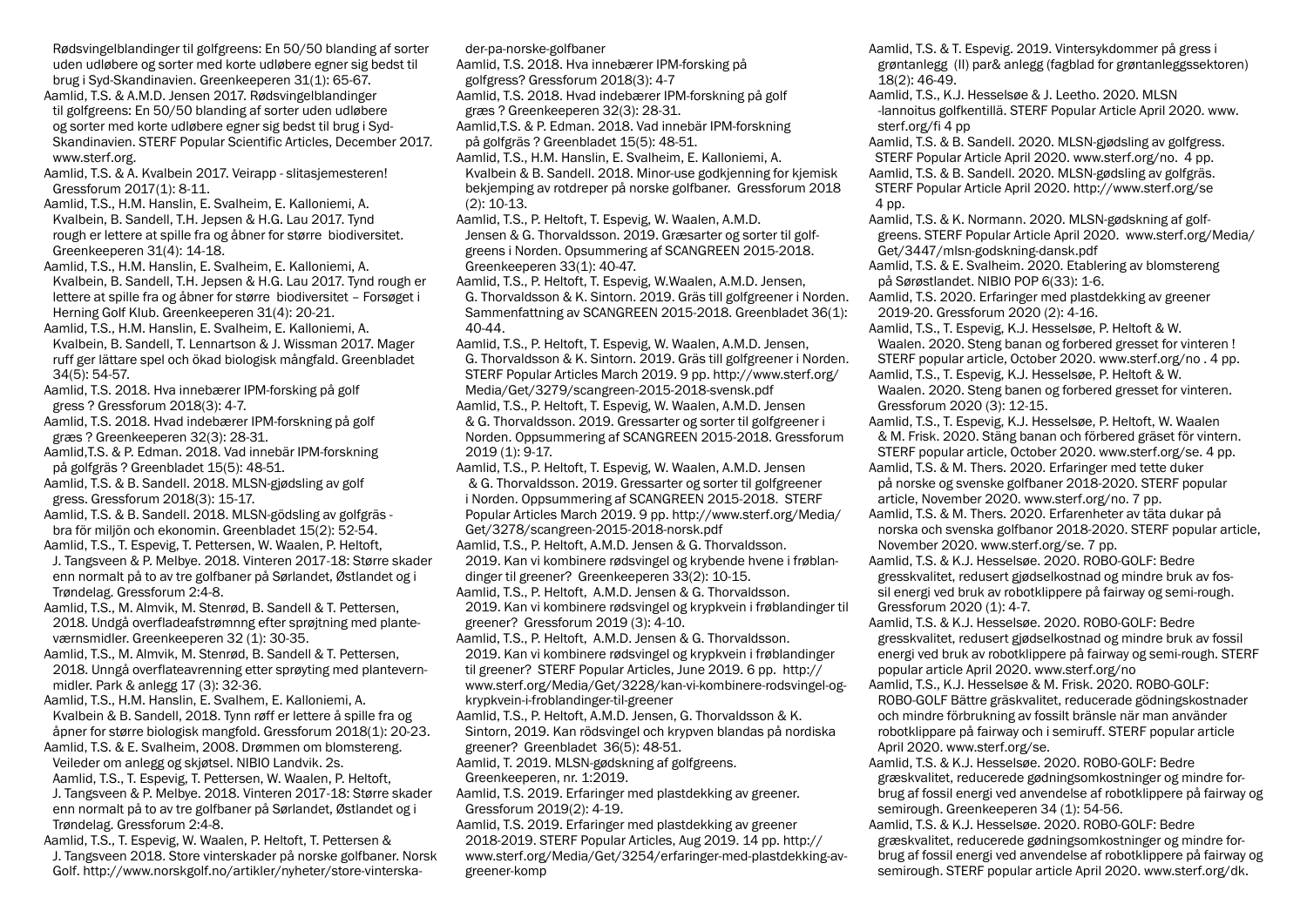Rødsvingelblandinger til golfgreens: En 50/50 blanding af sorter uden udløbere og sorter med korte udløbere egner sig bedst til brug i Syd-Skandinavien. Greenkeeperen 31(1): 65-67.

Aamlid, T.S. & A.M.D. Jensen 2017. Rødsvingelblandinger til golfgreens: En 50/50 blanding af sorter uden udløbere og sorter med korte udløbere egner sig bedst til brug i Syd-Skandinavien. STERF Popular Scientific Articles, December 2017. www.sterf.org.

Aamlid, T.S. & A. Kvalbein 2017. Veirapp - slitasjemesteren! Gressforum 2017(1): 8-11.

Aamlid, T.S., H.M. Hanslin, E. Svalheim, E. Kalloniemi, A. Kvalbein, B. Sandell, T.H. Jepsen & H.G. Lau 2017. Tynd rough er lettere at spille fra og åbner for større biodiversitet. Greenkeeperen 31(4): 14-18.

Aamlid, T.S., H.M. Hanslin, E. Svalheim, E. Kalloniemi, A. Kvalbein, B. Sandell, T.H. Jepsen & H.G. Lau 2017. Tynd rough er lettere at spille fra og åbner for større biodiversitet – Forsøget i Herning Golf Klub. Greenkeeperen 31(4): 20-21.

Aamlid, T.S., H.M. Hanslin, E. Svalheim, E. Kalloniemi, A. Kvalbein, B. Sandell, T. Lennartson & J. Wissman 2017. Mager ruff ger lättare spel och ökad biologisk mångfald. Greenbladet 34(5): 54-57.

Aamlid, T.S. 2018. Hva innebærer IPM-forsking på golf gress ? Gressforum 2018(3): 4-7.

Aamlid, T.S. 2018. Hvad indebærer IPM-forskning på golf græs ? Greenkeeperen 32(3): 28-31.

Aamlid,T.S. & P. Edman. 2018. Vad innebär IPM-forskning på golfgräs ? Greenbladet 15(5): 48-51.

Aamlid, T.S. & B. Sandell. 2018. MLSN-gjødsling av golf gress. Gressforum 2018(3): 15-17.

Aamlid, T.S. & B. Sandell. 2018. MLSN-gödsling av golfgräs bra för miljön och ekonomin. Greenbladet 15(2): 52-54.

Aamlid, T.S., T. Espevig, T. Pettersen, W. Waalen, P. Heltoft, J. Tangsveen & P. Melbye. 2018. Vinteren 2017-18: Større skader enn normalt på to av tre golfbaner på Sørlandet, Østlandet og i Trøndelag. Gressforum 2:4-8.

Aamlid, T.S., M. Almvik, M. Stenrød, B. Sandell & T. Pettersen, 2018. Undgå overfladeafstrømnng efter sprøjtning med planteværnsmidler. Greenkeeperen 32 (1): 30-35.

Aamlid, T.S., M. Almvik, M. Stenrød, B. Sandell & T. Pettersen, 2018. Unngå overflateavrenning etter sprøyting med plantevernmidler. Park & anlegg 17 (3): 32-36.

Aamlid, T.S., H.M. Hanslin, E. Svalhem, E. Kalloniemi, A. Kvalbein & B. Sandell, 2018. Tynn røff er lettere å spille fra og åpner for større biologisk mangfold. Gressforum 2018(1): 20-23.

Aamlid, T.S. & E. Svalheim, 2008. Drømmen om blomstereng. Veileder om anlegg og skjøtsel. NIBIO Landvik. 2s. Aamlid, T.S., T. Espevig, T. Pettersen, W. Waalen, P. Heltoft, J. Tangsveen & P. Melbye. 2018. Vinteren 2017-18: Større skader enn normalt på to av tre golfbaner på Sørlandet, Østlandet og i Trøndelag. Gressforum 2:4-8.

Aamlid, T.S., T. Espevig, W. Waalen, P. Heltoft, T. Pettersen & J. Tangsveen 2018. Store vinterskader på norske golfbaner. Norsk Golf. http://www.norskgolf.no/artikler/nyheter/store-vinterskader-pa-norske-golfbaner

Aamlid, T.S. 2018. Hva innebærer IPM-forsking på

golfgress? Gressforum 2018(3): 4-7

Aamlid, T.S. 2018. Hvad indebærer IPM-forskning på golf græs ? Greenkeeperen 32(3): 28-31.

Aamlid,T.S. & P. Edman. 2018. Vad innebär IPM-forskning på golfgräs ? Greenbladet 15(5): 48-51.

Aamlid, T.S., H.M. Hanslin, E. Svalheim, E. Kalloniemi, A. Kvalbein & B. Sandell. 2018. Minor-use godkjenning for kjemisk bekjemping av rotdreper på norske golfbaner. Gressforum 2018 (2): 10-13.

Aamlid, T.S., P. Heltoft, T. Espevig, W. Waalen, A.M.D. Jensen & G. Thorvaldsson. 2019. Græsarter og sorter til golfgreens i Norden. Opsummering af SCANGREEN 2015-2018. Greenkeeperen 33(1): 40-47.

Aamlid, T.S., P. Heltoft, T. Espevig, W.Waalen, A.M.D. Jensen, G. Thorvaldsson & K. Sintorn. 2019. Gräs till golfgreener i Norden. Sammenfattning av SCANGREEN 2015-2018. Greenbladet 36(1): 40-44.

Aamlid, T.S., P. Heltoft, T. Espevig, W. Waalen, A.M.D. Jensen, G. Thorvaldsson & K. Sintorn. 2019. Gräs till golfgreener i Norden. STERF Popular Articles March 2019. 9 pp. http://www.sterf.org/ Media/Get/3279/scangreen-2015-2018-svensk.pdf Aamlid, T.S., P. Heltoft, T. Espevig, W. Waalen, A.M.D. Jensen & G. Thorvaldsson. 2019. Gressarter og sorter til golfgreener i Norden. Oppsummering af SCANGREEN 2015-2018. Gressforum 2019 (1): 9-17.

Aamlid, T.S., P. Heltoft, T. Espevig, W. Waalen, A.M.D. Jensen & G. Thorvaldsson. 2019. Gressarter og sorter til golfgreener i Norden. Oppsummering af SCANGREEN 2015-2018. STERF Popular Articles March 2019. 9 pp. http://www.sterf.org/Media/ Get/3278/scangreen-2015-2018-norsk.pdf Aamlid, T.S., P. Heltoft, A.M.D. Jensen & G. Thorvaldsson.

2019. Kan vi kombinere rødsvingel og krybende hvene i frøblandinger til greener? Greenkeeperen 33(2): 10-15.

Aamlid, T.S., P. Heltoft, A.M.D. Jensen & G. Thorvaldsson. 2019. Kan vi kombinere rødsvingel og krypkvein i frøblandinger til greener? Gressforum 2019 (3): 4-10.

Aamlid, T.S., P. Heltoft, A.M.D. Jensen & G. Thorvaldsson. 2019. Kan vi kombinere rødsvingel og krypkvein i frøblandinger til greener? STERF Popular Articles, June 2019. 6 pp. http:// www.sterf.org/Media/Get/3228/kan-vi-kombinere-rodsvingel-ogkrypkvein-i-froblandinger-til-greener

Aamlid, T.S., P. Heltoft, A.M.D. Jensen, G. Thorvaldsson & K. Sintorn, 2019. Kan rödsvingel och krypven blandas på nordiska greener? Greenbladet 36(5): 48-51.

Aamlid, T. 2019. MLSN-gødskning af golfgreens. Greenkeeperen, nr. 1:2019.

Aamlid, T.S. 2019. Erfaringer med plastdekking av greener. Gressforum 2019(2): 4-19.

Aamlid, T.S. 2019. Erfaringer med plastdekking av greener 2018-2019. STERF Popular Articles, Aug 2019. 14 pp. http:// www.sterf.org/Media/Get/3254/erfaringer-med-plastdekking-avgreener-komp

Aamlid, T.S. & T. Espevig. 2019. Vintersykdommer på gress i grøntanlegg (II) par& anlegg (fagblad for grøntanleggssektoren) 18(2): 46-49.

Aamlid, T.S., K.J. Hesselsøe & J. Leetho. 2020. MLSN -lannoitus golfkentillä. STERF Popular Article April 2020. www. sterf.org/fi 4 pp

Aamlid, T.S. & B. Sandell. 2020. MLSN-gjødsling av golfgress. STERF Popular Article April 2020. www.sterf.org/no. 4 pp. Aamlid, T.S. & B. Sandell. 2020. MLSN-gødsling av golfgräs. STERF Popular Article April 2020. http://www.sterf.org/se 4 pp.

Aamlid, T.S. & K. Normann. 2020. MLSN-gødskning af golfgreens. STERF Popular Article April 2020. www.sterf.org/Media/ Get/3447/mlsn-godskning-dansk.pdf

Aamlid, T.S. & E. Svalheim. 2020. Etablering av blomstereng på Sørøstlandet. NIBIO POP 6(33): 1-6.

Aamlid, T.S. 2020. Erfaringer med plastdekking av greener 2019-20. Gressforum 2020 (2): 4-16.

Aamlid, T.S., T. Espevig, K.J. Hesselsøe, P. Heltoft & W. Waalen. 2020. Steng banan og forbered gresset for vinteren ! STERF popular article, October 2020. www.sterf.org/no . 4 pp. Aamlid, T.S., T. Espevig, K.J. Hesselsøe, P. Heltoft & W.

Waalen. 2020. Steng banen og forbered gresset for vinteren. Gressforum 2020 (3): 12-15.

Aamlid, T.S., T. Espevig, K.J. Hesselsøe, P. Heltoft, W. Waalen & M. Frisk. 2020. Stäng banan och förbered gräset för vintern. STERF popular article, October 2020. www.sterf.org/se. 4 pp. Aamlid, T.S. & M. Thers. 2020. Erfaringer med tette duker

på norske og svenske golfbaner 2018-2020. STERF popular article, November 2020. www.sterf.org/no. 7 pp.

Aamlid, T.S. & M. Thers. 2020. Erfarenheter av täta dukar på norska och svenska golfbanor 2018-2020. STERF popular article, November 2020. www.sterf.org/se. 7 pp.

Aamlid, T.S. & K.J. Hesselsøe. 2020. ROBO-GOLF: Bedre gresskvalitet, redusert gjødselkostnad og mindre bruk av fossil energi ved bruk av robotklippere på fairway og semi-rough. Gressforum 2020 (1): 4-7.

Aamlid, T.S. & K.J. Hesselsøe. 2020. ROBO-GOLF: Bedre gresskvalitet, redusert gjødselkostnad og mindre bruk av fossil energi ved bruk av robotklippere på fairway og semi-rough. STERF popular article April 2020. www.sterf.org/no

Aamlid, T.S., K.J. Hesselsøe & M. Frisk. 2020. ROBO-GOLF: ROBO-GOLF Bättre gräskvalitet, reducerade gödningskostnader och mindre förbrukning av fossilt bränsle när man använder robotklippare på fairway och i semiruff. STERF popular article April 2020. www.sterf.org/se.

Aamlid, T.S. & K.J. Hesselsøe. 2020. ROBO-GOLF: Bedre græskvalitet, reducerede gødningsomkostninger og mindre forbrug af fossil energi ved anvendelse af robotklippere på fairway og semirough. Greenkeeperen 34 (1): 54-56.

Aamlid, T.S. & K.J. Hesselsøe. 2020. ROBO-GOLF: Bedre græskvalitet, reducerede gødningsomkostninger og mindre forbrug af fossil energi ved anvendelse af robotklippere på fairway og semirough. STERF popular article April 2020. www.sterf.org/dk.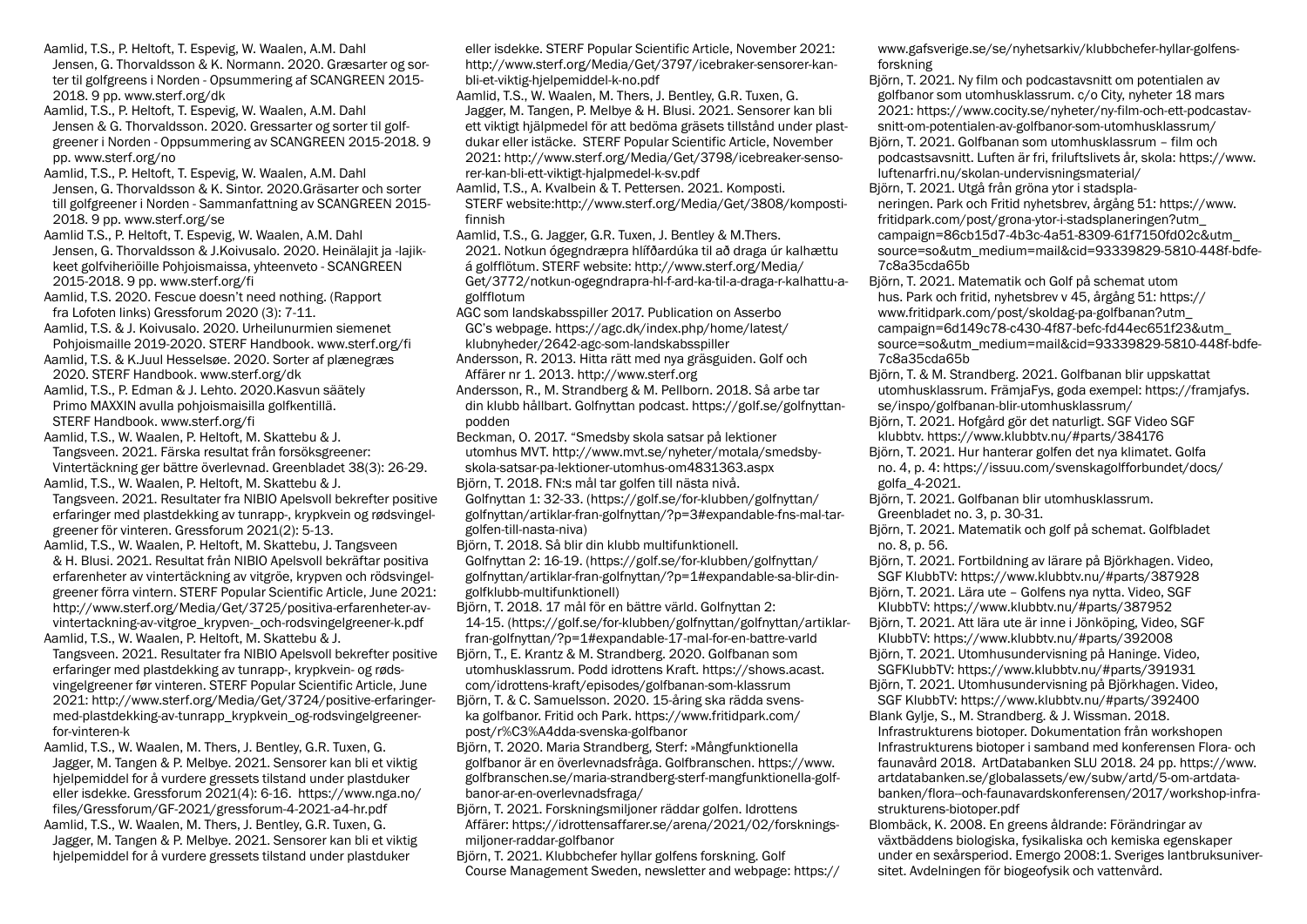Aamlid, T.S., P. Heltoft, T. Espevig, W. Waalen, A.M. Dahl Jensen, G. Thorvaldsson & K. Normann. 2020. Græsarter og sorter til golfgreens i Norden - Opsummering af SCANGREEN 2015- 2018. 9 pp. www.sterf.org/dk

Aamlid, T.S., P. Heltoft, T. Espevig, W. Waalen, A.M. Dahl Jensen & G. Thorvaldsson. 2020. Gressarter og sorter til golfgreener i Norden - Oppsummering av SCANGREEN 2015-2018. 9 pp. www.sterf.org/no

Aamlid, T.S., P. Heltoft, T. Espevig, W. Waalen, A.M. Dahl Jensen, G. Thorvaldsson & K. Sintor. 2020.Gräsarter och sorter till golfgreener i Norden - Sammanfattning av SCANGREEN 2015- 2018. 9 pp. www.sterf.org/se

Aamlid T.S., P. Heltoft, T. Espevig, W. Waalen, A.M. Dahl Jensen, G. Thorvaldsson & J.Koivusalo. 2020. Heinälajit ja -lajikkeet golfviheriöille Pohjoismaissa, yhteenveto - SCANGREEN 2015-2018. 9 pp. www.sterf.org/fi

Aamlid, T.S. 2020. Fescue doesn't need nothing. (Rapport fra Lofoten links) Gressforum 2020 (3): 7-11.

Aamlid, T.S. & J. Koivusalo. 2020. Urheilunurmien siemenet Pohjoismaille 2019-2020. STERF Handbook. www.sterf.org/fi

Aamlid, T.S. & K.Juul Hesselsøe. 2020. Sorter af plænegræs 2020. STERF Handbook. www.sterf.org/dk

Aamlid, T.S., P. Edman & J. Lehto. 2020.Kasvun säätely Primo MAXXIN avulla pohjoismaisilla golfkentillä. STERF Handbook. www.sterf.org/fi

Aamlid, T.S., W. Waalen, P. Heltoft, M. Skattebu & J. Tangsveen. 2021. Färska resultat från forsöksgreener: Vintertäckning ger bättre överlevnad. Greenbladet 38(3): 26-29.

Aamlid, T.S., W. Waalen, P. Heltoft, M. Skattebu & J. Tangsveen. 2021. Resultater fra NIBIO Apelsvoll bekrefter positive erfaringer med plastdekking av tunrapp-, krypkvein og rødsvingelgreener för vinteren. Gressforum 2021(2): 5-13.

Aamlid, T.S., W. Waalen, P. Heltoft, M. Skattebu, J. Tangsveen & H. Blusi. 2021. Resultat från NIBIO Apelsvoll bekräftar positiva erfarenheter av vintertäckning av vitgröe, krypven och rödsvingelgreener förra vintern. STERF Popular Scientific Article, June 2021: http://www.sterf.org/Media/Get/3725/positiva-erfarenheter-avvintertackning-av-vitgroe\_krypven-\_och-rodsvingelgreener-k.pdf Aamlid, T.S., W. Waalen, P. Heltoft, M. Skattebu & J.

Tangsveen. 2021. Resultater fra NIBIO Apelsvoll bekrefter positive erfaringer med plastdekking av tunrapp-, krypkvein- og rødsvingelgreener før vinteren. STERF Popular Scientific Article, June 2021: http://www.sterf.org/Media/Get/3724/positive-erfaringermed-plastdekking-av-tunrapp\_krypkvein\_og-rodsvingelgreenerfor-vinteren-k

Aamlid, T.S., W. Waalen, M. Thers, J. Bentley, G.R. Tuxen, G. Jagger, M. Tangen & P. Melbye. 2021. Sensorer kan bli et viktig hjelpemiddel for å vurdere gressets tilstand under plastduker eller isdekke. Gressforum 2021(4): 6-16. https://www.nga.no/ files/Gressforum/GF-2021/gressforum-4-2021-a4-hr.pdf

Aamlid, T.S., W. Waalen, M. Thers, J. Bentley, G.R. Tuxen, G. Jagger, M. Tangen & P. Melbye. 2021. Sensorer kan bli et viktig hjelpemiddel for å vurdere gressets tilstand under plastduker

eller isdekke. STERF Popular Scientific Article, November 2021: http://www.sterf.org/Media/Get/3797/icebraker-sensorer-kanbli-et-viktig-hjelpemiddel-k-no.pdf

Aamlid, T.S., W. Waalen, M. Thers, J. Bentley, G.R. Tuxen, G. Jagger, M. Tangen, P. Melbye & H. Blusi. 2021. Sensorer kan bli ett viktigt hjälpmedel för att bedöma gräsets tillstånd under plastdukar eller istäcke. STERF Popular Scientific Article, November 2021: http://www.sterf.org/Media/Get/3798/icebreaker-sensorer-kan-bli-ett-viktigt-hjalpmedel-k-sv.pdf

Aamlid, T.S., A. Kvalbein & T. Pettersen. 2021. Komposti. STERF website:http://www.sterf.org/Media/Get/3808/kompostifinnish

Aamlid, T.S., G. Jagger, G.R. Tuxen, J. Bentley & M.Thers.

2021. Notkun ógegndræpra hlífðardúka til að draga úr kalhættu á golfflötum. STERF website: http://www.sterf.org/Media/ Get/3772/notkun-ogegndrapra-hl-f-ard-ka-til-a-draga-r-kalhattu-agolfflotum

AGC som landskabsspiller 2017. Publication on Asserbo GC's webpage. https://agc.dk/index.php/home/latest/ klubnyheder/2642-agc-som-landskabsspiller

Andersson, R. 2013. Hitta rätt med nya gräsguiden. Golf och Affärer nr 1. 2013. http://www.sterf.org

Andersson, R., M. Strandberg & M. Pellborn. 2018. Så arbe tar din klubb hållbart. Golfnyttan podcast. https://golf.se/golfnyttanpodden

Beckman, O. 2017. "Smedsby skola satsar på lektioner utomhus MVT. http://www.mvt.se/nyheter/motala/smedsbyskola-satsar-pa-lektioner-utomhus-om4831363.aspx Björn, T. 2018. FN:s mål tar golfen till nästa nivå.

Golfnyttan 1: 32-33. (https://golf.se/for-klubben/golfnyttan/ golfnyttan/artiklar-fran-golfnyttan/?p=3#expandable-fns-mal-targolfen-till-nasta-niva)

Björn, T. 2018. Så blir din klubb multifunktionell. Golfnyttan 2: 16-19. (https://golf.se/for-klubben/golfnyttan/ golfnyttan/artiklar-fran-golfnyttan/?p=1#expandable-sa-blir-dingolfklubb-multifunktionell)

Björn, T. 2018. 17 mål för en bättre värld. Golfnyttan 2: 14-15. (https://golf.se/for-klubben/golfnyttan/golfnyttan/artiklarfran-golfnyttan/?p=1#expandable-17-mal-for-en-battre-varld Björn, T., E. Krantz & M. Strandberg. 2020. Golfbanan som utomhusklassrum. Podd idrottens Kraft. https://shows.acast. com/idrottens-kraft/episodes/golfbanan-som-klassrum Björn, T. & C. Samuelsson. 2020. 15-åring ska rädda svenska golfbanor. Fritid och Park. https://www.fritidpark.com/ post/r%C3%A4dda-svenska-golfbanor

Björn, T. 2020. Maria Strandberg, Sterf: »Mångfunktionella golfbanor är en överlevnadsfråga. Golfbranschen. https://www. golfbranschen.se/maria-strandberg-sterf-mangfunktionella-golfbanor-ar-en-overlevnadsfraga/

Björn, T. 2021. Forskningsmiljoner räddar golfen. Idrottens Affärer: https://idrottensaffarer.se/arena/2021/02/forskningsmiljoner-raddar-golfbanor

Björn, T. 2021. Klubbchefer hyllar golfens forskning. Golf Course Management Sweden, newsletter and webpage: https:// www.gafsverige.se/se/nyhetsarkiv/klubbchefer-hyllar-golfensforskning

Björn, T. 2021. Ny film och podcastavsnitt om potentialen av golfbanor som utomhusklassrum. c/o City, nyheter 18 mars 2021: https://www.cocity.se/nyheter/ny-film-och-ett-podcastavsnitt-om-potentialen-av-golfbanor-som-utomhusklassrum/ Björn, T. 2021. Golfbanan som utomhusklassrum – film och

podcastsavsnitt. Luften är fri, friluftslivets år, skola: https://www. luftenarfri.nu/skolan-undervisningsmaterial/

Björn, T. 2021. Utgå från gröna ytor i stadsplaneringen. Park och Fritid nyhetsbrev, årgång 51: https://www. fritidpark.com/post/grona-ytor-i-stadsplaneringen?utm\_ campaign=86cb15d7-4b3c-4a51-8309-61f7150fd02c&utm\_ source=so&utm\_medium=mail&cid=93339829-5810-448f-bdfe-7c8a35cda65b

Björn, T. 2021. Matematik och Golf på schemat utom hus. Park och fritid, nyhetsbrev v 45, årgång 51: https:// www.fritidpark.com/post/skoldag-pa-golfbanan?utm\_ campaign=6d149c78-c430-4f87-befc-fd44ec651f23&utm\_ source=so&utm\_medium=mail&cid=93339829-5810-448f-bdfe-7c8a35cda65b

Björn, T. & M. Strandberg. 2021. Golfbanan blir uppskattat utomhusklassrum. FrämjaFys, goda exempel: https://framjafys. se/inspo/golfbanan-blir-utomhusklassrum/

Björn, T. 2021. Hofgård gör det naturligt. SGF Video SGF klubbtv. https://www.klubbtv.nu/#parts/384176

Björn, T. 2021. Hur hanterar golfen det nya klimatet. Golfa no. 4, p. 4: https://issuu.com/svenskagolfforbundet/docs/ golfa\_4-2021.

Björn, T. 2021. Golfbanan blir utomhusklassrum. Greenbladet no. 3, p. 30-31.

Björn, T. 2021. Matematik och golf på schemat. Golfbladet no. 8, p. 56.

Björn, T. 2021. Fortbildning av lärare på Björkhagen. Video, SGF KlubbTV: https://www.klubbtv.nu/#parts/387928 Björn, T. 2021. Lära ute – Golfens nya nytta. Video, SGF KlubbTV: https://www.klubbtv.nu/#parts/387952

Björn, T. 2021. Att lära ute är inne i Jönköping, Video, SGF KlubbTV: https://www.klubbtv.nu/#parts/392008 Björn, T. 2021. Utomhusundervisning på Haninge. Video,

SGFKlubbTV: https://www.klubbtv.nu/#parts/391931 Björn, T. 2021. Utomhusundervisning på Björkhagen. Video, SGF KlubbTV: https://www.klubbtv.nu/#parts/392400

Blank Gylje, S., M. Strandberg. & J. Wissman. 2018. Infrastrukturens biotoper. Dokumentation från workshopen Infrastrukturens biotoper i samband med konferensen Flora- och faunavård 2018. ArtDatabanken SLU 2018. 24 pp. https://www. artdatabanken.se/globalassets/ew/subw/artd/5-om-artdatabanken/flora--och-faunavardskonferensen/2017/workshop-infrastrukturens-biotoper.pdf

Blombäck, K. 2008. En greens åldrande: Förändringar av växtbäddens biologiska, fysikaliska och kemiska egenskaper under en sexårsperiod. Emergo 2008:1. Sveriges lantbruksuniversitet. Avdelningen för biogeofysik och vattenvård.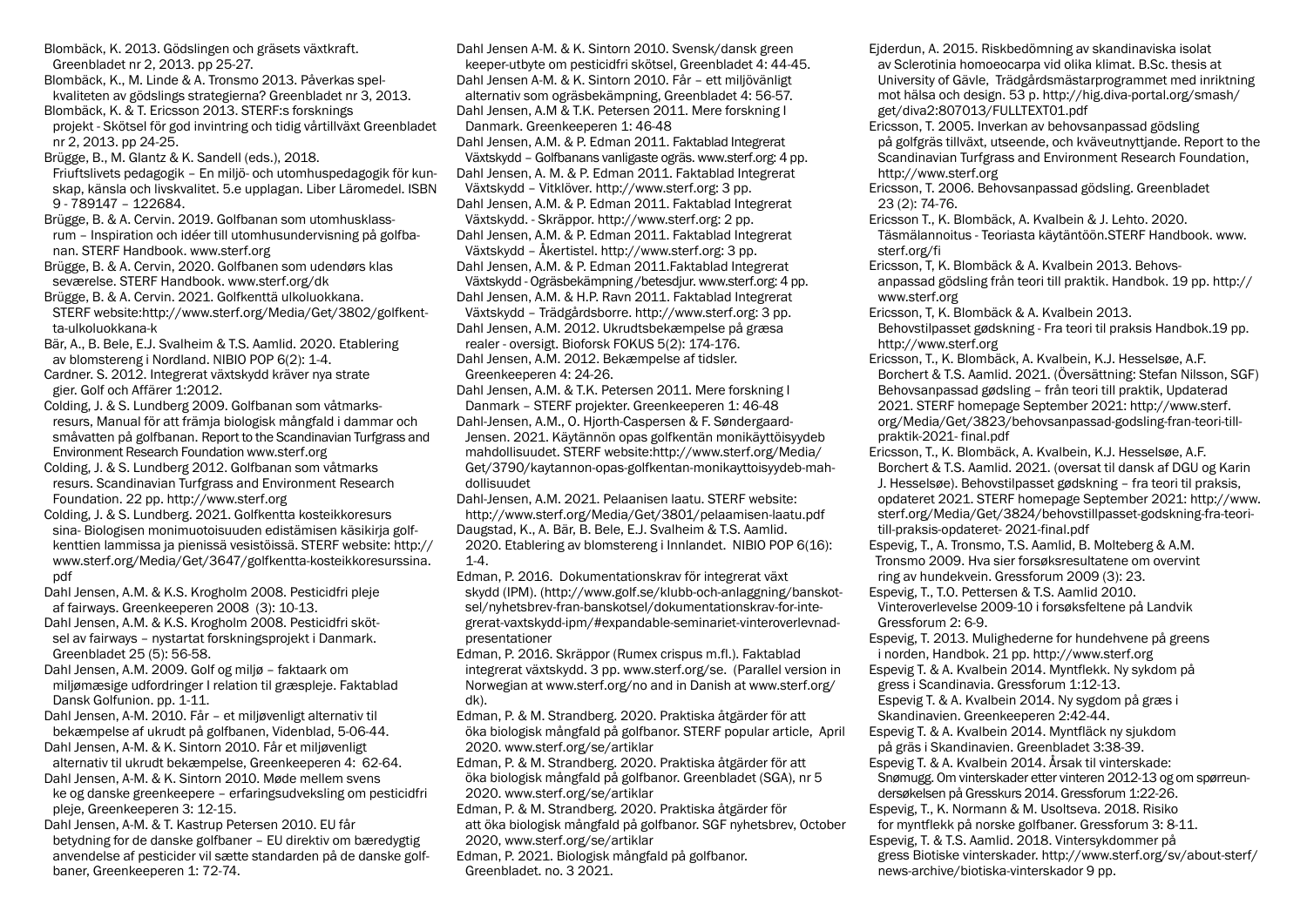Blombäck, K. 2013. Gödslingen och gräsets växtkraft. Greenbladet nr 2, 2013. pp 25-27.

Blombäck, K., M. Linde & A. Tronsmo 2013. Påverkas spelkvaliteten av gödslings strategierna? Greenbladet nr 3, 2013.

Blombäck, K. & T. Ericsson 2013. STERF:s forsknings projekt - Skötsel för god invintring och tidig vårtillväxt Greenbladet nr 2, 2013. pp 24-25.

Brügge, B., M. Glantz & K. Sandell (eds.), 2018. Friuftslivets pedagogik – En miljö- och utomhuspedagogik för kunskap, känsla och livskvalitet. 5.e upplagan. Liber Läromedel. ISBN 9 - 789147 – 122684.

Brügge, B. & A. Cervin. 2019. Golfbanan som utomhusklassrum – Inspiration och idéer till utomhusundervisning på golfbanan. STERF Handbook. www.sterf.org

Brügge, B. & A. Cervin, 2020. Golfbanen som udendørs klas seværelse. STERF Handbook. www.sterf.org/dk

Brügge, B. & A. Cervin. 2021. Golfkenttä ulkoluokkana. STERF website:http://www.sterf.org/Media/Get/3802/golfkentta-ulkoluokkana-k

Bär, A., B. Bele, E.J. Svalheim & T.S. Aamlid. 2020. Etablering av blomstereng i Nordland. NIBIO POP 6(2): 1-4.

Cardner. S. 2012. Integrerat växtskydd kräver nya strate gier. Golf och Affärer 1:2012.

Colding, J. & S. Lundberg 2009. Golfbanan som våtmarksresurs, Manual för att främja biologisk mångfald i dammar och småvatten på golfbanan. Report to the Scandinavian Turfgrass and Environment Research Foundation www.sterf.org

Colding, J. & S. Lundberg 2012. Golfbanan som våtmarks resurs. Scandinavian Turfgrass and Environment Research Foundation. 22 pp. http://www.sterf.org

Colding, J. & S. Lundberg. 2021. Golfkentta kosteikkoresurs sina- Biologisen monimuotoisuuden edistämisen käsikirja golfkenttien lammissa ja pienissä vesistöissä. STERF website: http:// www.sterf.org/Media/Get/3647/golfkentta-kosteikkoresurssina. pdf

Dahl Jensen, A.M. & K.S. Krogholm 2008. Pesticidfri pleje af fairways. Greenkeeperen 2008 (3): 10-13.

Dahl Jensen, A.M. & K.S. Krogholm 2008. Pesticidfri skötsel av fairways – nystartat forskningsprojekt i Danmark. Greenbladet 25 (5): 56-58.

Dahl Jensen, A.M. 2009. Golf og miljø – faktaark om miljømæsige udfordringer I relation til græspleje. Faktablad Dansk Golfunion. pp. 1-11.

Dahl Jensen, A-M. 2010. Får – et miljøvenligt alternativ til bekæmpelse af ukrudt på golfbanen, Videnblad, 5-06-44.

Dahl Jensen, A-M. & K. Sintorn 2010. Får et miljøvenligt alternativ til ukrudt bekæmpelse, Greenkeeperen 4: 62-64. Dahl Jensen, A-M. & K. Sintorn 2010. Møde mellem svens

ke og danske greenkeepere – erfaringsudveksling om pesticidfri pleje, Greenkeeperen 3: 12-15.

Dahl Jensen, A-M. & T. Kastrup Petersen 2010. EU får betydning for de danske golfbaner – EU direktiv om bæredygtig anvendelse af pesticider vil sætte standarden på de danske golfbaner, Greenkeeperen 1: 72-74.

Dahl Jensen A-M. & K. Sintorn 2010. Svensk/dansk green keeper-utbyte om pesticidfri skötsel, Greenbladet 4: 44-45. Dahl Jensen A-M. & K. Sintorn 2010. Får – ett miljövänligt alternativ som ogräsbekämpning, Greenbladet 4: 56-57. Dahl Jensen, A.M & T.K. Petersen 2011. Mere forskning I Danmark. Greenkeeperen 1: 46-48 Dahl Jensen, A.M. & P. Edman 2011. Faktablad Integrerat Växtskydd – Golfbanans vanligaste ogräs. www.sterf.org: 4 pp. Dahl Jensen, A. M. & P. Edman 2011. Faktablad Integrerat Växtskydd – Vitklöver. http://www.sterf.org: 3 pp. Dahl Jensen, A.M. & P. Edman 2011. Faktablad Integrerat Växtskydd. - Skräppor. http://www.sterf.org: 2 pp. Dahl Jensen, A.M. & P. Edman 2011. Faktablad Integrerat Växtskydd – Åkertistel. http://www.sterf.org: 3 pp. Dahl Jensen, A.M. & P. Edman 2011.Faktablad Integrerat Växtskydd - Ogräsbekämpning /betesdjur. www.sterf.org: 4 pp. Dahl Jensen, A.M. & H.P. Ravn 2011. Faktablad Integrerat Växtskydd – Trädgårdsborre. http://www.sterf.org: 3 pp. Dahl Jensen, A.M. 2012. Ukrudtsbekæmpelse på græsa realer - oversigt. Bioforsk FOKUS 5(2): 174-176. Dahl Jensen, A.M. 2012. Bekæmpelse af tidsler. Greenkeeperen 4: 24-26.

Dahl Jensen, A.M. & T.K. Petersen 2011. Mere forskning I Danmark – STERF projekter. Greenkeeperen 1: 46-48 Dahl-Jensen, A.M., O. Hjorth-Caspersen & F. Søndergaard-Jensen. 2021. Käytännön opas golfkentän monikäyttöisyydeb mahdollisuudet. STERF website:http://www.sterf.org/Media/ Get/3790/kaytannon-opas-golfkentan-monikayttoisyydeb-mahdollisuudet

Dahl-Jensen, A.M. 2021. Pelaanisen laatu. STERF website: http://www.sterf.org/Media/Get/3801/pelaamisen-laatu.pdf Daugstad, K., A. Bär, B. Bele, E.J. Svalheim & T.S. Aamlid. 2020. Etablering av blomstereng i Innlandet. NIBIO POP 6(16):  $1 - 4.$ 

Edman, P. 2016. Dokumentationskrav för integrerat växt skydd (IPM). (http://www.golf.se/klubb-och-anlaggning/banskotsel/nyhetsbrev-fran-banskotsel/dokumentationskrav-for-integrerat-vaxtskydd-ipm/#expandable-seminariet-vinteroverlevnadpresentationer

Edman, P. 2016. Skräppor (Rumex crispus m.fl.). Faktablad integrerat växtskydd. 3 pp. www.sterf.org/se. (Parallel version in Norwegian at www.sterf.org/no and in Danish at www.sterf.org/ dk).

Edman, P. & M. Strandberg. 2020. Praktiska åtgärder för att öka biologisk mångfald på golfbanor. STERF popular article, April 2020. www.sterf.org/se/artiklar

Edman, P. & M. Strandberg. 2020. Praktiska åtgärder för att öka biologisk mångfald på golfbanor. Greenbladet (SGA), nr 5 2020. www.sterf.org/se/artiklar

Edman, P. & M. Strandberg. 2020. Praktiska åtgärder för att öka biologisk mångfald på golfbanor. SGF nyhetsbrev, October 2020, www.sterf.org/se/artiklar

Edman, P. 2021. Biologisk mångfald på golfbanor. Greenbladet. no. 3 2021.

Ejderdun, A. 2015. Riskbedömning av skandinaviska isolat av Sclerotinia homoeocarpa vid olika klimat. B.Sc. thesis at University of Gävle, Trädgårdsmästarprogrammet med inriktning mot hälsa och design. 53 p. http://hig.diva-portal.org/smash/ get/diva2:807013/FULLTEXT01.pdf

Ericsson, T. 2005. Inverkan av behovsanpassad gödsling på golfgräs tillväxt, utseende, och kväveutnyttjande. Report to the Scandinavian Turfgrass and Environment Research Foundation, http://www.sterf.org

Ericsson, T. 2006. Behovsanpassad gödsling. Greenbladet 23 (2): 74-76.

Ericsson T., K. Blombäck, A. Kvalbein & J. Lehto. 2020. Täsmälannoitus - Teoriasta käytäntöön.STERF Handbook. www. sterf.org/fi

Ericsson, T, K. Blombäck & A. Kvalbein 2013. Behovsanpassad gödsling från teori till praktik. Handbok. 19 pp. http:// www.sterf.org

Ericsson, T, K. Blombäck & A. Kvalbein 2013. Behovstilpasset gødskning - Fra teori til praksis Handbok.19 pp. http://www.sterf.org

Ericsson, T., K. Blombäck, A. Kvalbein, K.J. Hesselsøe, A.F. Borchert & T.S. Aamlid. 2021. (Översättning: Stefan Nilsson, SGF) Behovsanpassad gødsling – från teori till praktik, Updaterad 2021. STERF homepage September 2021: http://www.sterf. org/Media/Get/3823/behovsanpassad-godsling-fran-teori-tillpraktik-2021- final.pdf

Ericsson, T., K. Blombäck, A. Kvalbein, K.J. Hesselsøe, A.F. Borchert & T.S. Aamlid. 2021. (oversat til dansk af DGU og Karin J. Hesselsøe). Behovstilpasset gødskning – fra teori til praksis, opdateret 2021. STERF homepage September 2021: http://www. sterf.org/Media/Get/3824/behovstillpasset-godskning-fra-teoritill-praksis-opdateret- 2021-final.pdf

Espevig, T., A. Tronsmo, T.S. Aamlid, B. Molteberg & A.M. Tronsmo 2009. Hva sier forsøksresultatene om overvint ring av hundekvein. Gressforum 2009 (3): 23.

Espevig, T., T.O. Pettersen & T.S. Aamlid 2010. Vinteroverlevelse 2009-10 i forsøksfeltene på Landvik Gressforum 2: 6-9.

Espevig, T. 2013. Mulighederne for hundehvene på greens i norden, Handbok. 21 pp. http://www.sterf.org

Espevig T. & A. Kvalbein 2014. Myntflekk. Ny sykdom på gress i Scandinavia. Gressforum 1:12-13.

Espevig T. & A. Kvalbein 2014. Ny sygdom på græs i Skandinavien. Greenkeeperen 2:42-44.

Espevig T. & A. Kvalbein 2014. Myntfläck ny sjukdom på gräs i Skandinavien. Greenbladet 3:38-39.

Espevig T. & A. Kvalbein 2014. Årsak til vinterskade: Snømugg. Om vinterskader etter vinteren 2012-13 og om spørreun-

dersøkelsen på Gresskurs 2014. Gressforum 1:22-26.

Espevig, T., K. Normann & M. Usoltseva. 2018. Risiko for myntflekk på norske golfbaner. Gressforum 3: 8-11. Espevig, T. & T.S. Aamlid. 2018. Vintersykdommer på gress Biotiske vinterskader. http://www.sterf.org/sv/about-sterf/ news-archive/biotiska-vinterskador 9 pp.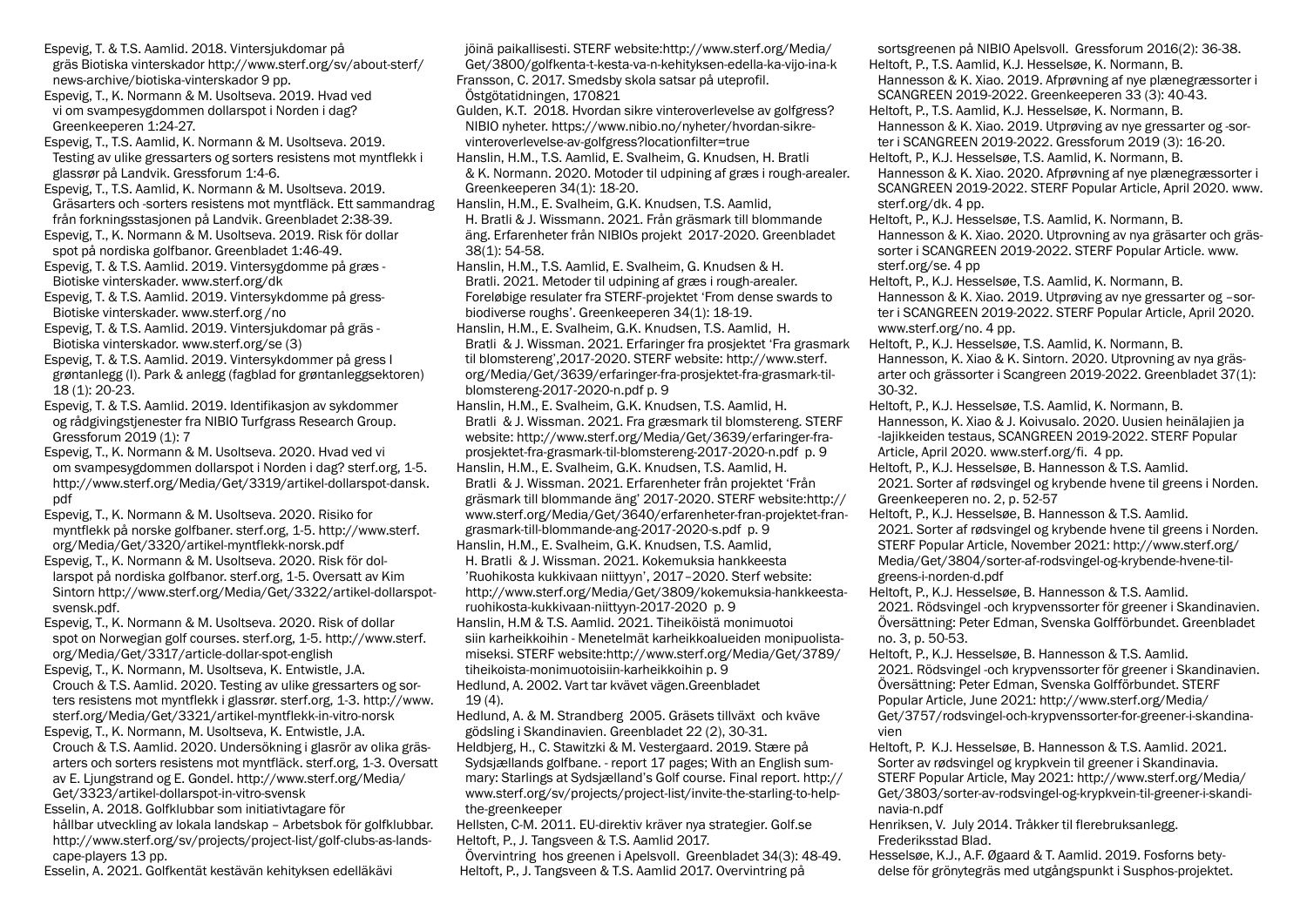Espevig, T. & T.S. Aamlid. 2018. Vintersjukdomar på gräs Biotiska vinterskador http://www.sterf.org/sv/about-sterf/ news-archive/biotiska-vinterskador 9 pp.

Espevig, T., K. Normann & M. Usoltseva. 2019. Hvad ved vi om svampesygdommen dollarspot i Norden i dag? Greenkeeperen 1:24-27.

Espevig, T., T.S. Aamlid, K. Normann & M. Usoltseva. 2019. Testing av ulike gressarters og sorters resistens mot myntflekk i glassrør på Landvik. Gressforum 1:4-6.

Espevig, T., T.S. Aamlid, K. Normann & M. Usoltseva. 2019. Gräsarters och -sorters resistens mot myntfläck. Ett sammandrag från forkningsstasjonen på Landvik. Greenbladet 2:38-39.

Espevig, T., K. Normann & M. Usoltseva. 2019. Risk för dollar spot på nordiska golfbanor. Greenbladet 1:46-49.

Espevig, T. & T.S. Aamlid. 2019. Vintersygdomme på græs - Biotiske vinterskader. www.sterf.org/dk

Espevig, T. & T.S. Aamlid. 2019. Vintersykdomme på gress-Biotiske vinterskader. www.sterf.org /no

Espevig, T. & T.S. Aamlid. 2019. Vintersjukdomar på gräs - Biotiska vinterskador. www.sterf.org/se (3)

Espevig, T. & T.S. Aamlid. 2019. Vintersykdommer på gress I grøntanlegg (I). Park & anlegg (fagblad for grøntanleggsektoren) 18 (1): 20-23.

Espevig, T. & T.S. Aamlid. 2019. Identifikasjon av sykdommer og rådgivingstjenester fra NIBIO Turfgrass Research Group. Gressforum 2019 (1): 7

Espevig, T., K. Normann & M. Usoltseva. 2020. Hvad ved vi om svampesygdommen dollarspot i Norden i dag? sterf.org, 1-5. http://www.sterf.org/Media/Get/3319/artikel-dollarspot-dansk. pdf

Espevig, T., K. Normann & M. Usoltseva. 2020. Risiko for myntflekk på norske golfbaner. sterf.org, 1-5. http://www.sterf. org/Media/Get/3320/artikel-myntflekk-norsk.pdf

Espevig, T., K. Normann & M. Usoltseva. 2020. Risk för dollarspot på nordiska golfbanor. sterf.org, 1-5. Oversatt av Kim Sintorn http://www.sterf.org/Media/Get/3322/artikel-dollarspotsvensk.pdf.

Espevig, T., K. Normann & M. Usoltseva. 2020. Risk of dollar spot on Norwegian golf courses. sterf.org, 1-5. http://www.sterf. org/Media/Get/3317/article-dollar-spot-english

Espevig, T., K. Normann, M. Usoltseva, K. Entwistle, J.A. Crouch & T.S. Aamlid. 2020. Testing av ulike gressarters og sorters resistens mot myntflekk i glassrør. sterf.org, 1-3. http://www. sterf.org/Media/Get/3321/artikel-myntflekk-in-vitro-norsk Espevig, T., K. Normann, M. Usoltseva, K. Entwistle, J.A.

Crouch & T.S. Aamlid. 2020. Undersökning i glasrör av olika gräsarters och sorters resistens mot myntfläck. sterf.org, 1-3. Oversatt av E. Ljungstrand og E. Gondel. http://www.sterf.org/Media/ Get/3323/artikel-dollarspot-in-vitro-svensk

Esselin, A. 2018. Golfklubbar som initiativtagare för hållbar utveckling av lokala landskap – Arbetsbok för golfklubbar. http://www.sterf.org/sv/projects/project-list/golf-clubs-as-landscape-players 13 pp.

Esselin, A. 2021. Golfkentät kestävän kehityksen edelläkävi

jöinä paikallisesti. STERF website:http://www.sterf.org/Media/ Get/3800/golfkenta-t-kesta-va-n-kehityksen-edella-ka-vijo-ina-k Fransson, C. 2017. Smedsby skola satsar på uteprofil. Östgötatidningen, 170821

Gulden, K.T. 2018. Hvordan sikre vinteroverlevelse av golfgress? NIBIO nyheter. https://www.nibio.no/nyheter/hvordan-sikrevinteroverlevelse-av-golfgress?locationfilter=true

Hanslin, H.M., T.S. Aamlid, E. Svalheim, G. Knudsen, H. Bratli & K. Normann. 2020. Motoder til udpining af græs i rough-arealer. Greenkeeperen 34(1): 18-20.

Hanslin, H.M., E. Svalheim, G.K. Knudsen, T.S. Aamlid, H. Bratli & J. Wissmann. 2021. Från gräsmark till blommande äng. Erfarenheter från NIBIOs projekt 2017-2020. Greenbladet 38(1): 54-58.

Hanslin, H.M., T.S. Aamlid, E. Svalheim, G. Knudsen & H. Bratli. 2021. Metoder til udpining af græs i rough-arealer. Foreløbige resulater fra STERF-projektet 'From dense swards to biodiverse roughs'. Greenkeeperen 34(1): 18-19.

Hanslin, H.M., E. Svalheim, G.K. Knudsen, T.S. Aamlid, H. Bratli & J. Wissman. 2021. Erfaringer fra prosjektet 'Fra grasmark til blomstereng',2017-2020. STERF website: http://www.sterf. org/Media/Get/3639/erfaringer-fra-prosjektet-fra-grasmark-tilblomstereng-2017-2020-n.pdf p. 9

Hanslin, H.M., E. Svalheim, G.K. Knudsen, T.S. Aamlid, H. Bratli & J. Wissman. 2021. Fra græsmark til blomstereng. STERF website: http://www.sterf.org/Media/Get/3639/erfaringer-fraprosjektet-fra-grasmark-til-blomstereng-2017-2020-n.pdf p. 9

Hanslin, H.M., E. Svalheim, G.K. Knudsen, T.S. Aamlid, H. Bratli & J. Wissman. 2021. Erfarenheter från projektet 'Från gräsmark till blommande äng' 2017-2020. STERF website:http:// www.sterf.org/Media/Get/3640/erfarenheter-fran-projektet-frangrasmark-till-blommande-ang-2017-2020-s.pdf p. 9 Hanslin, H.M., E. Svalheim, G.K. Knudsen, T.S. Aamlid, H. Bratli & J. Wissman. 2021. Kokemuksia hankkeesta 'Ruohikosta kukkivaan niittyyn', 2017–2020. Sterf website: http://www.sterf.org/Media/Get/3809/kokemuksia-hankkeestaruohikosta-kukkivaan-niittyyn-2017-2020 p. 9 Hanslin, H.M & T.S. Aamlid. 2021. Tiheiköistä monimuotoi siin karheikkoihin - Menetelmät karheikkoalueiden monipuolistamiseksi. STERF website:http://www.sterf.org/Media/Get/3789/ tiheikoista-monimuotoisiin-karheikkoihin p. 9

Hedlund, A. 2002. Vart tar kvävet vägen.Greenbladet  $19(4)$ .

Hedlund, A. & M. Strandberg 2005. Gräsets tillväxt och kväve gödsling i Skandinavien. Greenbladet 22 (2), 30-31. Heldbjerg, H., C. Stawitzki & M. Vestergaard. 2019. Stære på Sydsjællands golfbane. - report 17 pages; With an English summary: Starlings at Sydsjælland's Golf course. Final report. http:// www.sterf.org/sv/projects/project-list/invite-the-starling-to-helpthe-greenkeeper

Hellsten, C-M. 2011. EU-direktiv kräver nya strategier. Golf.se Heltoft, P., J. Tangsveen & T.S. Aamlid 2017.

Övervintring hos greenen i Apelsvoll. Greenbladet 34(3): 48-49. Heltoft, P., J. Tangsveen & T.S. Aamlid 2017. Overvintring på

sortsgreenen på NIBIO Apelsvoll. Gressforum 2016(2): 36-38. Heltoft, P., T.S. Aamlid, K.J. Hesselsøe, K. Normann, B. Hannesson & K. Xiao. 2019. Afprøvning af nye plænegræssorter i SCANGREEN 2019-2022. Greenkeeperen 33 (3): 40-43.

Heltoft, P., T.S. Aamlid, K.J. Hesselsøe, K. Normann, B. Hannesson & K. Xiao. 2019. Utprøving av nye gressarter og -sorter i SCANGREEN 2019-2022. Gressforum 2019 (3): 16-20. Heltoft, P., K.J. Hesselsøe, T.S. Aamlid, K. Normann, B.

Hannesson & K. Xiao. 2020. Afprøvning af nye plænegræssorter i SCANGREEN 2019-2022. STERF Popular Article, April 2020. www. sterf.org/dk. 4 pp.

Heltoft, P., K.J. Hesselsøe, T.S. Aamlid, K. Normann, B. Hannesson & K. Xiao. 2020. Utprovning av nya gräsarter och grässorter i SCANGREEN 2019-2022. STERF Popular Article. www. sterf.org/se. 4 pp

Heltoft, P., K.J. Hesselsøe, T.S. Aamlid, K. Normann, B. Hannesson & K. Xiao. 2019. Utprøving av nye gressarter og –sorter i SCANGREEN 2019-2022. STERF Popular Article, April 2020. www.sterf.org/no. 4 pp.

Heltoft, P., K.J. Hesselsøe, T.S. Aamlid, K. Normann, B. Hannesson, K. Xiao & K. Sintorn. 2020. Utprovning av nya gräsarter och grässorter i Scangreen 2019-2022. Greenbladet 37(1): 30-32.

Heltoft, P., K.J. Hesselsøe, T.S. Aamlid, K. Normann, B. Hannesson, K. Xiao & J. Koivusalo. 2020. Uusien heinälajien ja -lajikkeiden testaus, SCANGREEN 2019-2022. STERF Popular Article, April 2020. www.sterf.org/fi. 4 pp.

Heltoft, P., K.J. Hesselsøe, B. Hannesson & T.S. Aamlid. 2021. Sorter af rødsvingel og krybende hvene til greens i Norden. Greenkeeperen no. 2, p. 52-57

Heltoft, P., K.J. Hesselsøe, B. Hannesson & T.S. Aamlid. 2021. Sorter af rødsvingel og krybende hvene til greens i Norden. STERF Popular Article, November 2021: http://www.sterf.org/ Media/Get/3804/sorter-af-rodsvingel-og-krybende-hvene-tilgreens-i-norden-d.pdf

Heltoft, P., K.J. Hesselsøe, B. Hannesson & T.S. Aamlid. 2021. Rödsvingel -och krypvenssorter för greener i Skandinavien. Översättning: Peter Edman, Svenska Golfförbundet. Greenbladet no. 3, p. 50-53.

Heltoft, P., K.J. Hesselsøe, B. Hannesson & T.S. Aamlid. 2021. Rödsvingel -och krypvenssorter för greener i Skandinavien. Översättning: Peter Edman, Svenska Golfförbundet. STERF Popular Article, June 2021: http://www.sterf.org/Media/ Get/3757/rodsvingel-och-krypvenssorter-for-greener-i-skandinavien

Heltoft, P. K.J. Hesselsøe, B. Hannesson & T.S. Aamlid. 2021. Sorter av rødsvingel og krypkvein til greener i Skandinavia. STERF Popular Article, May 2021: http://www.sterf.org/Media/ Get/3803/sorter-av-rodsvingel-og-krypkvein-til-greener-i-skandinavia-n.pdf

Henriksen, V. July 2014. Tråkker til flerebruksanlegg. Frederiksstad Blad.

Hesselsøe, K.J., A.F. Øgaard & T. Aamlid. 2019. Fosforns betydelse för grönytegräs med utgångspunkt i Susphos-projektet.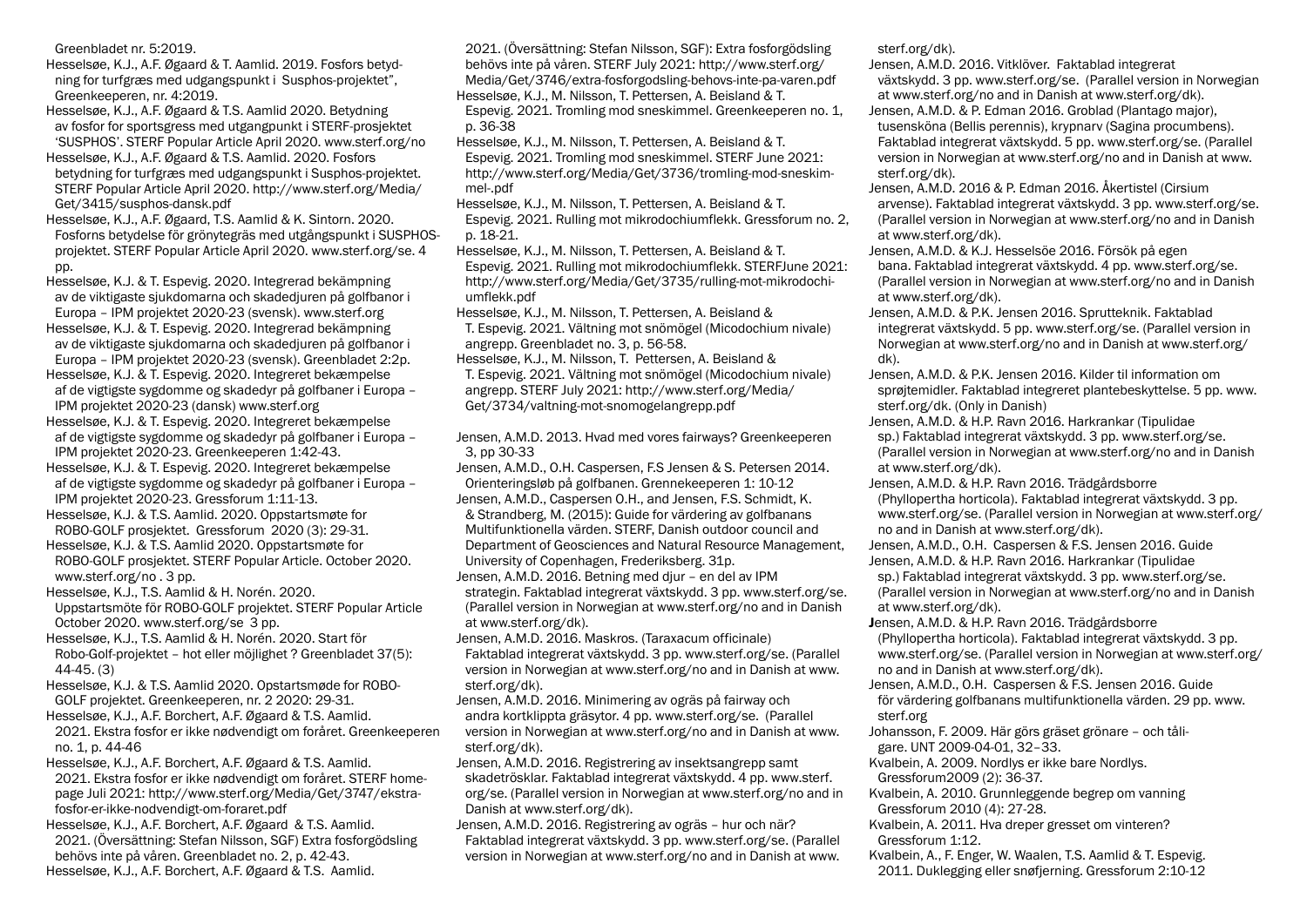Greenbladet nr. 5:2019.

Hesselsøe, K.J., A.F. Øgaard & T. Aamlid. 2019. Fosfors betydning for turfgræs med udgangspunkt i Susphos-projektet", Greenkeeperen, nr. 4:2019.

Hesselsøe, K.J., A.F. Øgaard & T.S. Aamlid 2020. Betydning av fosfor for sportsgress med utgangpunkt i STERF-prosjektet 'SUSPHOS'. STERF Popular Article April 2020. www.sterf.org/no

Hesselsøe, K.J., A.F. Øgaard & T.S. Aamlid. 2020. Fosfors betydning for turfgræs med udgangspunkt i Susphos-projektet. STERF Popular Article April 2020. http://www.sterf.org/Media/ Get/3415/susphos-dansk.pdf

Hesselsøe, K.J., A.F. Øgaard, T.S. Aamlid & K. Sintorn. 2020. Fosforns betydelse för grönytegräs med utgångspunkt i SUSPHOSprojektet. STERF Popular Article April 2020. www.sterf.org/se. 4 pp.

Hesselsøe, K.J. & T. Espevig. 2020. Integrerad bekämpning av de viktigaste sjukdomarna och skadedjuren på golfbanor i Europa – IPM projektet 2020-23 (svensk). www.sterf.org

Hesselsøe, K.J. & T. Espevig. 2020. Integrerad bekämpning av de viktigaste sjukdomarna och skadedjuren på golfbanor i

Europa – IPM projektet 2020-23 (svensk). Greenbladet 2:2p. Hesselsøe, K.J. & T. Espevig. 2020. Integreret bekæmpelse af de vigtigste sygdomme og skadedyr på golfbaner i Europa –

IPM projektet 2020-23 (dansk) www.sterf.org Hesselsøe, K.J. & T. Espevig. 2020. Integreret bekæmpelse af de vigtigste sygdomme og skadedyr på golfbaner i Europa –

IPM projektet 2020-23. Greenkeeperen 1:42-43. Hesselsøe, K.J. & T. Espevig. 2020. Integreret bekæmpelse af de vigtigste sygdomme og skadedyr på golfbaner i Europa –

IPM projektet 2020-23. Gressforum 1:11-13. Hesselsøe, K.J. & T.S. Aamlid. 2020. Oppstartsmøte for ROBO-GOLF prosjektet. Gressforum 2020 (3): 29-31.

Hesselsøe, K.J. & T.S. Aamlid 2020. Oppstartsmøte for ROBO-GOLF prosjektet. STERF Popular Article. October 2020. www.sterf.org/no . 3 pp.

Hesselsøe, K.J., T.S. Aamlid & H. Norén. 2020. Uppstartsmöte för ROBO-GOLF projektet. STERF Popular Article October 2020. www.sterf.org/se 3 pp.

Hesselsøe, K.J., T.S. Aamlid & H. Norén. 2020. Start för Robo-Golf-projektet – hot eller möjlighet ? Greenbladet 37(5): 44-45. (3)

Hesselsøe, K.J. & T.S. Aamlid 2020. Opstartsmøde for ROBO-GOLF projektet. Greenkeeperen, nr. 2 2020: 29-31.

Hesselsøe, K.J., A.F. Borchert, A.F. Øgaard & T.S. Aamlid. 2021. Ekstra fosfor er ikke nødvendigt om foråret. Greenkeeperen no. 1, p. 44-46

Hesselsøe, K.J., A.F. Borchert, A.F. Øgaard & T.S. Aamlid. 2021. Ekstra fosfor er ikke nødvendigt om foråret. STERF homepage Juli 2021: http://www.sterf.org/Media/Get/3747/ekstrafosfor-er-ikke-nodvendigt-om-foraret.pdf

Hesselsøe, K.J., A.F. Borchert, A.F. Øgaard & T.S. Aamlid. 2021. (Översättning: Stefan Nilsson, SGF) Extra fosforgödsling behövs inte på våren. Greenbladet no. 2, p. 42-43. Hesselsøe, K.J., A.F. Borchert, A.F. Øgaard & T.S. Aamlid.

2021. (Översättning: Stefan Nilsson, SGF): Extra fosforgödsling behövs inte på våren. STERF July 2021: http://www.sterf.org/ Media/Get/3746/extra-fosforgodsling-behovs-inte-pa-varen.pdf Hesselsøe, K.J., M. Nilsson, T. Pettersen, A. Beisland & T.

Espevig. 2021. Tromling mod sneskimmel. Greenkeeperen no. 1, p. 36-38

Hesselsøe, K.J., M. Nilsson, T. Pettersen, A. Beisland & T. Espevig. 2021. Tromling mod sneskimmel. STERF June 2021: http://www.sterf.org/Media/Get/3736/tromling-mod-sneskimmel-.pdf

Hesselsøe, K.J., M. Nilsson, T. Pettersen, A. Beisland & T.

Espevig. 2021. Rulling mot mikrodochiumflekk. Gressforum no. 2, p. 18-21.

Hesselsøe, K.J., M. Nilsson, T. Pettersen, A. Beisland & T. Espevig. 2021. Rulling mot mikrodochiumflekk. STERFJune 2021: http://www.sterf.org/Media/Get/3735/rulling-mot-mikrodochiumflekk.pdf

Hesselsøe, K.J., M. Nilsson, T. Pettersen, A. Beisland & T. Espevig. 2021. Vältning mot snömögel (Micodochium nivale) angrepp. Greenbladet no. 3, p. 56-58.

Hesselsøe, K.J., M. Nilsson, T. Pettersen, A. Beisland & T. Espevig. 2021. Vältning mot snömögel (Micodochium nivale) angrepp. STERF July 2021: http://www.sterf.org/Media/ Get/3734/valtning-mot-snomogelangrepp.pdf

Jensen, A.M.D. 2013. Hvad med vores fairways? Greenkeeperen 3, pp 30-33

Jensen, A.M.D., O.H. Caspersen, F.S Jensen & S. Petersen 2014. Orienteringsløb på golfbanen. Grennekeeperen 1: 10-12 Jensen, A.M.D., Caspersen O.H., and Jensen, F.S. Schmidt, K. & Strandberg, M. (2015): Guide for värdering av golfbanans Multifunktionella värden. STERF, Danish outdoor council and Department of Geosciences and Natural Resource Management, University of Copenhagen, Frederiksberg. 31p. Jensen, A.M.D. 2016. Betning med djur – en del av IPM strategin. Faktablad integrerat växtskydd. 3 pp. www.sterf.org/se. (Parallel version in Norwegian at www.sterf.org/no and in Danish

at www.sterf.org/dk). Jensen, A.M.D. 2016. Maskros. (Taraxacum officinale) Faktablad integrerat växtskydd. 3 pp. www.sterf.org/se. (Parallel version in Norwegian at www.sterf.org/no and in Danish at www. sterf.org/dk).

Jensen, A.M.D. 2016. Minimering av ogräs på fairway och andra kortklippta gräsytor. 4 pp. www.sterf.org/se. (Parallel version in Norwegian at www.sterf.org/no and in Danish at www. sterf.org/dk).

Jensen, A.M.D. 2016. Registrering av insektsangrepp samt skadetrösklar. Faktablad integrerat växtskydd. 4 pp. www.sterf. org/se. (Parallel version in Norwegian at www.sterf.org/no and in Danish at www.sterf.org/dk).

Jensen, A.M.D. 2016. Registrering av ogräs – hur och när? Faktablad integrerat växtskydd. 3 pp. www.sterf.org/se. (Parallel version in Norwegian at www.sterf.org/no and in Danish at www. sterf.org/dk).

Jensen, A.M.D. 2016. Vitklöver. Faktablad integrerat växtskydd. 3 pp. www.sterf.org/se. (Parallel version in Norwegian at www.sterf.org/no and in Danish at www.sterf.org/dk).

Jensen, A.M.D. & P. Edman 2016. Groblad (Plantago major), tusensköna (Bellis perennis), krypnarv (Sagina procumbens). Faktablad integrerat växtskydd. 5 pp. www.sterf.org/se. (Parallel version in Norwegian at www.sterf.org/no and in Danish at www. sterf.org/dk).

Jensen, A.M.D. 2016 & P. Edman 2016. Åkertistel (Cirsium arvense). Faktablad integrerat växtskydd. 3 pp. www.sterf.org/se. (Parallel version in Norwegian at www.sterf.org/no and in Danish at www.sterf.org/dk).

Jensen, A.M.D. & K.J. Hesselsöe 2016. Försök på egen bana. Faktablad integrerat växtskydd. 4 pp. www.sterf.org/se. (Parallel version in Norwegian at www.sterf.org/no and in Danish at www.sterf.org/dk).

Jensen, A.M.D. & P.K. Jensen 2016. Sprutteknik. Faktablad integrerat växtskydd. 5 pp. www.sterf.org/se. (Parallel version in Norwegian at www.sterf.org/no and in Danish at www.sterf.org/ dk).

Jensen, A.M.D. & P.K. Jensen 2016. Kilder til information om sprøjtemidler. Faktablad integreret plantebeskyttelse. 5 pp. www. sterf.org/dk. (Only in Danish)

Jensen, A.M.D. & H.P. Ravn 2016. Harkrankar (Tipulidae sp.) Faktablad integrerat växtskydd. 3 pp. www.sterf.org/se. (Parallel version in Norwegian at www.sterf.org/no and in Danish at www.sterf.org/dk).

Jensen, A.M.D. & H.P. Ravn 2016. Trädgårdsborre (Phyllopertha horticola). Faktablad integrerat växtskydd. 3 pp. www.sterf.org/se. (Parallel version in Norwegian at www.sterf.org/ no and in Danish at www.sterf.org/dk).

Jensen, A.M.D., O.H. Caspersen & F.S. Jensen 2016. Guide Jensen, A.M.D. & H.P. Ravn 2016. Harkrankar (Tipulidae

sp.) Faktablad integrerat växtskydd. 3 pp. www.sterf.org/se. (Parallel version in Norwegian at www.sterf.org/no and in Danish at www.sterf.org/dk).

Jensen, A.M.D. & H.P. Ravn 2016. Trädgårdsborre (Phyllopertha horticola). Faktablad integrerat växtskydd. 3 pp. www.sterf.org/se. (Parallel version in Norwegian at www.sterf.org/ no and in Danish at www.sterf.org/dk).

Jensen, A.M.D., O.H. Caspersen & F.S. Jensen 2016. Guide för värdering golfbanans multifunktionella värden. 29 pp. www. sterf.org

Johansson, F. 2009. Här görs gräset grönare – och tåligare. UNT 2009-04-01, 32–33.

Kvalbein, A. 2009. Nordlys er ikke bare Nordlys. Gressforum2009 (2): 36-37.

Kvalbein, A. 2010. Grunnleggende begrep om vanning Gressforum 2010 (4): 27-28.

Kvalbein, A. 2011. Hva dreper gresset om vinteren? Gressforum 1:12.

Kvalbein, A., F. Enger, W. Waalen, T.S. Aamlid & T. Espevig. 2011. Duklegging eller snøfjerning. Gressforum 2:10-12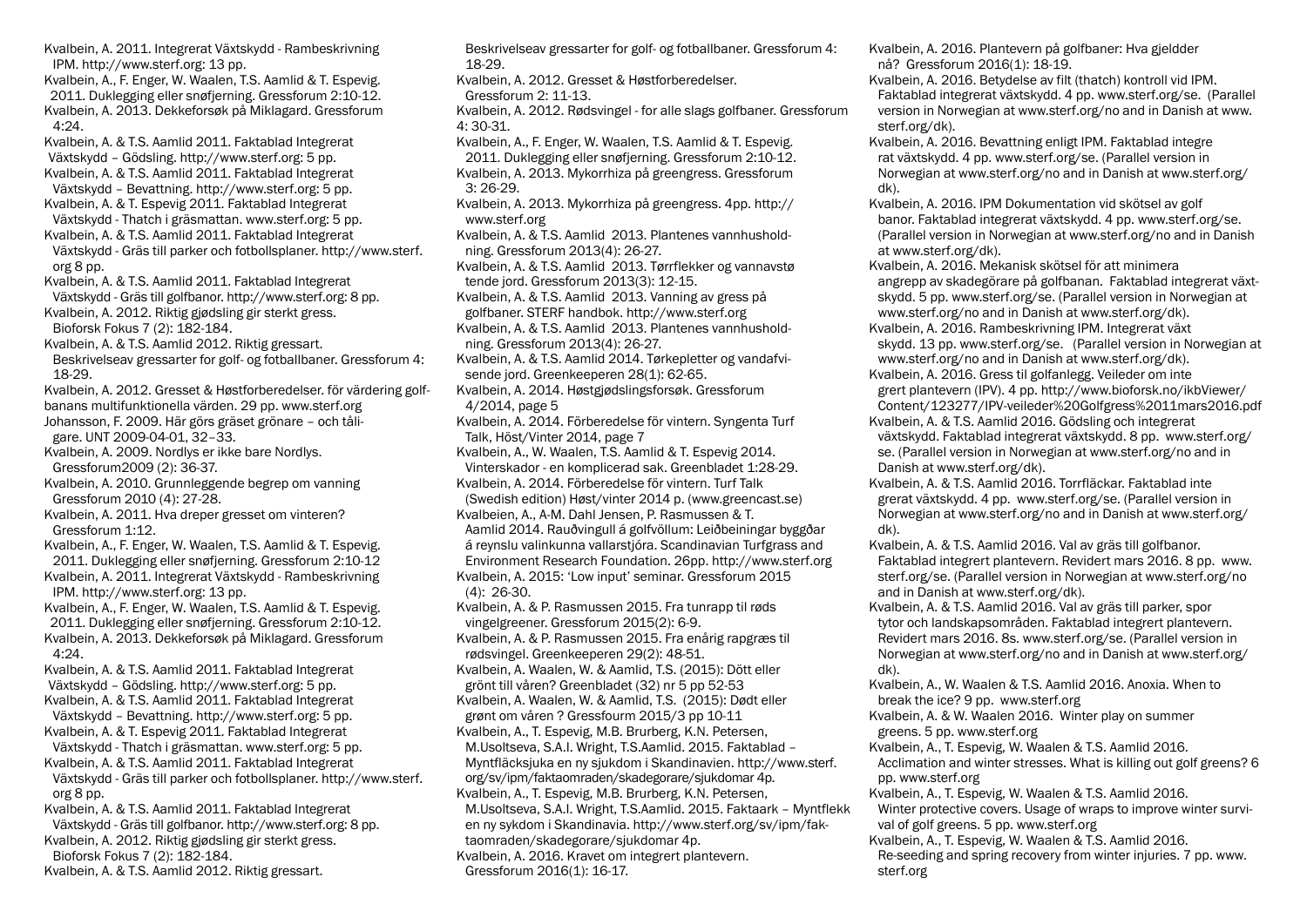Kvalbein, A. 2011. Integrerat Växtskydd - Rambeskrivning IPM. http://www.sterf.org: 13 pp. Kvalbein, A., F. Enger, W. Waalen, T.S. Aamlid & T. Espevig. 2011. Duklegging eller snøfjerning. Gressforum 2:10-12. Kvalbein, A. 2013. Dekkeforsøk på Miklagard. Gressforum 4:24. Kvalbein, A. & T.S. Aamlid 2011. Faktablad Integrerat Växtskydd – Gödsling. http://www.sterf.org: 5 pp. Kvalbein, A. & T.S. Aamlid 2011. Faktablad Integrerat Växtskydd – Bevattning. http://www.sterf.org: 5 pp. Kvalbein, A. & T. Espevig 2011. Faktablad Integrerat Växtskydd - Thatch i gräsmattan. www.sterf.org: 5 pp. Kvalbein, A. & T.S. Aamlid 2011. Faktablad Integrerat Växtskydd - Gräs till parker och fotbollsplaner. http://www.sterf. org 8 pp. Kvalbein, A. & T.S. Aamlid 2011. Faktablad Integrerat Växtskydd - Gräs till golfbanor. http://www.sterf.org: 8 pp. Kvalbein, A. 2012. Riktig gjødsling gir sterkt gress. Bioforsk Fokus 7 (2): 182-184. Kvalbein, A. & T.S. Aamlid 2012. Riktig gressart. Beskrivelseav gressarter for golf- og fotballbaner. Gressforum 4: 18-29. Kvalbein, A. 2012. Gresset & Høstforberedelser. för värdering golfbanans multifunktionella värden. 29 pp. www.sterf.org Johansson, F. 2009. Här görs gräset grönare – och tåligare. UNT 2009-04-01, 32–33. Kvalbein, A. 2009. Nordlys er ikke bare Nordlys. Gressforum2009 (2): 36-37. Kvalbein, A. 2010. Grunnleggende begrep om vanning Gressforum 2010 (4): 27-28. Kvalbein, A. 2011. Hva dreper gresset om vinteren? Gressforum 1:12. Kvalbein, A., F. Enger, W. Waalen, T.S. Aamlid & T. Espevig. 2011. Duklegging eller snøfjerning. Gressforum 2:10-12 Kvalbein, A. 2011. Integrerat Växtskydd - Rambeskrivning IPM. http://www.sterf.org: 13 pp. Kvalbein, A., F. Enger, W. Waalen, T.S. Aamlid & T. Espevig. 2011. Duklegging eller snøfjerning. Gressforum 2:10-12. Kvalbein, A. 2013. Dekkeforsøk på Miklagard. Gressforum 4:24. Kvalbein, A. & T.S. Aamlid 2011. Faktablad Integrerat Växtskydd – Gödsling. http://www.sterf.org: 5 pp. Kvalbein, A. & T.S. Aamlid 2011. Faktablad Integrerat Växtskydd – Bevattning. http://www.sterf.org: 5 pp. Kvalbein, A. & T. Espevig 2011. Faktablad Integrerat Växtskydd - Thatch i gräsmattan. www.sterf.org: 5 pp. Kvalbein, A. & T.S. Aamlid 2011. Faktablad Integrerat Växtskydd - Gräs till parker och fotbollsplaner. http://www.sterf.  $or<sub>g</sub> 8$  pp. Kvalbein, A. & T.S. Aamlid 2011. Faktablad Integrerat Växtskydd - Gräs till golfbanor. http://www.sterf.org: 8 pp. Kvalbein, A. 2012. Riktig gjødsling gir sterkt gress. Bioforsk Fokus 7 (2): 182-184.

Kvalbein, A. & T.S. Aamlid 2012. Riktig gressart.

Beskrivelseav gressarter for golf- og fotballbaner. Gressforum 4: 18-29. Kvalbein, A. 2012. Gresset & Høstforberedelser. Gressforum 2: 11-13. Kvalbein, A. 2012. Rødsvingel - for alle slags golfbaner. Gressforum 4: 30-31. Kvalbein, A., F. Enger, W. Waalen, T.S. Aamlid & T. Espevig. 2011. Duklegging eller snøfjerning. Gressforum 2:10-12. Kvalbein, A. 2013. Mykorrhiza på greengress. Gressforum 3: 26-29. Kvalbein, A. 2013. Mykorrhiza på greengress. 4pp. http:// www.sterf.org Kvalbein, A. & T.S. Aamlid 2013. Plantenes vannhusholdning. Gressforum 2013(4): 26-27. Kvalbein, A. & T.S. Aamlid 2013. Tørrflekker og vannavstø tende jord. Gressforum 2013(3): 12-15. Kvalbein, A. & T.S. Aamlid 2013. Vanning av gress på golfbaner. STERF handbok. http://www.sterf.org Kvalbein, A. & T.S. Aamlid 2013. Plantenes vannhusholdning. Gressforum 2013(4): 26-27. Kvalbein, A. & T.S. Aamlid 2014. Tørkepletter og vandafvisende jord. Greenkeeperen 28(1): 62-65. Kvalbein, A. 2014. Høstgjødslingsforsøk. Gressforum 4/2014, page 5 Kvalbein, A. 2014. Förberedelse för vintern. Syngenta Turf Talk, Höst/Vinter 2014, page 7 Kvalbein, A., W. Waalen, T.S. Aamlid & T. Espevig 2014. Vinterskador - en komplicerad sak. Greenbladet 1:28-29. Kvalbein, A. 2014. Förberedelse för vintern. Turf Talk (Swedish edition) Høst/vinter 2014 p. (www.greencast.se) Kvalbeien, A., A-M. Dahl Jensen, P. Rasmussen & T. Aamlid 2014. Rauðvingull á golfvöllum: Leiðbeiningar byggðar á reynslu valinkunna vallarstjóra. Scandinavian Turfgrass and Environment Research Foundation. 26pp. http://www.sterf.org Kvalbein, A. 2015: 'Low input' seminar. Gressforum 2015 (4): 26-30. Kvalbein, A. & P. Rasmussen 2015. Fra tunrapp til røds vingelgreener. Gressforum 2015(2): 6-9. Kvalbein, A. & P. Rasmussen 2015. Fra enårig rapgræs til rødsvingel. Greenkeeperen 29(2): 48-51. Kvalbein, A. Waalen, W. & Aamlid, T.S. (2015): Dött eller grönt till våren? Greenbladet (32) nr 5 pp 52-53 Kvalbein, A. Waalen, W. & Aamlid, T.S. (2015): Dødt eller grønt om våren ? Gressfourm 2015/3 pp 10-11 Kvalbein, A., T. Espevig, M.B. Brurberg, K.N. Petersen, M.Usoltseva, S.A.I. Wright, T.S.Aamlid. 2015. Faktablad – Myntfläcksjuka en ny sjukdom i Skandinavien. http://www.sterf. org/sv/ipm/faktaomraden/skadegorare/sjukdomar 4p. Kvalbein, A., T. Espevig, M.B. Brurberg, K.N. Petersen,

M.Usoltseva, S.A.I. Wright, T.S.Aamlid. 2015. Faktaark – Myntflekk en ny sykdom i Skandinavia. http://www.sterf.org/sv/ipm/fak-

taomraden/skadegorare/sjukdomar 4p. Kvalbein, A. 2016. Kravet om integrert plantevern.

Gressforum 2016(1): 16-17.

Kvalbein, A. 2016. Plantevern på golfbaner: Hva gjeldder nå? Gressforum 2016(1): 18-19.

Kvalbein, A. 2016. Betydelse av filt (thatch) kontroll vid IPM. Faktablad integrerat växtskydd. 4 pp. www.sterf.org/se. (Parallel version in Norwegian at www.sterf.org/no and in Danish at www. sterf.org/dk).

Kvalbein, A. 2016. Bevattning enligt IPM. Faktablad integre rat växtskydd. 4 pp. www.sterf.org/se. (Parallel version in Norwegian at www.sterf.org/no and in Danish at www.sterf.org/ dk).

Kvalbein, A. 2016. IPM Dokumentation vid skötsel av golf banor. Faktablad integrerat växtskydd. 4 pp. www.sterf.org/se. (Parallel version in Norwegian at www.sterf.org/no and in Danish at www.sterf.org/dk).

Kvalbein, A. 2016. Mekanisk skötsel för att minimera angrepp av skadegörare på golfbanan. Faktablad integrerat växtskydd. 5 pp. www.sterf.org/se. (Parallel version in Norwegian at www.sterf.org/no and in Danish at www.sterf.org/dk). Kvalbein, A. 2016. Rambeskrivning IPM. Integrerat växt

skydd. 13 pp. www.sterf.org/se. (Parallel version in Norwegian at www.sterf.org/no and in Danish at www.sterf.org/dk).

Kvalbein, A. 2016. Gress til golfanlegg. Veileder om inte grert plantevern (IPV). 4 pp. http://www.bioforsk.no/ikbViewer/ Content/123277/IPV-veileder%20Golfgress%2011mars2016.pdf

Kvalbein, A. & T.S. Aamlid 2016. Gödsling och integrerat växtskydd. Faktablad integrerat växtskydd. 8 pp. www.sterf.org/ se. (Parallel version in Norwegian at www.sterf.org/no and in Danish at www.sterf.org/dk).

Kvalbein, A. & T.S. Aamlid 2016. Torrfläckar. Faktablad inte grerat växtskydd. 4 pp. www.sterf.org/se. (Parallel version in Norwegian at www.sterf.org/no and in Danish at www.sterf.org/ dk).

Kvalbein, A. & T.S. Aamlid 2016. Val av gräs till golfbanor. Faktablad integrert plantevern. Revidert mars 2016. 8 pp. www. sterf.org/se. (Parallel version in Norwegian at www.sterf.org/no and in Danish at www.sterf.org/dk).

Kvalbein, A. & T.S. Aamlid 2016. Val av gräs till parker, spor tytor och landskapsområden. Faktablad integrert plantevern. Revidert mars 2016. 8s. www.sterf.org/se. (Parallel version in Norwegian at www.sterf.org/no and in Danish at www.sterf.org/ dk).

Kvalbein, A., W. Waalen & T.S. Aamlid 2016. Anoxia. When to break the ice? 9 pp. www.sterf.org

Kvalbein, A. & W. Waalen 2016. Winter play on summer greens. 5 pp. www.sterf.org

Kvalbein, A., T. Espevig, W. Waalen & T.S. Aamlid 2016. Acclimation and winter stresses. What is killing out golf greens? 6 pp. www.sterf.org

Kvalbein, A., T. Espevig, W. Waalen & T.S. Aamlid 2016.

Winter protective covers. Usage of wraps to improve winter survival of golf greens. 5 pp. www.sterf.org

Kvalbein, A., T. Espevig, W. Waalen & T.S. Aamlid 2016.

Re-seeding and spring recovery from winter injuries. 7 pp. www. sterf.org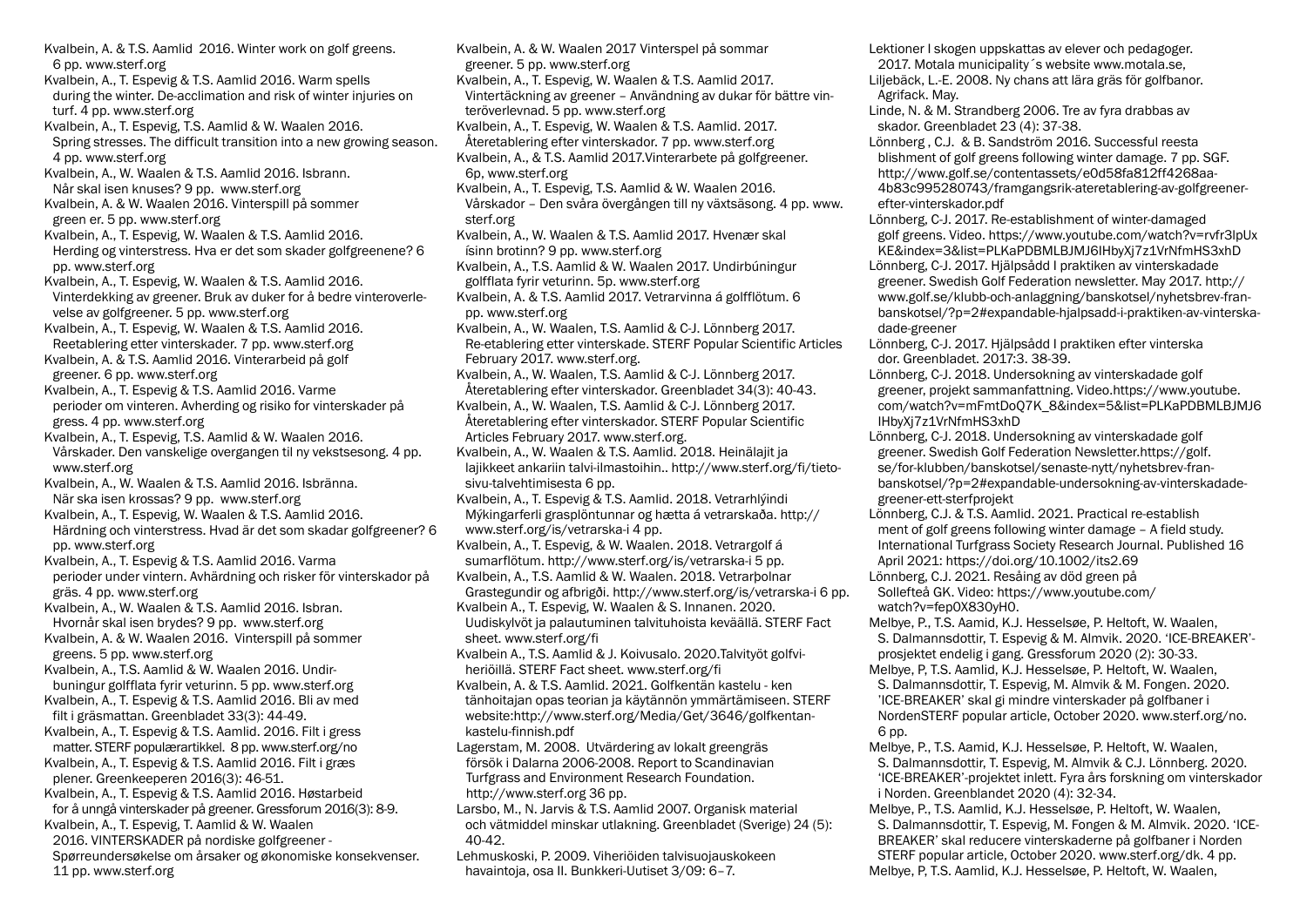6 pp. www.sterf.org Kvalbein, A., T. Espevig & T.S. Aamlid 2016. Warm spells during the winter. De-acclimation and risk of winter injuries on turf. 4 pp. www.sterf.org Kvalbein, A., T. Espevig, T.S. Aamlid & W. Waalen 2016. Spring stresses. The difficult transition into a new growing season. 4 pp. www.sterf.org Kvalbein, A., W. Waalen & T.S. Aamlid 2016. Isbrann. Når skal isen knuses? 9 pp. www.sterf.org Kvalbein, A. & W. Waalen 2016. Vinterspill på sommer green er. 5 pp. www.sterf.org Kvalbein, A., T. Espevig, W. Waalen & T.S. Aamlid 2016. Herding og vinterstress. Hva er det som skader golfgreenene? 6 pp. www.sterf.org Kvalbein, A., T. Espevig, W. Waalen & T.S. Aamlid 2016. Vinterdekking av greener. Bruk av duker for å bedre vinteroverlevelse av golfgreener. 5 pp. www.sterf.org Kvalbein, A., T. Espevig, W. Waalen & T.S. Aamlid 2016. Reetablering etter vinterskader. 7 pp. www.sterf.org Kvalbein, A. & T.S. Aamlid 2016. Vinterarbeid på golf greener. 6 pp. www.sterf.org Kvalbein, A., T. Espevig & T.S. Aamlid 2016. Varme perioder om vinteren. Avherding og risiko for vinterskader på gress. 4 pp. www.sterf.org Kvalbein, A., T. Espevig, T.S. Aamlid & W. Waalen 2016. Vårskader. Den vanskelige overgangen til ny vekstsesong. 4 pp. www.sterf.org Kvalbein, A., W. Waalen & T.S. Aamlid 2016. Isbränna. När ska isen krossas? 9 pp. www.sterf.org Kvalbein, A., T. Espevig, W. Waalen & T.S. Aamlid 2016. Härdning och vinterstress. Hvad är det som skadar golfgreener? 6 pp. www.sterf.org Kvalbein, A., T. Espevig & T.S. Aamlid 2016. Varma perioder under vintern. Avhärdning och risker för vinterskador på gräs. 4 pp. www.sterf.org Kvalbein, A., W. Waalen & T.S. Aamlid 2016. Isbran. Hvornår skal isen brydes? 9 pp. www.sterf.org Kvalbein, A. & W. Waalen 2016. Vinterspill på sommer greens. 5 pp. www.sterf.org Kvalbein, A., T.S. Aamlid & W. Waalen 2016. Undirbuningur golfflata fyrir veturinn. 5 pp. www.sterf.org Kvalbein, A., T. Espevig & T.S. Aamlid 2016. Bli av med filt i gräsmattan. Greenbladet 33(3): 44-49. Kvalbein, A., T. Espevig & T.S. Aamlid. 2016. Filt i gress matter. STERF populærartikkel. 8 pp. www.sterf.org/no Kvalbein, A., T. Espevig & T.S. Aamlid 2016. Filt i græs plener. Greenkeeperen 2016(3): 46-51. Kvalbein, A., T. Espevig & T.S. Aamlid 2016. Høstarbeid for å unngå vinterskader på greener. Gressforum 2016(3): 8-9. Kvalbein, A., T. Espevig, T. Aamlid & W. Waalen 2016. VINTERSKADER på nordiske golfgreener - Spørreundersøkelse om årsaker og økonomiske konsekvenser. 11 pp. www.sterf.org

Kvalbein, A. & T.S. Aamlid 2016. Winter work on golf greens.

Kvalbein, A. & W. Waalen 2017 Vinterspel på sommar greener. 5 pp. www.sterf.org Kvalbein, A., T. Espevig, W. Waalen & T.S. Aamlid 2017. Vintertäckning av greener – Användning av dukar för bättre vinteröverlevnad. 5 pp. www.sterf.org Kvalbein, A., T. Espevig, W. Waalen & T.S. Aamlid. 2017. Återetablering efter vinterskador. 7 pp. www.sterf.org Kvalbein, A., & T.S. Aamlid 2017.Vinterarbete på golfgreener. 6p, www.sterf.org Kvalbein, A., T. Espevig, T.S. Aamlid & W. Waalen 2016. Vårskador – Den svåra övergången till ny växtsäsong. 4 pp. www. sterf.org Kvalbein, A., W. Waalen & T.S. Aamlid 2017. Hvenær skal ísinn brotinn? 9 pp. www.sterf.org Kvalbein, A., T.S. Aamlid & W. Waalen 2017. Undirbúningur golfflata fyrir veturinn. 5p. www.sterf.org Kvalbein, A. & T.S. Aamlid 2017. Vetrarvinna á golfflötum. 6 pp. www.sterf.org Kvalbein, A., W. Waalen, T.S. Aamlid & C-J. Lönnberg 2017. Re-etablering etter vinterskade. STERF Popular Scientific Articles February 2017. www.sterf.org. Kvalbein, A., W. Waalen, T.S. Aamlid & C-J. Lönnberg 2017. Återetablering efter vinterskador. Greenbladet 34(3): 40-43. Kvalbein, A., W. Waalen, T.S. Aamlid & C-J. Lönnberg 2017. Återetablering efter vinterskador. STERF Popular Scientific Articles February 2017. www.sterf.org. Kvalbein, A., W. Waalen & T.S. Aamlid. 2018. Heinälajit ja lajikkeet ankariin talvi-ilmastoihin.. http://www.sterf.org/fi/tietosivu-talvehtimisesta 6 pp. Kvalbein, A., T. Espevig & T.S. Aamlid. 2018. Vetrarhlýindi Mýkingarferli grasplöntunnar og hætta á vetrarskaða. http:// www.sterf.org/is/vetrarska-i 4 pp. Kvalbein, A., T. Espevig, & W. Waalen. 2018. Vetrargolf á sumarflötum. http://www.sterf.org/is/vetrarska-i 5 pp. Kvalbein, A., T.S. Aamlid & W. Waalen. 2018. Vetrarþolnar Grastegundir og afbrigði. http://www.sterf.org/is/vetrarska-i 6 pp. Kvalbein A., T. Espevig, W. Waalen & S. Innanen. 2020. Uudiskylvöt ja palautuminen talvituhoista keväällä. STERF Fact sheet. www.sterf.org/fi Kvalbein A., T.S. Aamlid & J. Koivusalo. 2020.Talvityöt golfviheriöillä. STERF Fact sheet. www.sterf.org/fi Kvalbein, A. & T.S. Aamlid. 2021. Golfkentän kastelu - ken tänhoitajan opas teorian ja käytännön ymmärtämiseen. STERF website:http://www.sterf.org/Media/Get/3646/golfkentankastelu-finnish.pdf Lagerstam, M. 2008. Utvärdering av lokalt greengräs försök i Dalarna 2006-2008. Report to Scandinavian Turfgrass and Environment Research Foundation. http://www.sterf.org 36 pp. Larsbo, M., N. Jarvis & T.S. Aamlid 2007. Organisk material och vätmiddel minskar utlakning. Greenbladet (Sverige) 24 (5): 40-42. Lehmuskoski, P. 2009. Viheriöiden talvisuojauskokeen havaintoja, osa II. Bunkkeri-Uutiset 3/09: 6–7.

Lektioner I skogen uppskattas av elever och pedagoger. 2017. Motala municipality´s website www.motala.se,

Liljebäck, L.-E. 2008. Ny chans att lära gräs för golfbanor. Agrifack. May.

Linde, N. & M. Strandberg 2006. Tre av fyra drabbas av skador. Greenbladet 23 (4): 37-38.

Lönnberg , C.J. & B. Sandström 2016. Successful reesta blishment of golf greens following winter damage. 7 pp. SGF. http://www.golf.se/contentassets/e0d58fa812ff4268aa-4b83c995280743/framgangsrik-ateretablering-av-golfgreenerefter-vinterskador.pdf

Lönnberg, C-J. 2017. Re-establishment of winter-damaged golf greens. Video. https://www.youtube.com/watch?v=rvfr3lpUx KE&index=3&list=PLKaPDBMLBJMJ6IHbyXj7z1VrNfmHS3xhD Lönnberg, C-J. 2017. Hjälpsådd I praktiken av vinterskadade greener. Swedish Golf Federation newsletter. May 2017. http://

www.golf.se/klubb-och-anlaggning/banskotsel/nyhetsbrev-franbanskotsel/?p=2#expandable-hjalpsadd-i-praktiken-av-vinterskadade-greener

Lönnberg, C-J. 2017. Hjälpsådd I praktiken efter vinterska dor. Greenbladet. 2017:3. 38-39.

Lönnberg, C-J. 2018. Undersokning av vinterskadade golf greener, projekt sammanfattning. Video.https://www.youtube. com/watch?v=mFmtDoQ7K\_8&index=5&list=PLKaPDBMLBJMJ6 IHbyXj7z1VrNfmHS3xhD

Lönnberg, C-J. 2018. Undersokning av vinterskadade golf greener. Swedish Golf Federation Newsletter.https://golf. se/for-klubben/banskotsel/senaste-nytt/nyhetsbrev-franbanskotsel/?p=2#expandable-undersokning-av-vinterskadadegreener-ett-sterfprojekt

Lönnberg, C.J. & T.S. Aamlid. 2021. Practical re-establish ment of golf greens following winter damage – A field study. International Turfgrass Society Research Journal. Published 16 April 2021: https://doi.org/10.1002/its2.69 Lönnberg, C.J. 2021. Resåing av död green på

Sollefteå GK. Video: https://www.youtube.com/ watch?v=fep0X830yH0.

Melbye, P., T.S. Aamid, K.J. Hesselsøe, P. Heltoft, W. Waalen, S. Dalmannsdottir, T. Espevig & M. Almvik. 2020. 'ICE-BREAKER' prosjektet endelig i gang. Gressforum 2020 (2): 30-33.

Melbye, P, T.S. Aamlid, K.J. Hesselsøe, P. Heltoft, W. Waalen, S. Dalmannsdottir, T. Espevig, M. Almvik & M. Fongen. 2020. 'ICE-BREAKER' skal gi mindre vinterskader på golfbaner i NordenSTERF popular article, October 2020. www.sterf.org/no. 6 pp.

Melbye, P., T.S. Aamid, K.J. Hesselsøe, P. Heltoft, W. Waalen, S. Dalmannsdottir, T. Espevig, M. Almvik & C.J. Lönnberg. 2020. 'ICE-BREAKER'-projektet inlett. Fyra års forskning om vinterskador i Norden. Greenblandet 2020 (4): 32-34.

Melbye, P., T.S. Aamlid, K.J. Hesselsøe, P. Heltoft, W. Waalen, S. Dalmannsdottir, T. Espevig, M. Fongen & M. Almvik. 2020. 'ICE-BREAKER' skal reducere vinterskaderne på golfbaner i Norden STERF popular article, October 2020. www.sterf.org/dk. 4 pp. Melbye, P, T.S. Aamlid, K.J. Hesselsøe, P. Heltoft, W. Waalen,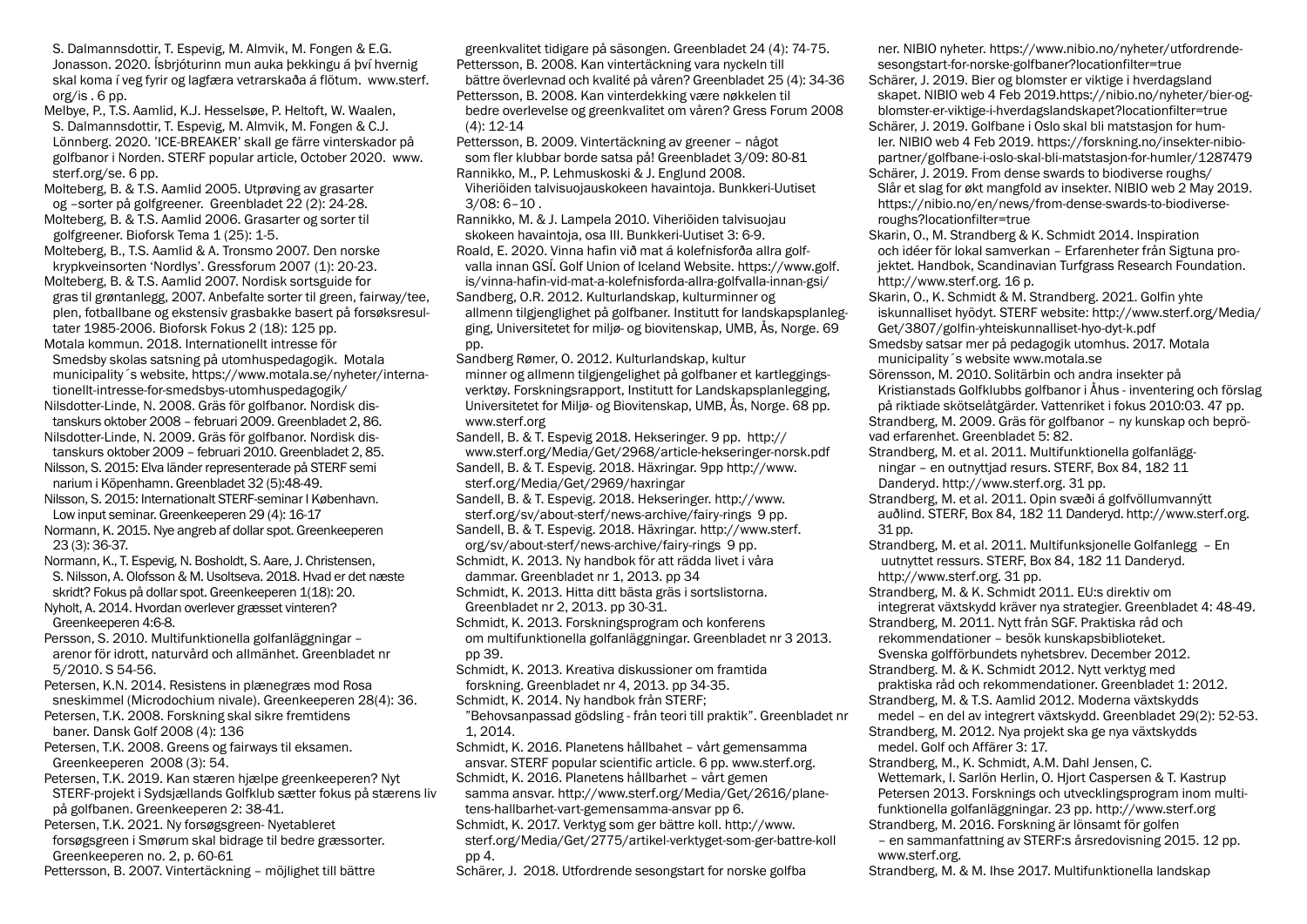S. Dalmannsdottir, T. Espevig, M. Almvik, M. Fongen & E.G. Jonasson. 2020. Ísbrjóturinn mun auka þekkingu á því hvernig skal koma í veg fyrir og lagfæra vetrarskaða á flötum. www.sterf. org/is . 6 pp.

Melbye, P., T.S. Aamlid, K.J. Hesselsøe, P. Heltoft, W. Waalen, S. Dalmannsdottir, T. Espevig, M. Almvik, M. Fongen & C.J. Lönnberg. 2020. 'ICE-BREAKER' skall ge färre vinterskador på golfbanor i Norden. STERF popular article, October 2020. www. sterf.org/se. 6 pp.

Molteberg, B. & T.S. Aamlid 2005. Utprøving av grasarter og –sorter på golfgreener. Greenbladet 22 (2): 24-28. Molteberg, B. & T.S. Aamlid 2006. Grasarter og sorter til

golfgreener. Bioforsk Tema 1 (25): 1-5.

Molteberg, B., T.S. Aamlid & A. Tronsmo 2007. Den norske krypkveinsorten 'Nordlys'. Gressforum 2007 (1): 20-23.

Molteberg, B. & T.S. Aamlid 2007. Nordisk sortsguide for gras til grøntanlegg, 2007. Anbefalte sorter til green, fairway/tee, plen, fotballbane og ekstensiv grasbakke basert på forsøksresultater 1985-2006. Bioforsk Fokus 2 (18): 125 pp.

Motala kommun. 2018. Internationellt intresse för Smedsby skolas satsning på utomhuspedagogik. Motala municipality´s website, https://www.motala.se/nyheter/internationellt-intresse-for-smedsbys-utomhuspedagogik/

Nilsdotter-Linde, N. 2008. Gräs för golfbanor. Nordisk distanskurs oktober 2008 – februari 2009. Greenbladet 2, 86.

Nilsdotter-Linde, N. 2009. Gräs för golfbanor. Nordisk distanskurs oktober 2009 – februari 2010. Greenbladet 2, 85. Nilsson, S. 2015: Elva länder representerade på STERF semi

narium i Köpenhamn. Greenbladet 32 (5):48-49.

Nilsson, S. 2015: Internationalt STERF-seminar I København. Low input seminar. Greenkeeperen 29 (4): 16-17

Normann, K. 2015. Nye angreb af dollar spot. Greenkeeperen 23 (3): 36-37.

Normann, K., T. Espevig, N. Bosholdt, S. Aare, J. Christensen, S. Nilsson, A. Olofsson & M. Usoltseva. 2018. Hvad er det næste skridt? Fokus på dollar spot. Greenkeeperen 1(18): 20. Nyholt, A. 2014. Hvordan overlever græsset vinteren?

Greenkeeperen 4:6-8.

Persson, S. 2010. Multifunktionella golfanläggningar – arenor för idrott, naturvård och allmänhet. Greenbladet nr 5/2010. S 54-56.

Petersen, K.N. 2014. Resistens in plænegræs mod Rosa sneskimmel (Microdochium nivale). Greenkeeperen 28(4): 36.

Petersen, T.K. 2008. Forskning skal sikre fremtidens baner. Dansk Golf 2008 (4): 136

Petersen, T.K. 2008. Greens og fairways til eksamen. Greenkeeperen 2008 (3): 54.

Petersen, T.K. 2019. Kan stæren hjælpe greenkeeperen? Nyt STERF-projekt i Sydsjællands Golfklub sætter fokus på stærens liv på golfbanen. Greenkeeperen 2: 38-41.

Petersen, T.K. 2021. Ny forsøgsgreen- Nyetableret forsøgsgreen i Smørum skal bidrage til bedre græssorter. Greenkeeperen no. 2, p. 60-61

Pettersson, B. 2007. Vintertäckning – möjlighet till bättre

greenkvalitet tidigare på säsongen. Greenbladet 24 (4): 74-75. Pettersson, B. 2008. Kan vintertäckning vara nyckeln till bättre överlevnad och kvalité på våren? Greenbladet 25 (4): 34-36 Pettersson, B. 2008. Kan vinterdekking være nøkkelen til bedre overlevelse og greenkvalitet om våren? Gress Forum 2008 (4): 12-14

Pettersson, B. 2009. Vintertäckning av greener – något som fler klubbar borde satsa på! Greenbladet 3/09: 80-81 Rannikko, M., P. Lehmuskoski & J. Englund 2008. Viheriöiden talvisuojauskokeen havaintoja. Bunkkeri-Uutiset 3/08: 6–10 .

Rannikko, M. & J. Lampela 2010. Viheriöiden talvisuojau skokeen havaintoja, osa III. Bunkkeri-Uutiset 3: 6-9. Roald, E. 2020. Vinna hafin við mat á kolefnisforða allra golfvalla innan GSÍ. Golf Union of Iceland Website. https://www.golf. is/vinna-hafin-vid-mat-a-kolefnisforda-allra-golfvalla-innan-gsi/ Sandberg, O.R. 2012. Kulturlandskap, kulturminner og allmenn tilgjenglighet på golfbaner. Institutt for landskapsplanlegging, Universitetet for miljø- og biovitenskap, UMB, Ås, Norge. 69 pp.

Sandberg Rømer, O. 2012. Kulturlandskap, kultur minner og allmenn tilgjengelighet på golfbaner et kartleggingsverktøy. Forskningsrapport, Institutt for Landskapsplanlegging, Universitetet for Miljø- og Biovitenskap, UMB, Ås, Norge. 68 pp. www.sterf.org

Sandell, B. & T. Espevig 2018. Hekseringer. 9 pp. http:// www.sterf.org/Media/Get/2968/article-hekseringer-norsk.pdf Sandell, B. & T. Espevig. 2018. Häxringar. 9pp http://www. sterf.org/Media/Get/2969/haxringar

Sandell, B. & T. Espevig. 2018. Hekseringer. http://www. sterf.org/sv/about-sterf/news-archive/fairy-rings 9 pp. Sandell, B. & T. Espevig. 2018. Häxringar. http://www.sterf. org/sv/about-sterf/news-archive/fairy-rings 9 pp.

Schmidt, K. 2013. Ny handbok för att rädda livet i våra dammar. Greenbladet nr 1, 2013. pp 34

Schmidt, K. 2013. Hitta ditt bästa gräs i sortslistorna. Greenbladet nr 2, 2013. pp 30-31.

Schmidt, K. 2013. Forskningsprogram och konferens om multifunktionella golfanläggningar. Greenbladet nr 3 2013. pp 39.

Schmidt, K. 2013. Kreativa diskussioner om framtida forskning. Greenbladet nr 4, 2013. pp 34-35. Schmidt, K. 2014. Ny handbok från STERF;

"Behovsanpassad gödsling - från teori till praktik". Greenbladet nr 1, 2014.

Schmidt, K. 2016. Planetens hållbahet – vårt gemensamma ansvar. STERF popular scientific article. 6 pp. www.sterf.org. Schmidt, K. 2016. Planetens hållbarhet – vårt gemen samma ansvar. http://www.sterf.org/Media/Get/2616/planetens-hallbarhet-vart-gemensamma-ansvar pp 6.

Schmidt, K. 2017. Verktyg som ger bättre koll. http://www. sterf.org/Media/Get/2775/artikel-verktyget-som-ger-battre-koll pp 4.

Schärer, J. 2018. Utfordrende sesongstart for norske golfba

ner. NIBIO nyheter. https://www.nibio.no/nyheter/utfordrendesesongstart-for-norske-golfbaner?locationfilter=true

Schärer, J. 2019. Bier og blomster er viktige i hverdagsland skapet. NIBIO web 4 Feb 2019.https://nibio.no/nyheter/bier-ogblomster-er-viktige-i-hverdagslandskapet?locationfilter=true Schärer, J. 2019. Golfbane i Oslo skal bli matstasjon for humler. NIBIO web 4 Feb 2019. https://forskning.no/insekter-nibiopartner/golfbane-i-oslo-skal-bli-matstasjon-for-humler/1287479

Schärer, J. 2019. From dense swards to biodiverse roughs/ Slår et slag for økt mangfold av insekter. NIBIO web 2 May 2019. https://nibio.no/en/news/from-dense-swards-to-biodiverseroughs?locationfilter=true

Skarin, O., M. Strandberg & K. Schmidt 2014. Inspiration och idéer för lokal samverkan – Erfarenheter från Sigtuna projektet. Handbok, Scandinavian Turfgrass Research Foundation. http://www.sterf.org. 16 p.

Skarin, O., K. Schmidt & M. Strandberg. 2021. Golfin yhte iskunnalliset hyödyt. STERF website: http://www.sterf.org/Media/ Get/3807/golfin-yhteiskunnalliset-hyo-dyt-k.pdf Smedsby satsar mer på pedagogik utomhus. 2017. Motala

municipality´s website www.motala.se

Sörensson, M. 2010. Solitärbin och andra insekter på Kristianstads Golfklubbs golfbanor i Åhus - inventering och förslag på riktiade skötselåtgärder. Vattenriket i fokus 2010:03. 47 pp. Strandberg, M. 2009. Gräs för golfbanor – ny kunskap och beprövad erfarenhet. Greenbladet 5: 82.

Strandberg, M. et al. 2011. Multifunktionella golfanlägg ningar – en outnyttjad resurs. STERF, Box 84, 182 11 Danderyd. http://www.sterf.org. 31 pp.

Strandberg, M. et al. 2011. Opin svæði á golfvöllumvannýtt auðlind. STERF, Box 84, 182 11 Danderyd. http://www.sterf.org. 31 pp.

Strandberg, M. et al. 2011. Multifunksjonelle Golfanlegg – En uutnyttet ressurs. STERF, Box 84, 182 11 Danderyd. http://www.sterf.org. 31 pp.

Strandberg, M. & K. Schmidt 2011. EU:s direktiv om integrerat växtskydd kräver nya strategier. Greenbladet 4: 48-49.

Strandberg, M. 2011. Nytt från SGF. Praktiska råd och rekommendationer – besök kunskapsbiblioteket. Svenska golfförbundets nyhetsbrev. December 2012.

Strandberg. M. & K. Schmidt 2012. Nytt verktyg med praktiska råd och rekommendationer. Greenbladet 1: 2012. Strandberg, M. & T.S. Aamlid 2012. Moderna växtskydds

medel – en del av integrert växtskydd. Greenbladet 29(2): 52-53. Strandberg, M. 2012. Nya projekt ska ge nya växtskydds medel. Golf och Affärer 3: 17.

Strandberg, M., K. Schmidt, A.M. Dahl Jensen, C. Wettemark, I. Sarlön Herlin, O. Hjort Caspersen & T. Kastrup Petersen 2013. Forsknings och utvecklingsprogram inom multifunktionella golfanläggningar. 23 pp. http://www.sterf.org Strandberg, M. 2016. Forskning är lönsamt för golfen

– en sammanfattning av STERF:s årsredovisning 2015. 12 pp. www.sterf.org.

Strandberg, M. & M. Ihse 2017. Multifunktionella landskap